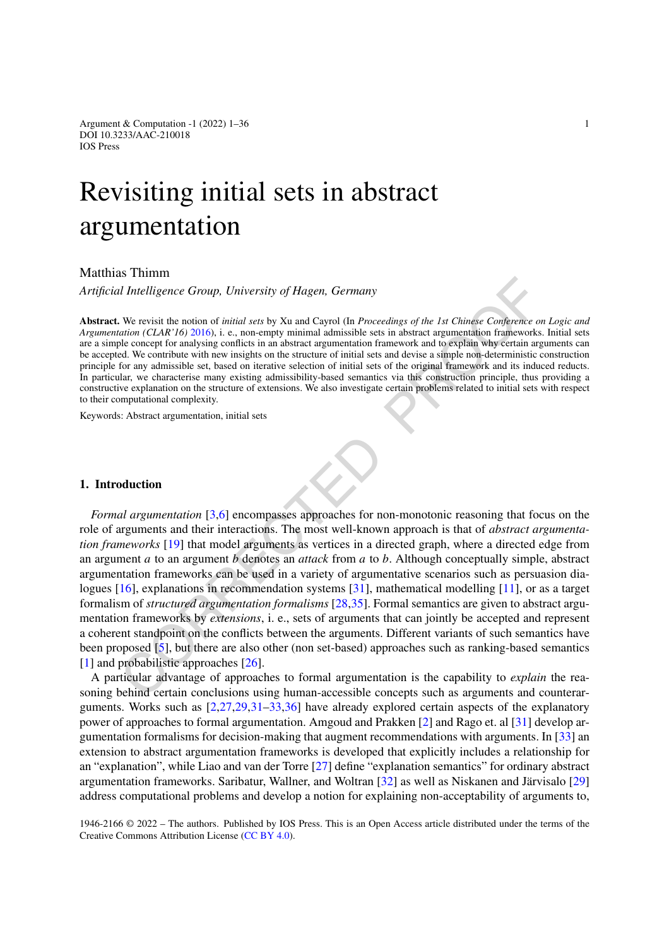Argument & Computation -1 (2022) 1–36 1 DOI 10.3233/AAC-210018 IOS Press

# Revisiting initial sets in abstract argumentation

# Matthias Thimm

*Artificial Intelligence Group, University of Hagen, Germany*

**Abstract.** We revisit the notion of *initial sets* by Xu and Cayrol (In *Proceedings of the 1st Chinese Conference on Logic and Argumentation (CLAR'16)* 2016), i. e., non-empty minimal admissible sets in abstract argumentation frameworks. Initial sets are a simple concept for analysing conflicts in an abstract argumentation framework and to explain why certain arguments can be accepted. We contribute with new insights on the structure of initial sets and devise a simple non-deterministic construction principle for any admissible set, based on iterative selection of initial sets of the original framework and its induced reducts. In particular, we characterise many existing admissibility-based semantics via this construction principle, thus providing a constructive explanation on the structure of extensions. We also investigate certain problems related to initial sets with respect to their computational complexity.

Keywords: Abstract argumentation, initial sets

## **1. Introduction**

If Intelligence Group, University of Hagen, Germany<br>
If Intelligence Group, University of Hagen, Germany<br>
We revisit the notion of *initial sets* by Xu and Cayrol (In *Proceedings of the 1st Chinese Conference of tation Formal argumentation* [3,6] encompasses approaches for non-monotonic reasoning that focus on the role of arguments and their interactions. The most well-known approach is that of *abstract argumentation frameworks* [19] that model arguments as vertices in a directed graph, where a directed edge from an argument *a* to an argument *b* denotes an *attack* from *a* to *b*. Although conceptually simple, abstract argumentation frameworks can be used in a variety of argumentative scenarios such as persuasion dialogues [16], explanations in recommendation systems [31], mathematical modelling [11], or as a target formalism of *structured argumentation formalisms* [28,35]. Formal semantics are given to abstract argumentation frameworks by *extensions*, i. e., sets of arguments that can jointly be accepted and represent a coherent standpoint on the conflicts between the arguments. Different variants of such semantics have been proposed [5], but there are also other (non set-based) approaches such as ranking-based semantics [\[1](#page-33-3)] and probabilistic approaches [26].

A particular advantage of approaches to formal argumentation is the capability to *explain* the reasoning behind certain conclusions using human-accessible concepts such as arguments and counterarguments. Works such as [\[2,](#page-33-4)[27](#page-34-7)[,29](#page-34-8),[31](#page-34-2)[–33](#page-34-9)[,36](#page-34-10)] have already explored certain aspects of the explanatory power of approaches to formal argumentation. Amgoud and Prakken [[2](#page-33-4)] and Rago et. al [\[31](#page-34-2)] develop argumentation formalisms for decision-making that augment recommendations with arguments. In [\[33](#page-34-9)] an extension to abstract argumentation frameworks is developed that explicitly includes a relationship for an "explanation", while Liao and van der Torre [[27\]](#page-34-7) define "explanation semantics" for ordinary abstract argumentation frameworks. Saribatur, Wallner, and Woltran [[32\]](#page-34-11) as well as Niskanen and Järvisalo [[29\]](#page-34-8) address computational problems and develop a notion for explaining non-acceptability of arguments to,

1946-2166 © 2022 – The authors. Published by IOS Press. This is an Open Access article distributed under the terms of the Creative Commons Attribution License (CC [BY](https://creativecommons.org/licenses/by/4.0/) 4.0).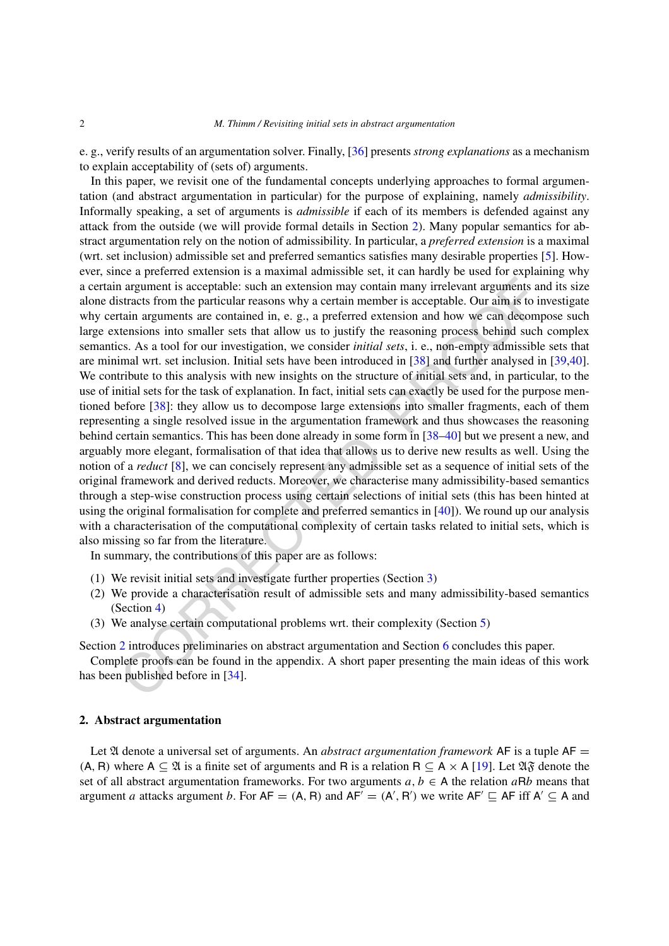e. g., verify results of an argumentation solver. Finally, [[36\]](#page-34-10) presents *strong explanations* as a mechanism to explain acceptability of (sets of) arguments.

a argument is acceptable: such an extension may contain many irrelevant arguments at<br>stracts from the particular reasons why a certain member is acceptable. Our aim is to in<br>strain arguments are contained in, e.g., a pref In this paper, we revisit one of the fundamental concepts underlying approaches to formal argumentation (and abstract argumentation in particular) for the purpose of explaining, namely *admissibility*. Informally speaking, a set of arguments is *admissible* if each of its members is defended against any attack from the outside (we will provide formal details in Section [2](#page-1-0)). Many popular semantics for abstract argumentation rely on the notion of admissibility. In particular, a *preferred extension* is a maximal (wrt. set inclusion) admissible set and preferred semantics satisfies many desirable properties [[5\]](#page-33-2). However, since a preferred extension is a maximal admissible set, it can hardly be used for explaining why a certain argument is acceptable: such an extension may contain many irrelevant arguments and its size alone distracts from the particular reasons why a certain member is acceptable. Our aim is to investigate why certain arguments are contained in, e. g., a preferred extension and how we can decompose such large extensions into smaller sets that allow us to justify the reasoning process behind such complex semantics. As a tool for our investigation, we consider *initial sets*, i. e., non-empty admissible sets that are minimal wrt. set inclusion. Initial sets have been introduced in [38] and further analysed in [\[39](#page-35-1),[40\]](#page-35-2). We contribute to this analysis with new insights on the structure of initial sets and, in particular, to the use of initial sets for the task of explanation. In fact, initial sets can exactly be used for the purpose mentioned before [38]: they allow us to decompose large extensions into smaller fragments, each of them representing a single resolved issue in the argumentation framework and thus showcases the reasoning behind certain semantics. This has been done already in some form in [38–40] but we present a new, and arguably more elegant, formalisation of that idea that allows us to derive new results as well. Using the notion of a *reduct* [8], we can concisely represent any admissible set as a sequence of initial sets of the original framework and derived reducts. Moreover, we characterise many admissibility-based semantics through a step-wise construction process using certain selections of initial sets (this has been hinted at using the original formalisation for complete and preferred semantics in  $[40]$ ). We round up our analysis with a characterisation of the computational complexity of certain tasks related to initial sets, which is also missing so far from the literature.

In summary, the contributions of this paper are as follows:

- (1) We revisit initial sets and investigate further properties (Section 3)
- (2) We provide a characterisation result of admissible sets and many admissibility-based semantics (Section 4)
- (3) We analyse certain computational problems wrt. their complexity (Section 5)

Section 2 introduces preliminaries on abstract argumentation and Section 6 concludes this paper.

Complete proofs can be found in the appendix. A short paper presenting the main ideas of this work has been published before in [34].

#### <span id="page-1-0"></span>**2. Abstract argumentation**

Let 21 denote a universal set of arguments. An *abstract argumentation framework* AF is a tuple AF  $(A, B)$  where  $A \subseteq \mathfrak{A}$  is a finite set of arguments and R is a relation  $B \subseteq A \times A$  [\[19](#page-34-0)]. Let  $\mathfrak{A} \mathfrak{F}$  denote the set of all abstract argumentation frameworks. For two arguments  $a, b \in A$  the relation  $a \mathsf{R} b$  means that argument *a* attacks argument *b*. For  $AF = (A, R)$  and  $AF' = (A', R')$  we write  $AF' \subseteq AF$  iff  $A' \subseteq A$  and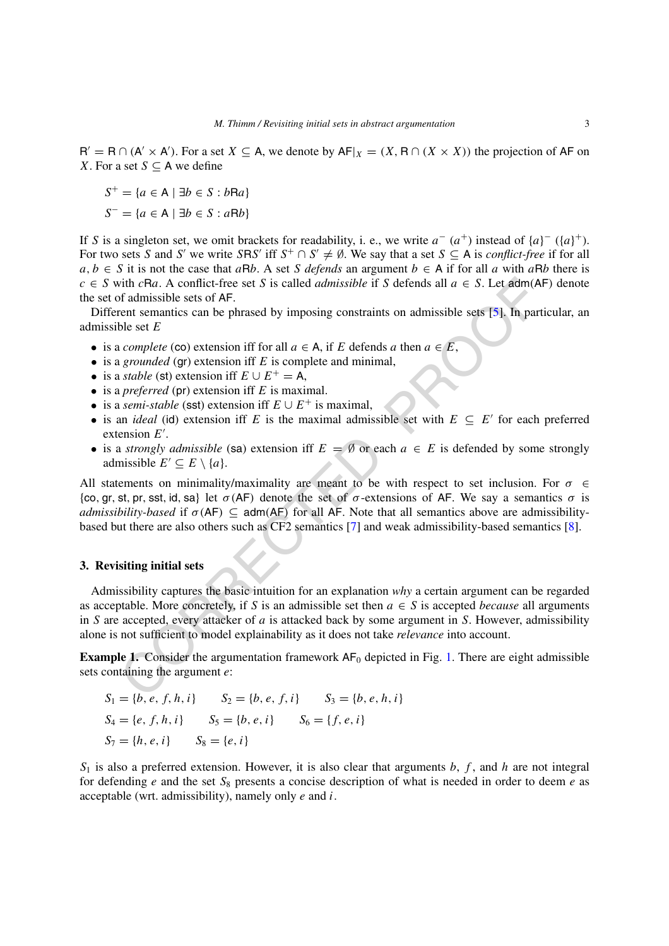$R' = R \cap (A' \times A')$ . For a set  $X \subseteq A$ , we denote by  $AF|_X = (X, R \cap (X \times X))$  the projection of AF on *X*. For a set  $S \subseteq A$  we define

$$
S^{+} = \{a \in A \mid \exists b \in S : bRa\}
$$

$$
S^{-} = \{a \in A \mid \exists b \in S : aRb\}
$$

If *S* is a singleton set, we omit brackets for readability, i. e., we write  $a^-(a^+)$  instead of  $\{a\}^-(\{a\}^+)$ . For two sets *S* and *S'* we write *SRS'* iff  $S^+ \cap S' \neq \emptyset$ . We say that a set  $S \subseteq A$  is *conflict-free* if for all *a, b* ∈ *S* it is not the case that *aRb*. A set *S defends* an argument *b* ∈ A if for all *a* with *aRb* there is *c* ∈ *S* with *cRa*. A conflict-free set *S* is called *admissible* if *S* defends all  $a \in S$ . Let adm(AF) denote the set of admissible sets of AF.

Different semantics can be phrased by imposing constraints on admissible sets [5]. In particular, an admissible set *E*

- is a *complete* (co) extension iff for all  $a \in A$ , if *E* defends *a* then  $a \in E$ ,
- is a *grounded* (gr) extension iff *E* is complete and minimal,
- is a *stable* (st) extension iff  $E \cup E^+ = A$ ,
- is a *preferred* (pr) extension iff *E* is maximal.
- is a *semi-stable* (sst) extension iff  $E \cup E^+$  is maximal,
- is an *ideal* (id) extension iff *E* is the maximal admissible set with  $E \subseteq E'$  for each preferred extension *E* .
- is a *strongly admissible* (sa) extension iff  $E = \emptyset$  or each  $a \in E$  is defended by some strongly admissible  $E' \subseteq E \setminus \{a\}.$

All statements on minimality/maximality are meant to be with respect to set inclusion. For  $\sigma \in$ {co*,* gr*,* st*,* pr*,* sst*,* id*,* sa} let *σ (*AF*)* denote the set of *σ*-extensions of AF. We say a semantics *σ* is *admissibility-based* if  $\sigma$ (AF)  $\subseteq$  adm(AF) for all AF. Note that all semantics above are admissibilitybased but there are also others such as CF2 semantics [7] and weak admissibility-based semantics [\[8](#page-33-5)].

#### <span id="page-2-0"></span>**3. Revisiting initial sets**

with cPax. A conflict-free set *S* is called *admissible* if *S* defends all  $a \in S$ . Let adm(A<br>f admissible sets  $\delta$  AF.<br>f admissible sets  $\delta$  AF.<br>f admissible sets  $\delta$  AF.<br>f admissible sets  $\delta$  AF.<br>f and sementic con Admissibility captures the basic intuition for an explanation *why* a certain argument can be regarded as acceptable. More concretely, if *S* is an admissible set then  $a \in S$  is accepted *because* all arguments in *S* are accepted, every attacker of *a* is attacked back by some argument in *S*. However, admissibility alone is not sufficient to model explainability as it does not take *relevance* into account.

<span id="page-2-1"></span>**Example 1.** Consider the argumentation framework  $AF_0$  depicted in Fig. 1. There are eight admissible sets containing the argument *e*:

$$
S_1 = \{b, e, f, h, i\}
$$
  
\n
$$
S_2 = \{b, e, f, i\}
$$
  
\n
$$
S_3 = \{b, e, h, i\}
$$
  
\n
$$
S_4 = \{e, f, h, i\}
$$
  
\n
$$
S_5 = \{b, e, i\}
$$
  
\n
$$
S_6 = \{f, e, i\}
$$
  
\n
$$
S_7 = \{h, e, i\}
$$
  
\n
$$
S_8 = \{e, i\}
$$

*S*<sup>1</sup> is also a preferred extension. However, it is also clear that arguments *b*, *f* , and *h* are not integral for defending *e* and the set *S*<sup>8</sup> presents a concise description of what is needed in order to deem *e* as acceptable (wrt. admissibility), namely only *e* and *i*.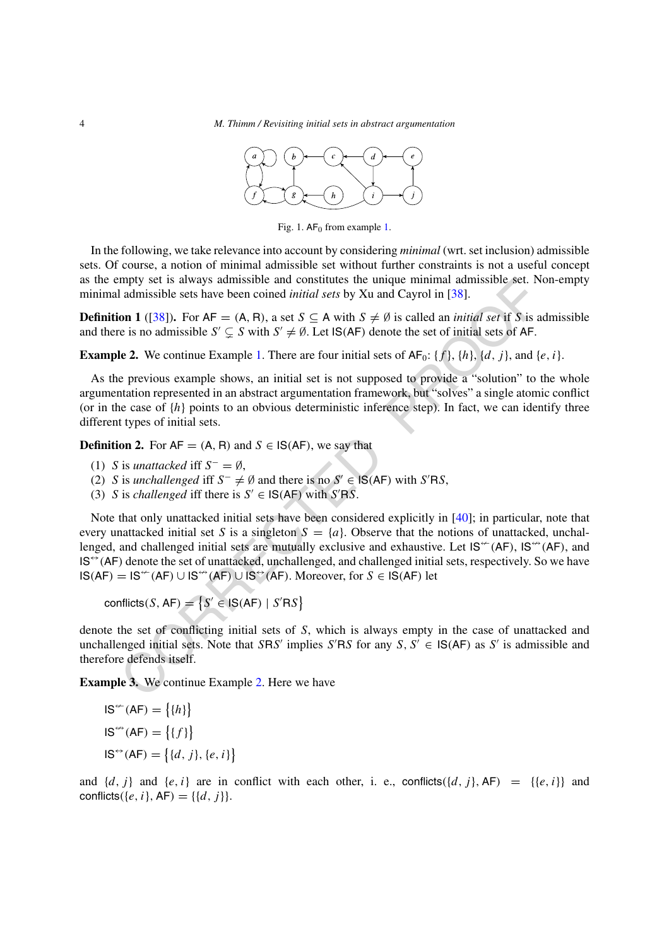

<span id="page-3-0"></span>Fig. [1.](#page-2-1)  $AF_0$  from example 1.

In the following, we take relevance into account by considering *minimal* (wrt. set inclusion) admissible sets. Of course, a notion of minimal admissible set without further constraints is not a useful concept as the empty set is always admissible and constitutes the unique minimal admissible set. Non-empty minimal admissible sets have been coined *initial sets* by Xu and Cayrol in [38].

**Definition 1** ([38]). For  $AF = (A, R)$ , a set  $S \subseteq A$  with  $S \neq \emptyset$  is called an *initial set* if *S* is admissible and there is no admissible  $S' \subsetneq S$  with  $S' \neq \emptyset$ . Let  $\text{IS}(AF)$  denote the set of initial sets of AF.

<span id="page-3-1"></span>**Example 2.** We continue Example 1. There are four initial sets of  $AF_0$ : {*f* }, {*h*}, {*d*, *j* }, and {*e, i* }.

As the previous example shows, an initial set is not supposed to provide a "solution" to the whole argumentation represented in an abstract argumentation framework, but "solves" a single atomic conflict (or in the case of  $\{h\}$  points to an obvious deterministic inference step). In fact, we can identify three different types of initial sets.

**Definition 2.** For  $AF = (A, R)$  and  $S \in IS(AF)$ , we say that

- (1) *S* is *unattacked* iff  $S^- = \emptyset$ ,
- (2) *S* is *unchallenged* iff  $S^-$  ≠ Ø and there is no  $S' \in IS(AF)$  with  $S'RS$ ,
- (3) *S* is *challenged* iff there is  $S' \in \mathsf{IS}(\mathsf{AF})$  with  $S' \mathsf{RS}$ .

mpty set is always admissible and constitutes the unique minimal admissible set. Not all admissible set have been coined *initial sets* by Xu and Cayrol in [38]. **on 1** (138). For AF = (A, R), a set  $S \subseteq A$  with  $S \neq \emptyset$  Note that only unattacked initial sets have been considered explicitly in [40]; in particular, note that every unattacked initial set *S* is a singleton  $S = \{a\}$ . Observe that the notions of unattacked, unchallenged, and challenged initial sets are mutually exclusive and exhaustive. Let  $IS^{\leftarrow}(AF)$ ,  $IS^{\leftarrow}(AF)$ , and  $IS^{\leftrightarrow}(AF)$  denote the set of unattacked, unchallenged, and challenged initial sets, respectively. So we have  $IS(AF) = IS^{\prime\prime}(AF) \cup IS^{\prime\prime}(AF) \cup IS^{\prime\prime}(AF)$ . Moreover, for  $S \in IS(AF)$  let

conflicts(S, AF) = 
$$
\{S' \in \text{IS}(AF) \mid S'RS\}
$$

denote the set of conflicting initial sets of *S*, which is always empty in the case of unattacked and unchallenged initial sets. Note that *SRS'* implies *S'RS* for any *S*,  $S' \in \mathsf{IS}(\mathsf{AF})$  as *S'* is admissible and therefore defends itself.

**Example 3.** We continue Example 2. Here we have

$$
IS^{\leftarrow}(AF) = \{\{h\}\}\
$$

$$
IS^{\leftarrow}(AF) = \{\{f\}\}\
$$

$$
IS^{\leftarrow}(AF) = \{\{d, j\}, \{e, i\}\}\
$$

and  $\{d, j\}$  and  $\{e, i\}$  are in conflict with each other, i. e., conflicts $(\{d, j\}, AF) = \{\{e, i\}\}\$  and conflicts( $\{e, i\}$ , AF) =  $\{\{d, j\}\}.$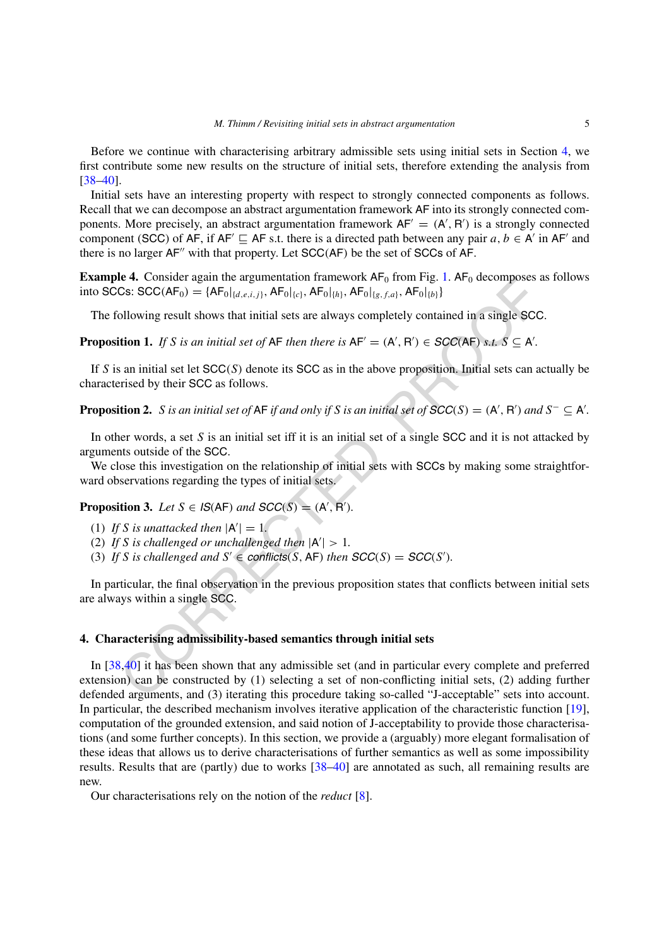Before we continue with characterising arbitrary admissible sets using initial sets in Section [4](#page-4-0), we first contribute some new results on the structure of initial sets, therefore extending the analysis from [\[38](#page-35-0)–[40\]](#page-35-2).

Initial sets have an interesting property with respect to strongly connected components as follows. Recall that we can decompose an abstract argumentation framework AF into its strongly connected components. More precisely, an abstract argumentation framework  $AF' = (A', R')$  is a strongly connected component (SCC) of AF, if AF'  $\sqsubseteq$  AF s.t. there is a directed path between any pair  $a, b \in A'$  in AF' and there is no larger  $AF''$  with that property. Let  $SCC(AF)$  be the set of SCCs of AF.

**Example 4.** Consider again the argumentation framework  $AF_0$  from Fig. [1.](#page-3-0)  $AF_0$  decomposes as follows into SCCs: SCC( $AF_0$ ) = { $AF_0|_{\{d,e,i,j\}}$ *,*  $AF_0|_{\{c\}}$ *,*  $AF_0|_{\{h\}}$ *,*  $AF_0|_{\{g,f,a\}}$ *,*  $AF_0|_{\{b\}}$ }

The following result shows that initial sets are always completely contained in a single SCC.

**Proposition 1.** If S is an initial set of AF then there is  $AF' = (A', R') \in SCC(AF)$  s.t.  $S \subseteq A'$ .

If *S* is an initial set let SCC*(S)* denote its SCC as in the above proposition. Initial sets can actually be characterised by their SCC as follows.

**Proposition 2.** S is an initial set of AF if and only if S is an initial set of  $SCC(S) = (A', B')$  and  $S^- \subseteq A'$ .

In other words, a set *S* is an initial set iff it is an initial set of a single SCC and it is not attacked by arguments outside of the SCC.

We close this investigation on the relationship of initial sets with SCCs by making some straightforward observations regarding the types of initial sets.

**Proposition 3.** *Let*  $S \in \mathcal{I}S(AF)$  *and*  $SCC(S) = (A', B').$ 

- (1) If *S* is unattacked then  $|A'| = 1$ .
- (2) If *S* is challenged or unchallenged then  $|A'| > 1$ .
- (3) If *S* is challenged and  $S' \in$  **conflicts**(*S*, **AF**) then  $SCC(S) = SCC(S')$ .

In particular, the final observation in the previous proposition states that conflicts between initial sets are always within a single SCC.

#### <span id="page-4-0"></span>**4. Characterising admissibility-based semantics through initial sets**

**EARLY [C](#page-35-2)ONSIDER and IT and Propertion EXECTS.** Then  $\text{PSL}(A|F) = (A|F_0|_{(d,e,f,f)}, AF_0|_{(g,f,e)}, AF_0|_{(g,f,e)}, AF_0|_{(g,f)}$ .  $AF_0|_{(g,f)}$ .  $AF_0|_{(g,f)}$  and  $\text{Res}(A|F)$  and  $\text{Res}(A|F)$  and  $\text{Res}(A|F)$  and  $\text{Res}(A|F)$  and  $\text{Res}(A|F)$  a In [[38,](#page-35-0)40] it has been shown that any admissible set (and in particular every complete and preferred extension) can be constructed by (1) selecting a set of non-conflicting initial sets, (2) adding further defended arguments, and (3) iterating this procedure taking so-called "J-acceptable" sets into account. In particular, the described mechanism involves iterative application of the characteristic function [\[19\]](#page-34-0), computation of the grounded extension, and said notion of J-acceptability to provide those characterisations (and some further concepts). In this section, we provide a (arguably) more elegant formalisation of these ideas that allows us to derive characterisations of further semantics as well as some impossibility results. Results that are (partly) due to works [[38](#page-35-0)[–40](#page-35-2)] are annotated as such, all remaining results are new.

Our characterisations rely on the notion of the *reduct* [\[8\]](#page-33-5).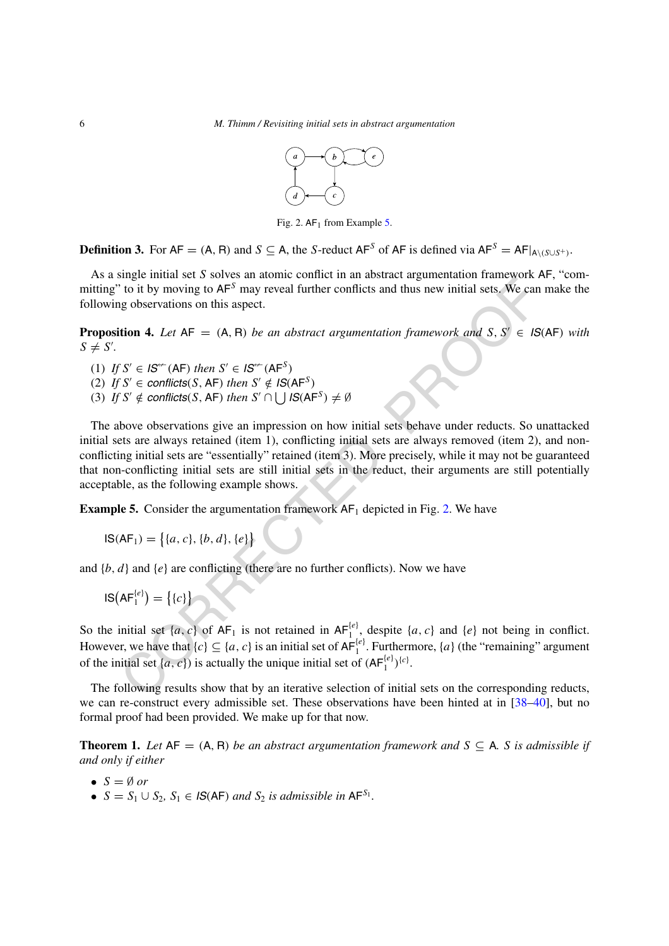

<span id="page-5-1"></span>Fig. 2.  $AF_1$  from Example [5.](#page-5-0)

**Definition 3.** For  $AF = (A, R)$  and  $S \subseteq A$ , the *S*-reduct  $AF^S$  of  $AF$  is defined via  $AF^S = AF|_{A \setminus (S \cup S^+)}$ .

As a single initial set *S* solves an atomic conflict in an abstract argumentation framework AF, "committing" to it by moving to AF*<sup>S</sup>* may reveal further conflicts and thus new initial sets. We can make the following observations on this aspect.

**Proposition 4.** *Let*  $AF = (A, R)$  *be an abstract argumentation framework and*  $S, S' \in IS(AF)$  *with*  $S \neq S'.$ 

 $(1)$  *If*  $S' \in I\mathcal{S}^{\leftarrow}(\mathsf{AF})$  *then*  $S' \in I\mathcal{S}^{\leftarrow}(\mathsf{AF}^S)$ (2) *If*  $S' \in$  *conflicts*(*S*, AF) *then*  $S' \notin IS(AF^S)$ (3) *If*  $S' \notin$  *conflicts* $(S, AF)$  *then*  $S' \cap \cup \cup \cup S$  $(AF^S) \neq \emptyset$ 

Initial set  $[ac, c]$  of  $AF_1$  and  $F_2$  and  $K_1$  and  $F_1$  and  $F_2$  and  $F_1$  and  $F_2$  and  $F_1$  and  $F_2$  and  $S$ ,  $S' \in IS$ <br>
(io it by moving to  $AF^S$  may reveal further conflicts and thus new initial sets. We can<br>
ge o The above observations give an impression on how initial sets behave under reducts. So unattacked initial sets are always retained (item 1), conflicting initial sets are always removed (item 2), and nonconflicting initial sets are "essentially" retained (item 3). More precisely, while it may not be guaranteed that non-conflicting initial sets are still initial sets in the reduct, their arguments are still potentially acceptable, as the following example shows.

<span id="page-5-0"></span>**Example 5.** Consider the argumentation framework  $AF_1$  depicted in Fig. 2. We have

$$
IS(AF_1) = \{ \{a, c\}, \{b, d\}, \{e\} \}
$$

and  $\{b, d\}$  and  $\{e\}$  are conflicting (there are no further conflicts). Now we have

$$
IS\bigl(AF_1^{\{e\}}\bigr) = \bigl\{\{c\}\bigr\}
$$

So the initial set  $\{a, c\}$  of  $AF_1$  is not retained in  $AF_1^{(e)}$ , despite  $\{a, c\}$  and  $\{e\}$  not being in conflict. However, we have that  $\{c\} \subseteq \{a, c\}$  is an initial set of  $AF_1^{[e]}$ . Furthermore,  $\{a\}$  (the "remaining" argument of the initial set  $\{a, c\}$  is actually the unique initial set of  $(AF_1^{\{e\}})^{\{c\}}$ .

The following results show that by an iterative selection of initial sets on the corresponding reducts, we can re-construct every admissible set. These observations have been hinted at in [[38](#page-35-0)[–40](#page-35-2)], but no formal proof had been provided. We make up for that now.

<span id="page-5-2"></span>**Theorem 1.** Let  $AF = (A, R)$  be an abstract argumentation framework and  $S \subseteq A$ . *S* is admissible if *and only if either*

- $S = \emptyset$  or
- $S = S_1 \cup S_2$ ,  $S_1 \in \mathcal{IS}(AF)$  *and*  $S_2$  *is admissible in*  $AF^{S_1}$ *.*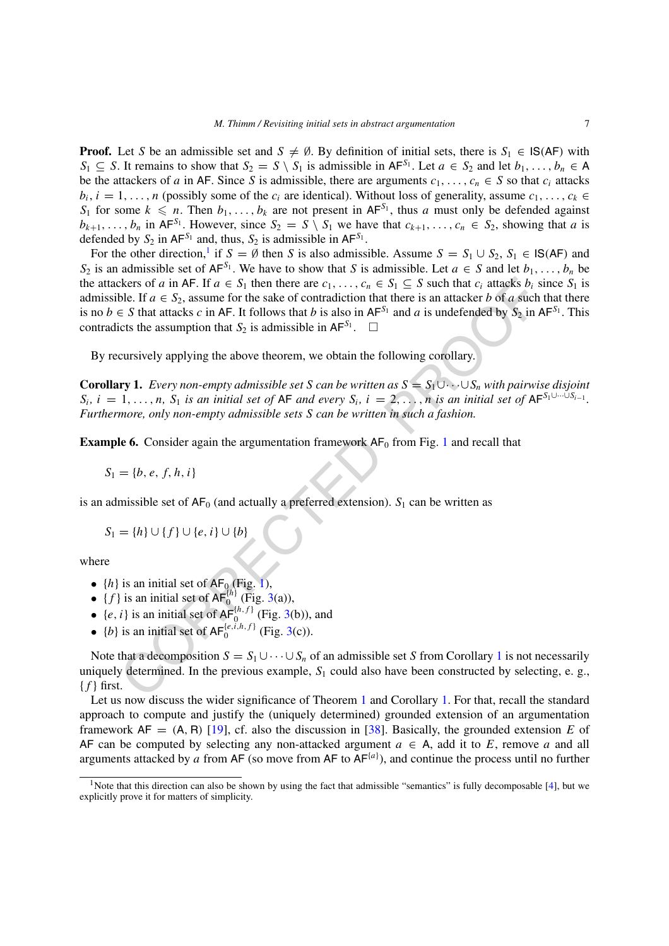**Proof.** Let *S* be an admissible set and  $S \neq \emptyset$ . By definition of initial sets, there is  $S_1 \in \mathsf{IS}(AF)$  with *S*<sup>1</sup> ⊆ *S*. It remains to show that *S*<sup>2</sup> = *S* \ *S*<sup>1</sup> is admissible in AF<sup>*S*<sup>1</sup>. Let *a* ∈ *S*<sub>2</sub> and let *b*<sub>1</sub>*,...,b<sub>n</sub></sub>* ∈ A</sup> be the attackers of *a* in AF. Since *S* is admissible, there are arguments  $c_1, \ldots, c_n \in S$  so that  $c_i$  attacks  $b_i$ ,  $i = 1, \ldots, n$  (possibly some of the  $c_i$  are identical). Without loss of generality, assume  $c_1, \ldots, c_k \in$ *S*<sub>1</sub> for some  $k \le n$ . Then  $b_1, \ldots, b_k$  are not present in AF<sup>*S*<sub>1</sub></sup>, thus *a* must only be defended against  $b_{k+1}, \ldots, b_n$  in AF<sup>S<sub>1</sub></sub>. However, since  $S_2 = S \setminus S_1$  we have that  $c_{k+1}, \ldots, c_n \in S_2$ , showing that *a* is</sup> defended by  $S_2$  in AF<sup>S<sub>1</sub></sup> and, thus,  $S_2$  is admissible in AF<sup>S<sub>1</sub></sup>.

ckers of *a* in AF. If  $a \in S_1$  then there are  $c_1, \ldots, c_n \in S_1 \subseteq S$  such that  $c_i$  attacks  $b_i$  s<br>ble. If  $a \in S_2$ , assume for the sake of contracticion that there is an attacker  $b$  of a such<br>e. S final attacks c in AF. For the other direction,<sup>1</sup> if  $S = \emptyset$  then *S* is also admissible. Assume  $S = S_1 \cup S_2$ ,  $S_1 \in \mathsf{IS}(\mathsf{AF})$  and *S*<sub>2</sub> is an admissible set of  $AF^{S_1}$ . We have to show that *S* is admissible. Let  $a \in S$  and let  $b_1, \ldots, b_n$  be the attackers of *a* in AF. If  $a \in S_1$  then there are  $c_1, \ldots, c_n \in S_1 \subseteq S$  such that  $c_i$  attacks  $b_i$  since  $S_1$  is admissible. If  $a \in S_2$ , assume for the sake of contradiction that there is an attacker *b* of *a* such that there is no *b*  $\in$  *S* that attacks *c* in AF. It follows that *b* is also in AF<sup>*S*<sub>1</sub></sub> and *a* is undefended by *S*<sub>2</sub> in AF<sup>*S*<sub>1</sub></sup>. This</sup> contradicts the assumption that  $S_2$  is admissible in  $AF^{S_1}$ .  $\Box$ 

By recursively applying the above theorem, we obtain the following corollary.

<span id="page-6-1"></span>**Corollary 1.** *Every non-empty admissible set S can be written as*  $S = S_1 \cup \cdots \cup S_n$  *with pairwise disjoint*  $S_i$ ,  $i = 1, \ldots, n$ ,  $S_1$  is an initial set of AF and every  $S_i$ ,  $i = 2, \ldots, n$  is an initial set of AF $S_1 \cup \cdots \cup S_{i-1}$ . *Furthermore, only non-empty admissible sets S can be written in such a fashion.*

**Example 6.** Consider again the argumentation framework  $AF_0$  from Fig. 1 and recall that

 $S_1 = \{b, e, f, h, i\}$ 

is an admissible set of  $AF_0$  (and actually a preferred extension).  $S_1$  can be written as

$$
S_1 = \{h\} \cup \{f\} \cup \{e, i\} \cup \{b\}
$$

where

- $\{h\}$  is an initial set of  $AF_0$  (Fig. 1),
- $\{f\}$  is an initial set of  $AF_0^{(h)}$  (Fig. 3(a)),
- {*e, i*} is an initial set of  $AF_0^{[h,f]}$  (Fig. 3(b)), and
- {*b*} is an initial set of  $AF_0^{[e,i,h,f]}$  (Fig. 3(c)).

Note that a decomposition  $S = S_1 \cup \cdots \cup S_n$  of an admissible set *S* from Corollary 1 is not necessarily uniquely determined. In the previous example,  $S_1$  could also have been constructed by selecting, e. g.,  ${f}$  first.

Let us now discuss the wider significance of Theorem [1](#page-5-2) and Corollary [1](#page-6-1). For that, recall the standard approach to compute and justify the (uniquely determined) grounded extension of an argumentation framework  $AF = (A, R)$  [[19\]](#page-34-0), cf. also the discussion in [[38\]](#page-35-0). Basically, the grounded extension *E* of AF can be computed by selecting any non-attacked argument  $a \in A$ , add it to E, remove a and all arguments attacked by *a* from AF (so move from AF to AF<sup>{*a*}</sup>), and continue the process until no further

<span id="page-6-0"></span><sup>&</sup>lt;sup>1</sup>Note that this direction can also be shown by using the fact that admissible "semantics" is fully decomposable [[4](#page-33-7)], but we explicitly prove it for matters of simplicity.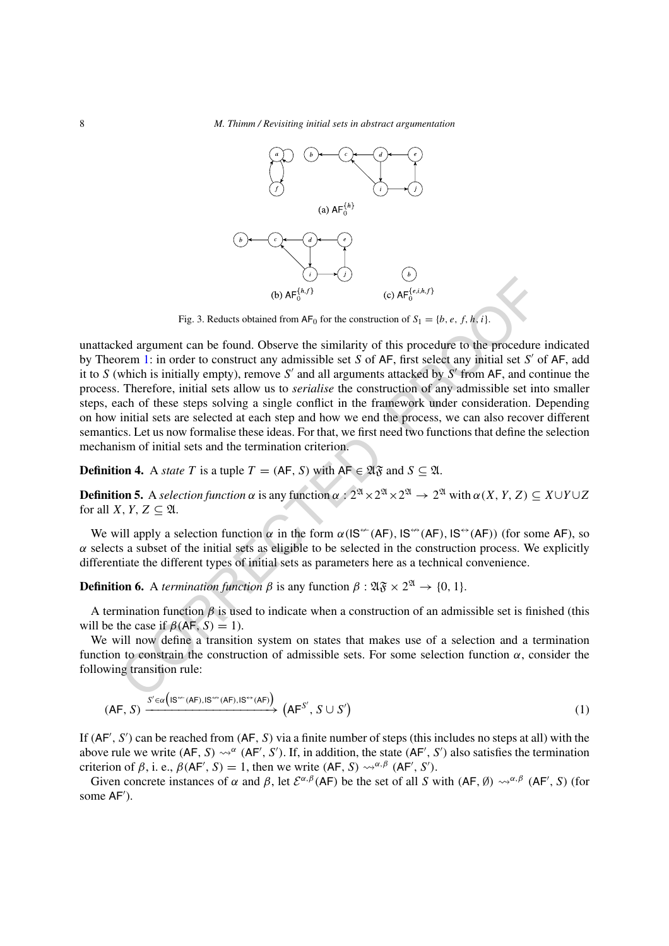8 *M. Thimm / Revisiting initial sets in abstract argumentation*



<span id="page-7-0"></span>Fig. 3. Reducts obtained from  $AF_0$  for the construction of  $S_1 = \{b, e, f, h, i\}$ .

(b)  $AF^{(b,c)}$ <br>
(c)  $kF_0^{(c,b,c)}$ <br>
(c)  $kF_0^{(c,b,c)}$ <br>
(c)  $kF_0^{(c,b,c)}$ <br>
(c)  $kF_0^{(c,b,c)}$ <br>
(c)  $kF_0^{(c,b,c)}$ <br>
(c)  $kF_0^{(c,b,c)}$ <br>
(c)  $kF_0^{(c,b,c)}$ <br>
(c)  $kF_0^{(c,b,c)}$ <br>
(c)  $kF_0^{(c,b,c)}$ <br>
(c)  $kF_0^{(c,b,c)}$ <br>
(c)  $kF_0^{(c,b,c)}$ <br>
(c)  $kF_0$ unattacked argument can be found. Observe the similarity of this procedure to the procedure indicated by Theorem 1: in order to construct any admissible set *S* of AF, first select any initial set *S* of AF, add it to  $S$  (which is initially empty), remove  $S'$  and all arguments attacked by  $S'$  from  $AF$ , and continue the process. Therefore, initial sets allow us to *serialise* the construction of any admissible set into smaller steps, each of these steps solving a single conflict in the framework under consideration. Depending on how initial sets are selected at each step and how we end the process, we can also recover different semantics. Let us now formalise these ideas. For that, we first need two functions that define the selection mechanism of initial sets and the termination criterion.

# **Definition 4.** A *state T* is a tuple  $T = (AF, S)$  with  $AF \in \mathfrak{A} \mathfrak{F}$  and  $S \subseteq \mathfrak{A}$ .

**Definition 5.** A *selection function*  $\alpha$  is any function  $\alpha : 2^{\mathfrak{A}} \times 2^{\mathfrak{A}} \times 2^{\mathfrak{A}} \to 2^{\mathfrak{A}}$  with  $\alpha(X, Y, Z) \subseteq X \cup Y \cup Z$ for all *X*, *Y*, *Z*  $\subset$  2*l*.

We will apply a selection function  $\alpha$  in the form  $\alpha$ (IS<sup>++</sup>(AF), IS<sup>++</sup>(AF), IS<sup>++</sup>(AF)) (for some AF), so  $\alpha$  selects a subset of the initial sets as eligible to be selected in the construction process. We explicitly differentiate the different types of initial sets as parameters here as a technical convenience.

**Definition 6.** A *termination function*  $\beta$  is any function  $\beta : \mathfrak{A} \mathfrak{F} \times 2^{\mathfrak{A}} \rightarrow \{0, 1\}.$ 

A termination function  $\beta$  is used to indicate when a construction of an admissible set is finished (this will be the case if  $\beta$ (AF, S) = 1).

We will now define a transition system on states that makes use of a selection and a termination function to constrain the construction of admissible sets. For some selection function  $\alpha$ , consider the following transition rule:

<span id="page-7-1"></span>
$$
(AF, S) \xrightarrow{S' \in \alpha \left( IS^{\leftarrow}(AF), IS^{\leftarrow}(AF), IS^{\leftarrow}(AF)\right)} \left( AF^{S'}, S \cup S' \right) \tag{1}
$$

If *(*AF *, S )* can be reached from *(*AF*, S)* via a finite number of steps (this includes no steps at all) with the above rule we write  $(AF, S) \rightsquigarrow^{\alpha} (AF', S')$ . If, in addition, the state  $(AF', S')$  also satisfies the termination criterion of  $\beta$ , i. e.,  $\beta$ (AF', S) = 1, then we write (AF, S)  $\rightsquigarrow^{\alpha,\beta}$  (AF', S').

Given concrete instances of  $\alpha$  and  $\beta$ , let  $\mathcal{E}^{\alpha,\beta}(AF)$  be the set of all *S* with  $(AF, \emptyset) \rightsquigarrow^{\alpha,\beta} (AF', S)$  (for some AF ).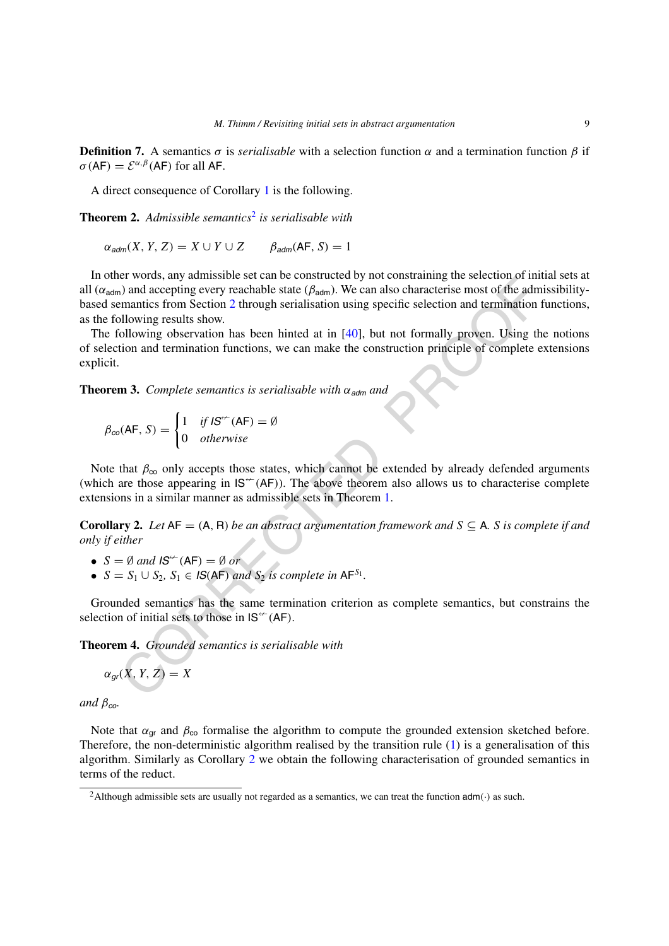**Definition 7.** A semantics *σ* is *serialisable* with a selection function *α* and a termination function *β* if  $\sigma$  (AF) =  $\mathcal{E}^{\alpha,\beta}$  (AF) for all AF.

A direct consequence of Corollary [1](#page-6-1) is the following.

**Theorem 2.** *Admissible semantics*[2](#page-8-0) *is serialisable with*

 $\alpha$ <sub>adm</sub> $(X, Y, Z) = X \cup Y \cup Z$   $\beta$ <sub>adm</sub> $(AF, S) = 1$ 

In two<br>figures and anomalisation set can be considered by interception<br>in the dividendial show.<br>The administration of the administration of the administration of the administration<br>including results show.<br>Including observ In other words, any admissible set can be constructed by not constraining the selection of initial sets at all (*α*adm) and accepting every reachable state (*β*adm). We can also characterise most of the admissibilitybased semantics from Section 2 through serialisation using specific selection and termination functions, as the following results show.

The following observation has been hinted at in  $[40]$ , but not formally proven. Using the notions of selection and termination functions, we can make the construction principle of complete extensions explicit.

<span id="page-8-2"></span>**Theorem 3.** *Complete semantics is serialisable with*  $\alpha_{\text{adm}}$  *and* 

$$
\beta_{co}(\mathsf{AF}, S) = \begin{cases} 1 & \text{if } \mathsf{IS}^{\leftarrow}(\mathsf{AF}) = \emptyset \\ 0 & \text{otherwise} \end{cases}
$$

Note that  $\beta_{\rm co}$  only accepts those states, which cannot be extended by already defended arguments (which are those appearing in  $IS^{\leftarrow}(AF)$ ). The above theorem also allows us to characterise complete extensions in a similar manner as admissible sets in Theorem 1.

<span id="page-8-1"></span>**Corollary 2.** Let  $AF = (A, R)$  be an abstract argumentation framework and  $S \subseteq A$ . S is complete if and *only if either*

- $S = \emptyset$  and  $IS^{\leftarrow}(AF) = \emptyset$  or
- $S = S_1 \cup S_2$ ,  $S_1 \in \mathcal{B}(AF)$  *and*  $S_2$  *is complete in*  $AF^{S_1}$ *.*

Grounded semantics has the same termination criterion as complete semantics, but constrains the selection of initial sets to those in  $IS^{\leftarrow}(AF)$ .

**Theorem 4.** *Grounded semantics is serialisable with*

$$
\alpha_{gr}(X, Y, Z) = X
$$

*and*  $\beta_{co}$ *.* 

Note that  $\alpha_{\text{qr}}$  and  $\beta_{\text{co}}$  formalise the algorithm to compute the grounded extension sketched before. Therefore, the non-deterministic algorithm realised by the transition rule [\(1\)](#page-7-1) is a generalisation of this algorithm. Similarly as Corollary [2](#page-8-1) we obtain the following characterisation of grounded semantics in terms of the reduct.

<span id="page-8-0"></span><sup>2</sup>Although admissible sets are usually not regarded as a semantics, we can treat the function adm*(*·*)* as such.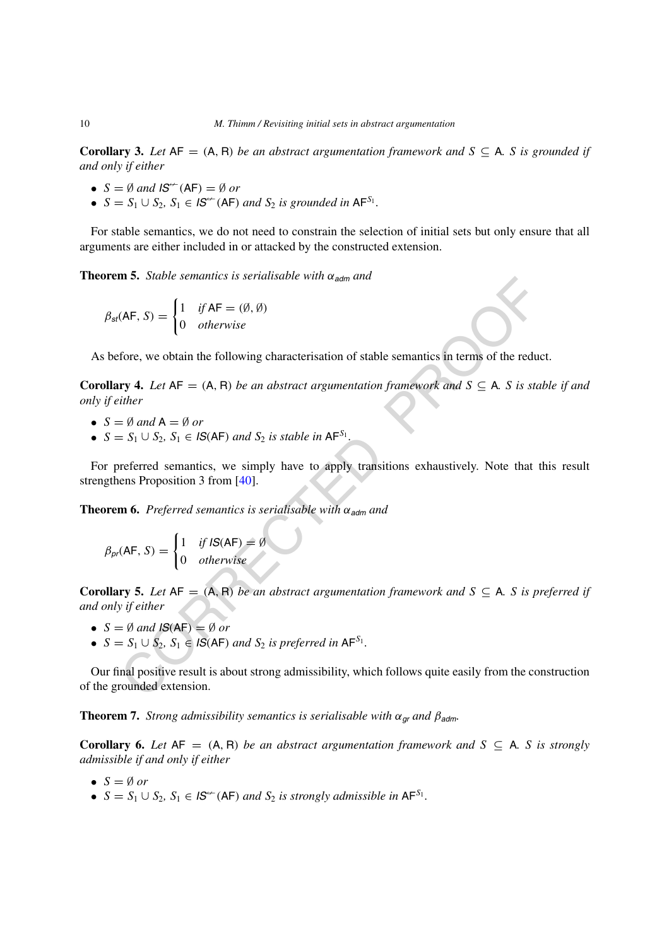**Corollary 3.** Let  $AF = (A, R)$  be an abstract argumentation framework and  $S \subseteq A$ . *S* is grounded if *and only if either*

- $S = \emptyset$  and  $\text{IS}^{\leftarrow}(\text{AF}) = \emptyset$  or
- $S = S_1 \cup S_2$ ,  $S_1 \in \mathcal{S}^{\leftarrow}(\mathsf{AF})$  *and*  $S_2$  *is grounded in*  $\mathsf{AF}^{S_1}$ *.*

For stable semantics, we do not need to constrain the selection of initial sets but only ensure that all arguments are either included in or attacked by the constructed extension.

**Theorem 5.** *Stable semantics is serialisable with*  $\alpha_{\text{adm}}$  *and* 

$$
\beta_{st}(\mathsf{AF}, S) = \begin{cases} 1 & \text{if } \mathsf{AF} = (\emptyset, \emptyset) \\ 0 & \text{otherwise} \end{cases}
$$

As before, we obtain the following characterisation of stable semantics in terms of the reduct.

**Corollary 4.** Let  $AF = (A, R)$  be an abstract argumentation framework and  $S \subseteq A$ . S is stable if and *only if either*

- $S = \emptyset$  and  $A = \emptyset$  or
- $S = S_1 \cup S_2$ ,  $S_1 \in \text{IS}(AF)$  *and*  $S_2$  *is stable in*  $AF^{S_1}$ *.*

For preferred semantics, we simply have to apply transitions exhaustively. Note that this result strengthens Proposition 3 from [40].

**Theorem 6.** Preferred semantics is serialisable with  $\alpha_{\text{adm}}$  and

$$
\beta_{pr}(AF, S) = \begin{cases} 1 & \text{if } IS(AF) = \emptyset \\ 0 & \text{otherwise} \end{cases}
$$

**Corollary 5.** Let  $AF = (A, R)$  be an abstract argumentation framework and  $S \subseteq A$ . *S* is preferred if *and only if either*

- $S = \emptyset$  and  $IS(AF) = \emptyset$  or
- $S = S_1 \cup S_2$ ,  $S_1 \in \mathcal{IS}(AF)$  *and*  $S_2$  *is preferred in*  $AF^{S_1}$ *.*

**EVALUATE:**  $S$  *Salare semantics is serialisable with*  $\alpha_{\text{adm}}$  *and*<br>
(AF, S) =  $\begin{cases} 1 & \text{if AF} = (\theta, \theta) \\ 0 & \text{otherwise} \end{cases}$ <br>
force, we obtain the following characterisation of stable semantics in terms of the reductive<br>  $\alpha$ Our final positive result is about strong admissibility, which follows quite easily from the construction of the grounded extension.

**Theorem 7.** *Strong admissibility semantics is serialisable with*  $\alpha_{gr}$  *and*  $\beta_{adm}$ *.* 

**Corollary 6.** Let  $AF = (A, R)$  be an abstract argumentation framework and  $S \subseteq A$ . *S* is strongly *admissible if and only if either*

- $S = \emptyset$  *or*
- $S = S_1 \cup S_2$ ,  $S_1 \in \mathcal{S}^{\leftarrow}(\mathsf{A}\mathsf{F})$  *and*  $S_2$  *is strongly admissible in*  $\mathsf{A}\mathsf{F}^{S_1}$ *.*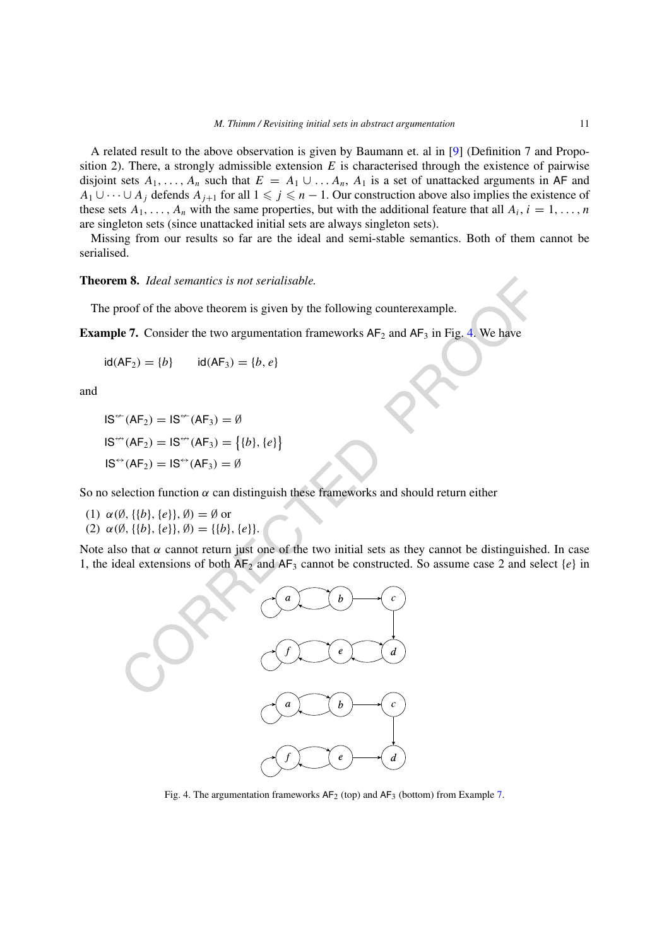A related result to the above observation is given by Baumann et. al in [[9](#page-33-8)] (Definition 7 and Proposition 2). There, a strongly admissible extension *E* is characterised through the existence of pairwise disjoint sets  $A_1, \ldots, A_n$  such that  $E = A_1 \cup \ldots A_n$ ,  $A_1$  is a set of unattacked arguments in AF and *A*<sub>1</sub> ∪ ··· ∪ *A<sub>j</sub>* defends *A*<sub>*j*+1</sub> for all  $1 \leq j \leq n - 1$ . Our construction above also implies the existence of these sets  $A_1, \ldots, A_n$  with the same properties, but with the additional feature that all  $A_i, i = 1, \ldots, n$ are singleton sets (since unattacked initial sets are always singleton sets).

Missing from our results so far are the ideal and semi-stable semantics. Both of them cannot be serialised.

#### **Theorem 8.** *Ideal semantics is not serialisable.*

The proof of the above theorem is given by the following counterexample.

<span id="page-10-1"></span>**Example 7.** Consider the two argumentation frameworks  $AF_2$  and  $AF_3$  in Fig. 4. We have

$$
id(AF_2) = \{b\}
$$
  $id(AF_3) = \{b, e\}$ 

and

$$
IS^{\leftarrow}(AF_2) = IS^{\leftarrow}(AF_3) = \emptyset
$$
  

$$
IS^{\leftarrow}(AF_2) = IS^{\leftarrow}(AF_3) = \{ \{b\}, \{e\} \}
$$
  

$$
IS^{\leftarrow}(AF_2) = IS^{\leftarrow}(AF_3) = \emptyset
$$

So no selection function  $\alpha$  can distinguish these frameworks and should return either

- (1) *α(*∅*,*{{*b*}*,*{*e*}}*,* ∅*)* = ∅ or
- (2)  $\alpha(\emptyset, \{\{b\}, \{e\}\}, \emptyset) = \{\{b\}, \{e\}\}.$

Note also that  $\alpha$  cannot return just one of the two initial sets as they cannot be distinguished. In case 1, the ideal extensions of both  $AF_2$  and  $AF_3$  cannot be constructed. So assume case 2 and select  $\{e\}$  in



<span id="page-10-0"></span>Fig. 4. The argumentation frameworks  $AF_2$  (top) and  $AF_3$  (bottom) from Example [7.](#page-10-1)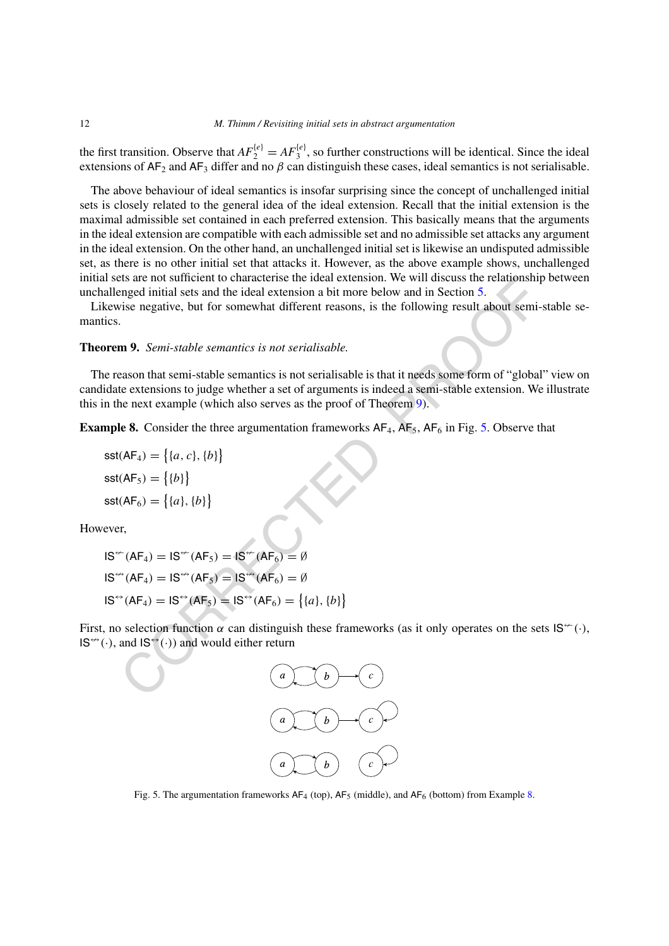the first transition. Observe that  $AF_2^{[e]} = AF_3^{[e]}$ , so further constructions will be identical. Since the ideal extensions of  $AF_2$  and  $AF_3$  differ and no  $\beta$  can distinguish these cases, ideal semantics is not serialisable.

The above behaviour of ideal semantics is insofar surprising since the concept of unchallenged initial sets is closely related to the general idea of the ideal extension. Recall that the initial extension is the maximal admissible set contained in each preferred extension. This basically means that the arguments in the ideal extension are compatible with each admissible set and no admissible set attacks any argument in the ideal extension. On the other hand, an unchallenged initial set is likewise an undisputed admissible set, as there is no other initial set that attacks it. However, as the above example shows, unchallenged initial sets are not sufficient to characterise the ideal extension. We will discuss the relationship between unchallenged initial sets and the ideal extension a bit more below and in Section 5.

Likewise negative, but for somewhat different reasons, is the following result about semi-stable semantics.

#### <span id="page-11-0"></span>**Theorem 9.** *Semi-stable semantics is not serialisable.*

Est are not surrent to characterise the local extension. We will discuss the relationship<br>tinged initial sets an the ideal extension a bit more below and in Section 5.<br>
Since negative, but for somewhat different reasons, The reason that semi-stable semantics is not serialisable is that it needs some form of "global" view on candidate extensions to judge whether a set of arguments is indeed a semi-stable extension. We illustrate this in the next example (which also serves as the proof of Theorem 9).

<span id="page-11-2"></span>**Example 8.** Consider the three argumentation frameworks  $AF_4$ ,  $AF_5$ ,  $AF_6$  in Fig. 5. Observe that

$$
sst(AF_4) = \{(a, c), \{b\}\}\
$$

$$
sst(AF_5) = \{\{b\}\}\
$$

$$
sst(AF_6) = \{\{a\}, \{b\}\}\
$$

However,

IS-*(*AF4*)* <sup>=</sup> IS-*(*AF5*)* <sup>=</sup> IS-*(*AF6*)* = ∅ IS*(*AF4*)* <sup>=</sup> IS*(*AF5*)* <sup>=</sup> IS*(*AF6*)* = ∅ IS<sup>↔</sup>*(*AF4*)* = IS<sup>↔</sup>*(*AF5*)* = IS<sup>↔</sup>*(*AF6*)* = -{*a*}*,*{*b*}

First, no selection function  $\alpha$  can distinguish these frameworks (as it only operates on the sets  $\mathsf{IS}^{\neq}(\cdot)$ ,  $\mathsf{IS}^{\leftrightarrow}(\cdot)$ , and  $\mathsf{IS}^{\leftrightarrow}(\cdot)$  and would either return

 $\mathcal{E}$ 



<span id="page-11-1"></span>Fig. 5. The argumentation frameworks  $AF_4$  (top),  $AF_5$  (middle), and  $AF_6$  (bottom) from Example [8.](#page-11-2)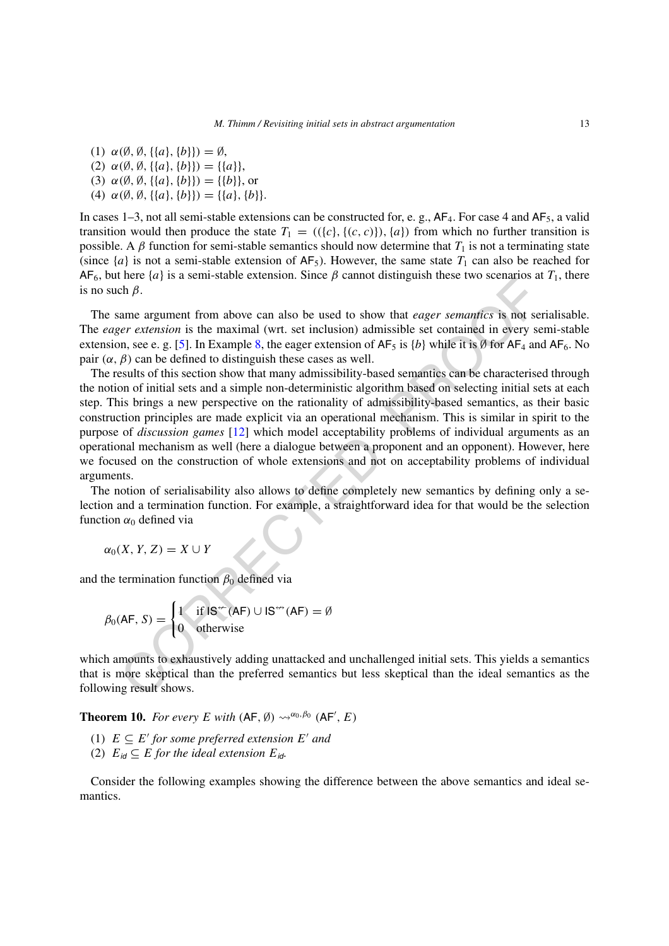- (1)  $\alpha$  (β, β, {{a}, {b}}) = β,
- (2) *α(*∅*,* ∅*,*{{*a*}*,*{*b*}}*)* = {{*a*}},
- (3)  $\alpha(\emptyset, \emptyset, \{\{a\}, \{b\}\}) = \{\{b\}\}\$ , or
- (4)  $\alpha(\emptyset, \emptyset, \{\{a\}, \{b\}\}) = \{\{a\}, \{b\}\}.$

In cases 1–3, not all semi-stable extensions can be constructed for, e. g.,  $AF_4$ . For case 4 and  $AF_5$ , a valid transition would then produce the state  $T_1 = (({c}, {c})$ ,  ${(c, c)}$ ,  ${(a)}$  from which no further transition is possible. A  $\beta$  function for semi-stable semantics should now determine that  $T_1$  is not a terminating state (since  $\{a\}$  is not a semi-stable extension of  $AF_5$ ). However, the same state  $T_1$  can also be reached for  $AF_6$ , but here {*a*} is a semi-stable extension. Since  $\beta$  cannot distinguish these two scenarios at  $T_1$ , there is no such *β*.

The same argument from above can also be used to show that *eager semantics* is not serialisable. The *eager extension* is the maximal (wrt. set inclusion) admissible set contained in every semi-stable extension, see e. g. [5]. In Example 8, the eager extension of  $AF_5$  is  $\{b\}$  while it is Ø for  $AF_4$  and  $AF_6$ . No pair  $(\alpha, \beta)$  can be defined to distinguish these cases as well.

Then a gay parameter continuous continuous simple by cannot distinguish incise two sections and<br>anne argument from above can also be used to show that *eager semantics* is not see<br>*re retension* is the maximal (wrt. set i The results of this section show that many admissibility-based semantics can be characterised through the notion of initial sets and a simple non-deterministic algorithm based on selecting initial sets at each step. This brings a new perspective on the rationality of admissibility-based semantics, as their basic construction principles are made explicit via an operational mechanism. This is similar in spirit to the purpose of *discussion games* [12] which model acceptability problems of individual arguments as an operational mechanism as well (here a dialogue between a proponent and an opponent). However, here we focused on the construction of whole extensions and not on acceptability problems of individual arguments.

The notion of serialisability also allows to define completely new semantics by defining only a selection and a termination function. For example, a straightforward idea for that would be the selection function  $\alpha_0$  defined via

 $\alpha_0(X, Y, Z) = X \cup Y$ 

and the termination function  $\beta_0$  defined via

$$
\beta_0(\mathsf{AF}, S) = \begin{cases} 1 & \text{if } \mathsf{IS}^\leftarrow(\mathsf{AF}) \cup \mathsf{IS}^\leftarrow(\mathsf{AF}) = \emptyset \\ 0 & \text{otherwise} \end{cases}
$$

which amounts to exhaustively adding unattacked and unchallenged initial sets. This yields a semantics that is more skeptical than the preferred semantics but less skeptical than the ideal semantics as the following result shows.

<span id="page-12-0"></span>**Theorem 10.** *For every E with*  $(AF, \emptyset) \rightsquigarrow^{\alpha_0, \beta_0} (AF', E)$ 

- (1)  $E \subseteq E'$  *for some preferred extension*  $E'$  *and*
- (2)  $E_{id} \subseteq E$  *for the ideal extension*  $E_{id}$ .

Consider the following examples showing the difference between the above semantics and ideal semantics.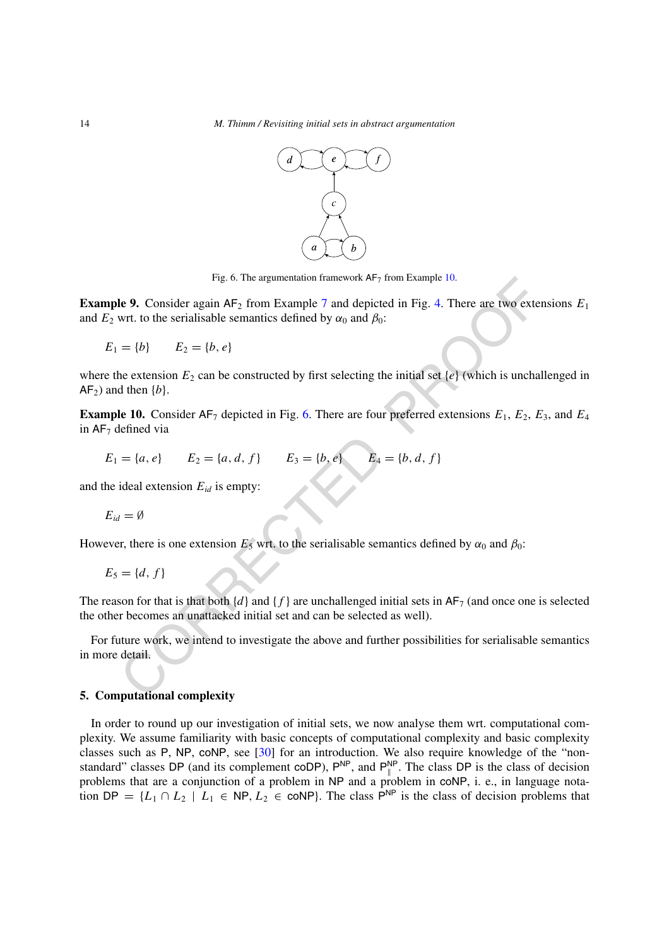

<span id="page-13-2"></span>Fig. 6. The argumentation framework  $AF_7$  from Example [10.](#page-13-1)

**Example 9.** Consider again  $AF_2$  from Example 7 and depicted in Fig. 4. There are two extensions  $E_1$ and  $E_2$  wrt. to the serialisable semantics defined by  $\alpha_0$  and  $\beta_0$ :

 $E_1 = \{b\}$   $E_2 = \{b, e\}$ 

Fig. 6. The argumentation framework AF7 from Example 10.<br>
Le 9. Consider again AF<sub>2</sub> from Example 7 and depicted in Fig. 4. There are two externed.<br>
Writ. to the serialisable semantics defined by  $\alpha_0$  and  $\beta_0$ :<br>  $= \{b$ where the extension  $E_2$  can be constructed by first selecting the initial set  $\{e\}$  (which is unchallenged in  $AF<sub>2</sub>$ ) and then  ${b}$ .

<span id="page-13-1"></span>**Example 10.** Consider  $AF_7$  depicted in Fig. 6. There are four preferred extensions  $E_1$ ,  $E_2$ ,  $E_3$ , and  $E_4$ in  $AF<sub>7</sub>$  defined via

$$
E_1 = \{a, e\} \qquad E_2 = \{a, d, f\} \qquad E_3 = \{b, e\} \qquad E_4 = \{b, d, f\}
$$

and the ideal extension  $E_{id}$  is empty:

$$
E_{id} = \emptyset
$$

However, there is one extension  $E_5$  wrt. to the serialisable semantics defined by  $\alpha_0$  and  $\beta_0$ :

$$
E_5 = \{d, f\}
$$

The reason for that is that both  $\{d\}$  and  $\{f\}$  are unchallenged initial sets in  $AF_7$  (and once one is selected the other becomes an unattacked initial set and can be selected as well).

For future work, we intend to investigate the above and further possibilities for serialisable semantics in more detail.

#### <span id="page-13-0"></span>**5. Computational complexity**

In order to round up our investigation of initial sets, we now analyse them wrt. computational complexity. We assume familiarity with basic concepts of computational complexity and basic complexity classes such as P, NP, coNP, see [\[30](#page-34-14)] for an introduction. We also require knowledge of the "nonstandard" classes DP (and its complement coDP),  $P^{NP}$ , and  $P_{\parallel}^{NP}$ . The class DP is the class of decision problems that are a conjunction of a problem in NP and a problem in coNP, i. e., in language notation DP =  $\{L_1 \cap L_2 \mid L_1 \in \text{NP}, L_2 \in \text{coNP}\}\$ . The class P<sup>NP</sup> is the class of decision problems that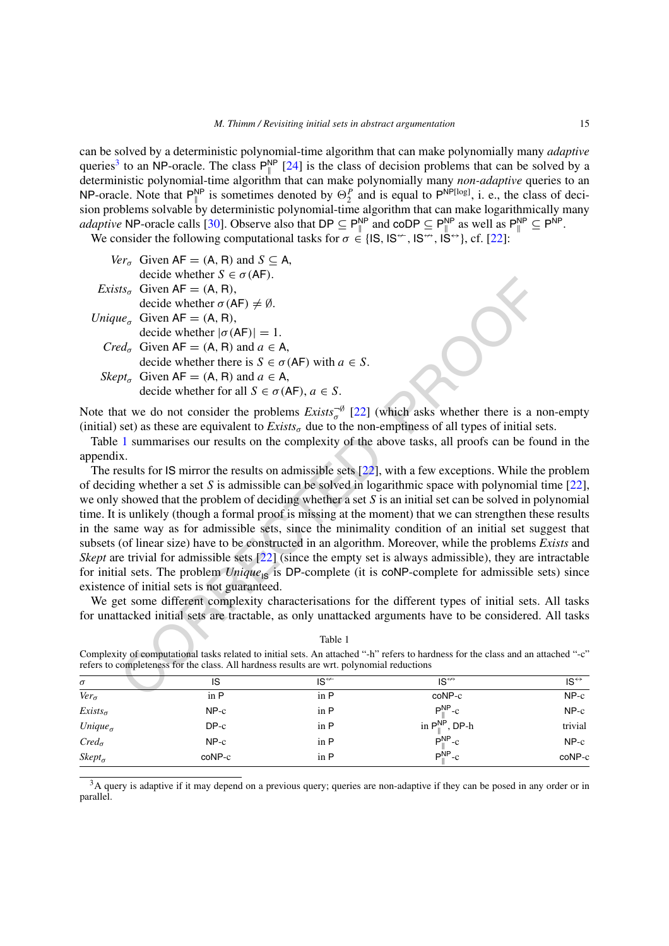can be solved by a deterministic polynomial-time algorithm that can make polynomially many *adaptive* queries<sup>3</sup> to an NP-oracle. The class  $P_{\parallel}^{NP}$  [[24\]](#page-34-15) is the class of decision problems that can be solved by a deterministic polynomial-time algorithm that can make polynomially many *non-adaptive* queries to an NP-oracle. Note that  $P_{\parallel}^{NP}$  is sometimes denoted by  $\Theta_2^P$  and is equal to  $P^{NP[log]}$ , i. e., the class of decision problems solvable by deterministic polynomial-time algorithm that can make logarithmically many *adaptive* NP-oracle calls [[30\]](#page-34-14). Observe also that DP  $\subseteq P_{\parallel}^{\text{NP}}$  and  $\text{coDP} \subseteq P_{\parallel}^{\text{NP}}$  as well as  $P_{\parallel}^{\text{NP}} \subseteq P^{\text{NP}}$ . We consider the following computational tasks for  $\sigma \in \{1S, 1S^{\leftrightarrow}, 1S^{\leftrightarrow}, 1S^{\leftrightarrow}\},$  cf. [\[22](#page-34-16)]:



Note that we do not consider the problems  $Exists_{\sigma}^{-\emptyset}$  [22] (which asks whether there is a non-empty (initial) set) as these are equivalent to  $Exists<sub>σ</sub>$  due to the non-emptiness of all types of initial sets.

Table 1 summarises our results on the complexity of the above tasks, all proofs can be found in the appendix.

Let we have the wind to  $\epsilon e_{\alpha}$  (iver).<br>
Let  $\epsilon$  Given AF = (A, B),<br>
decide whether  $[\sigma (AF)] = 1$ .<br>  $\epsilon e_{\alpha}$  Given AF = (A, B), and  $a \in A$ ,<br>
decide whether there is  $\delta \in \sigma (AF)$  with  $a \in S$ .<br>  $\sigma u_{\alpha}$  decide whether for The results for IS mirror the results on admissible sets [22], with a few exceptions. While the problem of deciding whether a set *S* is admissible can be solved in logarithmic space with polynomial time [\[22](#page-34-16)], we only showed that the problem of deciding whether a set *S* is an initial set can be solved in polynomial time. It is unlikely (though a formal proof is missing at the moment) that we can strengthen these results in the same way as for admissible sets, since the minimality condition of an initial set suggest that subsets (of linear size) have to be constructed in an algorithm. Moreover, while the problems *Exists* and *Skept* are trivial for admissible sets [22] (since the empty set is always admissible), they are intractable for initial sets. The problem *Unique*<sub>IS</sub> is DP-complete (it is coNP-complete for admissible sets) since existence of initial sets is not guaranteed.

We get some different complexity characterisations for the different types of initial sets. All tasks for unattacked initial sets are tractable, as only unattacked arguments have to be considered. All tasks

<span id="page-14-1"></span>

| $\sigma$           | IS                    | $IS^{\nleftrightarrow}$ | $IS^{\leftrightarrow}$              | $IS^{\leftrightarrow}$ |
|--------------------|-----------------------|-------------------------|-------------------------------------|------------------------|
| $Ver_{\sigma}$     | $\operatorname{in} P$ | in P                    | coNP-c                              | $NP-c$                 |
| $Exists_{\sigma}$  | $NP-c$                | in P                    | $P^{\text{NP}}_{\shortparallel}$ -c | $NP-c$                 |
| Unique $_{\sigma}$ | $DP-c$                | in P                    | in $P_{\parallel}^{NP}$ , DP-h      | trivial                |
| $Cred_{\sigma}$    | $NP-c$                | in P                    | $P_{\shortparallel}^{\text{NP}}$ -c | $NP-c$                 |
| $Skept_{\sigma}$   | coNP-c                | in P                    | $PIINP-c$                           | coNP-c                 |

Table 1 Complexity of computational tasks related to initial sets. An attached "-h" refers to hardness for the class and an attached "-c" refers to completeness for the class. All hardness results are wrt. polynomial reductions

<span id="page-14-0"></span><sup>3</sup>A query is adaptive if it may depend on a previous query; queries are non-adaptive if they can be posed in any order or in parallel.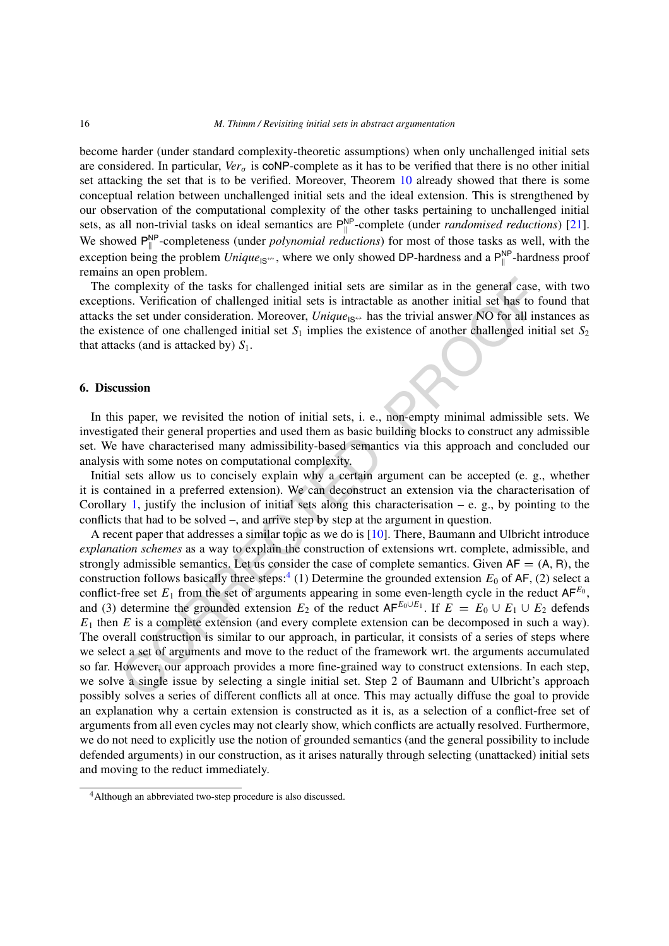become harder (under standard complexity-theoretic assumptions) when only unchallenged initial sets are considered. In particular,  $Ver_{\sigma}$  is coNP-complete as it has to be verified that there is no other initial set attacking the set that is to be verified. Moreover, Theorem [10](#page-12-0) already showed that there is some conceptual relation between unchallenged initial sets and the ideal extension. This is strengthened by our observation of the computational complexity of the other tasks pertaining to unchallenged initial sets, as all non-trivial tasks on ideal semantics are  $P_{\parallel}^{NP}$ -complete (under *randomised reductions*) [\[21](#page-34-17)]. We showed  $P_{\parallel}^{NP}$ -completeness (under *polynomial reductions*) for most of those tasks as well, with the exception being the problem  $\textit{Unique}_{\text{IS}}$ , where we only showed DP-hardness and a  $\mathsf{P}_{\parallel}^{\text{NP}}$ -hardness proof remains an open problem.

The complexity of the tasks for challenged initial sets are similar as in the general case, with two exceptions. Verification of challenged initial sets is intractable as another initial set has to found that attacks the set under consideration. Moreover, *Unique*<sub>IS</sub> $\leftrightarrow$  has the trivial answer NO for all instances as the existence of one challenged initial set  $S_1$  implies the existence of another challenged initial set  $S_2$ that attacks (and is attacked by)  $S_1$ .

## <span id="page-15-0"></span>**6. Discussion**

In this paper, we revisited the notion of initial sets, i. e., non-empty minimal admissible sets. We investigated their general properties and used them as basic building blocks to construct any admissible set. We have characterised many admissibility-based semantics via this approach and concluded our analysis with some notes on computational complexity.

Initial sets allow us to concisely explain why a certain argument can be accepted (e. g., whether it is contained in a preferred extension). We can deconstruct an extension via the characterisation of Corollary 1, justify the inclusion of initial sets along this characterisation – e. g., by pointing to the conflicts that had to be solved –, and arrive step by step at the argument in question.

complexity of the tasks for challenged initial sets are similar as in the general case,<br>non-<br>complexity of the tasks for challenged initial sets is intractable as another initial sets has too<br>the set under consideration. A recent paper that addresses a similar topic as we do is [10]. There, Baumann and Ulbricht introduce *explanation schemes* as a way to explain the construction of extensions wrt. complete, admissible, and strongly admissible semantics. Let us consider the case of complete semantics. Given  $AF = (A, R)$ , the construction follows basically three steps:<sup>4</sup> (1) Determine the grounded extension  $E_0$  of AF, (2) select a conflict-free set  $E_1$  from the set of arguments appearing in some even-length cycle in the reduct  $AF^{E_0}$ , and (3) determine the grounded extension  $E_2$  of the reduct  $AF^{E_0 \cup E_1}$ . If  $E = E_0 \cup E_1 \cup E_2$  defends  $E_1$  then  $E$  is a complete extension (and every complete extension can be decomposed in such a way). The overall construction is similar to our approach, in particular, it consists of a series of steps where we select a set of arguments and move to the reduct of the framework wrt. the arguments accumulated so far. However, our approach provides a more fine-grained way to construct extensions. In each step, we solve a single issue by selecting a single initial set. Step 2 of Baumann and Ulbricht's approach possibly solves a series of different conflicts all at once. This may actually diffuse the goal to provide an explanation why a certain extension is constructed as it is, as a selection of a conflict-free set of arguments from all even cycles may not clearly show, which conflicts are actually resolved. Furthermore, we do not need to explicitly use the notion of grounded semantics (and the general possibility to include defended arguments) in our construction, as it arises naturally through selecting (unattacked) initial sets and moving to the reduct immediately.

<span id="page-15-1"></span><sup>&</sup>lt;sup>4</sup>Although an abbreviated two-step procedure is also discussed.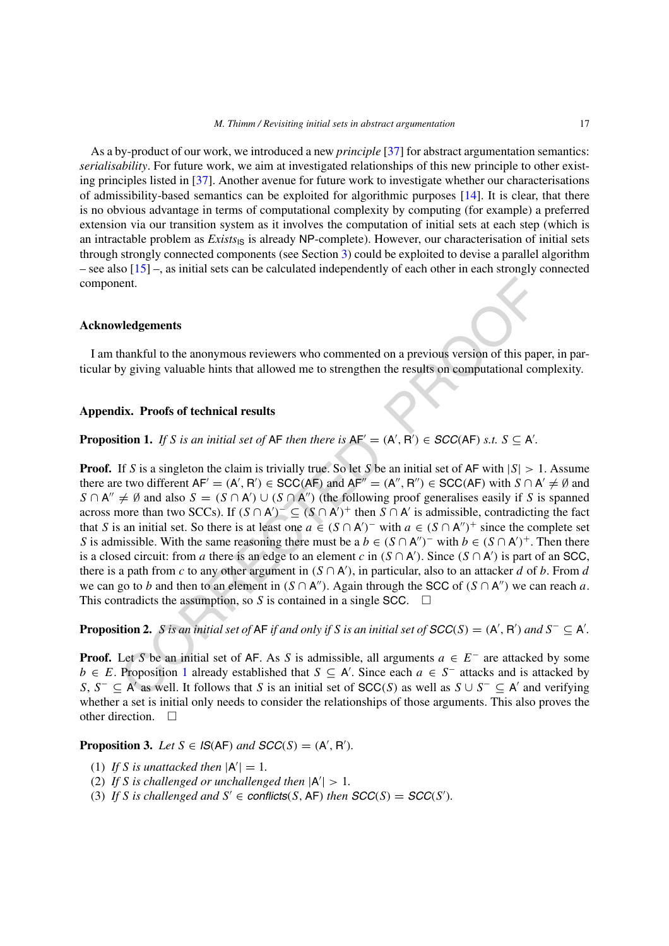As a by-product of our work, we introduced a new *principle* [[37\]](#page-34-18) for abstract argumentation semantics: *serialisability*. For future work, we aim at investigated relationships of this new principle to other existing principles listed in [\[37](#page-34-18)]. Another avenue for future work to investigate whether our characterisations of admissibility-based semantics can be exploited for algorithmic purposes [\[14](#page-34-19)]. It is clear, that there is no obvious advantage in terms of computational complexity by computing (for example) a preferred extension via our transition system as it involves the computation of initial sets at each step (which is an intractable problem as *Exists*<sub>IS</sub> is already NP-complete). However, our characterisation of initial sets through strongly connected components (see Section [3](#page-2-0)) could be exploited to devise a parallel algorithm – see also [\[15](#page-34-20)] –, as initial sets can be calculated independently of each other in each strongly connected component.

#### **Acknowledgements**

I am thankful to the anonymous reviewers who commented on a previous version of this paper, in particular by giving valuable hints that allowed me to strengthen the results on computational complexity.

# **Appendix. Proofs of technical results**

<span id="page-16-0"></span>**Proposition 1.** If S is an initial set of AF then there is  $AF' = (A', B') \in SCC(AF)$  s.t.  $S \subseteq A'$ .

ent.<br> **Example 19**<br> **C[O](#page-16-0)RRECTED**<br> **Example 19**<br> **CORRECTED**<br> **Example 19**<br> **EXECTED**<br> **EXECTED**<br> **EXECTED**<br> **EXECTED**<br> **EXECTED**<br> **EXECTED**<br> **EXECTED**<br> **EXECTED**<br> **EXECTED**<br> **EXECTED**<br> **EXECTED**<br> **EXECTED**<br> **EXECTED**<br> **EXE Proof.** If *S* is a singleton the claim is trivially true. So let *S* be an initial set of AF with |*S*| *>* 1. Assume there are two different  $AF' = (A', R') \in SCC(AF)$  and  $AF'' = (A'', R'') \in SCC(AF)$  with  $S \cap A' \neq \emptyset$  and *S* ∩ A''  $\neq$  Ø and also *S* = (*S* ∩ A') ∪ (*S* ∩ A'') (the following proof generalises easily if *S* is spanned across more than two SCCs). If  $(S \cap A')^{-} \subseteq (S \cap A')^{+}$  then  $S \cap A'$  is admissible, contradicting the fact that *S* is an initial set. So there is at least one  $a \in (S \cap A')^-$  with  $a \in (S \cap A'')^+$  since the complete set *S* is admissible. With the same reasoning there must be a  $b \in (S \cap A'')^-$  with  $b \in (S \cap A')^+$ . Then there is a closed circuit: from *a* there is an edge to an element *c* in  $(S \cap A')$ . Since  $(S \cap A')$  is part of an SCC, there is a path from *c* to any other argument in  $(S \cap A')$ , in particular, also to an attacker *d* of *b*. From *d* we can go to *b* and then to an element in  $(S \cap A'')$ . Again through the SCC of  $(S \cap A'')$  we can reach *a*. This contradicts the assumption, so *S* is contained in a single SCC.  $\Box$ 

**Proposition 2.** *S* is an initial set of AF if and only if S is an initial set of  $SCC(S) = (A', B')$  and  $S^- \subseteq A'$ .

**Proof.** Let *S* be an initial set of AF. As *S* is admissible, all arguments *a* ∈ *E*<sup>−</sup> are attacked by some *b* ∈ *E*. Proposition 1 already established that *S* ⊆ A . Since each *a* ∈ *S*<sup>−</sup> attacks and is attacked by *S*, *S*<sup>−</sup> ⊆ A' as well. It follows that *S* is an initial set of SCC(*S*) as well as  $S \cup S^-$  ⊆ A' and verifying whether a set is initial only needs to consider the relationships of those arguments. This also proves the other direction.  $\square$ 

**Proposition 3.** *Let*  $S \in \mathcal{S}(AF)$  *and*  $SCC(S) = (A', R').$ 

- (1) If *S* is unattacked then  $|A'| = 1$ .
- (2) If *S* is challenged or unchallenged then  $|A'| > 1$ .
- (3) If *S* is challenged and  $S' \in$  **conflicts**(*S*, **AF**) then  $SCC(S) = SCC(S')$ .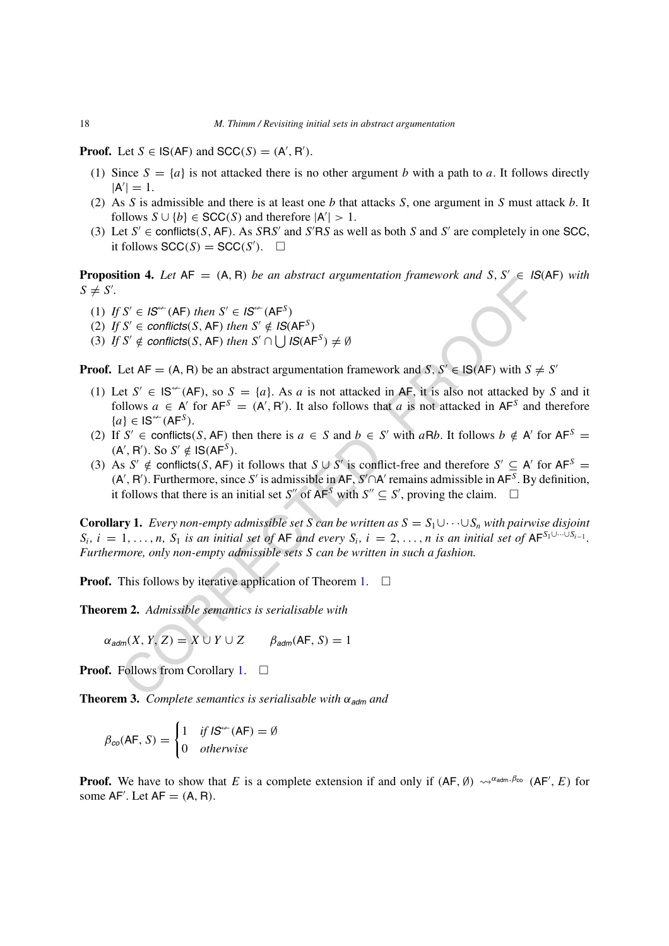**Proof.** Let  $S \in \mathsf{IS}(AF)$  and  $SCC(S) = (A', R')$ .

- (1) Since  $S = \{a\}$  is not attacked there is no other argument *b* with a path to *a*. It follows directly  $|A'| = 1.$
- (2) As *S* is admissible and there is at least one *b* that attacks *S*, one argument in *S* must attack *b*. It follows  $S \cup \{b\} \in SCC(S)$  and therefore  $|A'| > 1$ .
- (3) Let  $S' \in$  conflicts(S, AF). As SRS' and  $S'RS$  as well as both S and  $S'$  are completely in one SCC, it follows  $SCC(S) = SCC(S')$ .  $\square$

**Proposition 4.** *Let*  $AF = (A, R)$  *be an abstract argumentation framework and*  $S, S' \in IS(AF)$  *with*  $S \neq S'.$ 

- $(I)$  *If*  $S' \in I\mathbb{S}^{\leftarrow}$  (AF) *then*  $S' \in I\mathbb{S}^{\leftarrow}$  (AF<sup>S</sup>)
- (2) *If*  $S' \in$  *conflicts*(*S*, AF) *then*  $S' \notin IS(AF^S)$
- (3) *If*  $S' \notin$  *conflicts* $(S, AF)$  *then*  $S' \cap \cup \cup S$  $(AF^S) \neq \emptyset$

**Proof.** Let  $AF = (A, B)$  be an abstract argumentation framework and *S*,  $S' \in IS(AF)$  with  $S \neq S'$ 

- (1) Let  $S' \in \mathsf{IS}^{\leftrightarrow}(\mathsf{AF})$ , so  $S = \{a\}$ . As *a* is not attacked in AF, it is also not attacked by *S* and it follows  $a \in A'$  for  $AF^S = (A', R')$ . It also follows that *a* is not attacked in  $AF^S$  and therefore  ${a}$  ∈ IS<sup> $\nvdash$ </sup>(AF<sup>S</sup>).
- (2) If *S'*  $\in$  conflicts(*S*, AF) then there is  $a \in S$  and  $b \in S'$  with  $aRb$ . It follows  $b \notin A'$  for  $AF^S =$  $(A', R')$ . So  $S' \notin \mathsf{IS}(\mathsf{AF}^S)$ .
- (3) As *S'*  $\notin$  conflicts(*S*, AF) it follows that *S* ∪ *S'* is conflict-free and therefore *S'* ⊆ A' for AF<sup>*S*</sup> =  $(A', B')$ . Furthermore, since *S'* is admissible in AF, *S'* ∩A' remains admissible in AF<sup>*S*</sup>. By definition, it follows that there is an initial set *S''* of  $AF^S$  with  $S'' \subseteq S'$ , proving the claim.  $\Box$

This follows a example of  $\mathcal{S}' \in \mathbb{S}^{n+1}$ . The case of  $\mathcal{S}' \in \mathbb{S}^{n+1}$  and  $\mathcal{S} \in \mathbb{S}^{n+1}$  and  $\mathcal{S}' \in \mathbb{S}^{n+1}$  and  $\mathcal{S}' \in \mathbb{S}^{n+1}$  and  $\mathcal{S}' \in \mathbb{S}^{n+1}$  and  $\mathcal{S}' \in \mathbb{S}^{n+1}$  and  $\mathcal$ **Corollary 1.** *Every non-empty admissible set S can be written as*  $S = S_1 \cup \cdots \cup S_n$  *with pairwise disjoint*  $S_i$ ,  $i = 1, \ldots, n$ ,  $S_1$  is an initial set of AF and every  $S_i$ ,  $i = 2, \ldots, n$  is an initial set of AF $S_1 \cup \cdots \cup S_{i-1}$ . *Furthermore, only non-empty admissible sets S can be written in such a fashion.*

**Proof.** This follows by iterative application of Theorem 1.  $\Box$ 

<span id="page-17-0"></span>**Theorem 2.** *Admissible semantics is serialisable with*

 $\alpha_{\text{adm}}(X, Y, Z) = X \cup Y \cup Z$   $\beta_{\text{adm}}(AF, S) = 1$ 

**Proof.** Follows from Corollary 1. □

**Theorem 3.** *Complete semantics is serialisable with*  $\alpha_{\text{adm}}$  *and* 

$$
\beta_{co}(\mathsf{AF}, S) = \begin{cases} 1 & \text{if } \mathsf{IS}^{\leftarrow}(\mathsf{AF}) = \emptyset \\ 0 & \text{otherwise} \end{cases}
$$

**Proof.** We have to show that *E* is a complete extension if and only if  $(AF, \emptyset) \leadsto^{\alpha_{adm}, \beta_{CO}} (AF', E)$  for some  $AF'$ . Let  $AF = (A, R)$ .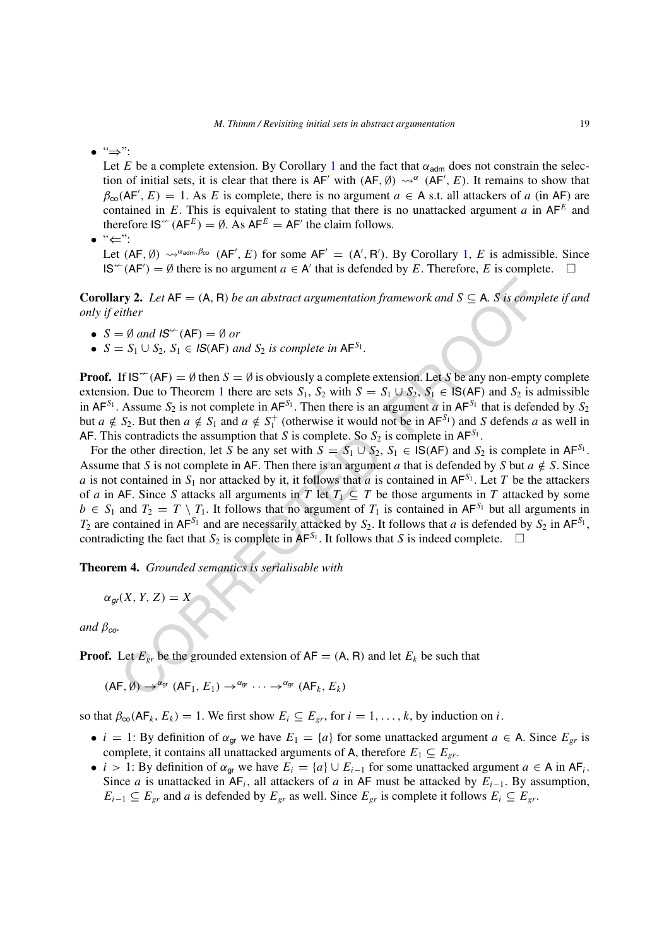• "⇒":

Let *E* be a complete extension. By Corollary [1](#page-6-1) and the fact that  $\alpha_{\text{adm}}$  does not constrain the selection of initial sets, it is clear that there is  $AF'$  with  $(AF, \emptyset) \rightsquigarrow^{\alpha} (AF', E)$ . It remains to show that  $\beta_{\rm co}$ (AF', E) = 1. As *E* is complete, there is no argument  $a \in A$  s.t. all attackers of *a* (in AF) are contained in *E*. This is equivalent to stating that there is no unattacked argument *a* in  $AF<sup>E</sup>$  and therefore  $\mathsf{IS}^{\leftarrow}(AF^E) = \emptyset$ . As  $AF^E = AF'$  the claim follows.

• "⇐":

Let  $(AF, \emptyset) \rightsquigarrow^{\alpha_{adm}, \beta_{CO}} (AF', E)$  for some  $AF' = (A', R')$ . By Corollary [1,](#page-6-1) *E* is admissible. Since  $IS^{\leftarrow}(AF) = \emptyset$  there is no argument *a* ∈ A' that is defended by *E*. Therefore, *E* is complete.  $\Box$ 

**Corollary 2.** Let  $AF = (A, R)$  be an abstract argumentation framework and  $S \subseteq A$ . S is complete if and *only if either*

- $S = \emptyset$  and  $IS^{\leftarrow}(AF) = \emptyset$  or
- $S = S_1 \cup S_2$ ,  $S_1 \in \mathcal{IS}(AF)$  *and*  $S_2$  *is complete in*  $AF^{S_1}$ *.*

**Proof.** If  $IS^{\leftarrow}(AF) = \emptyset$  then  $S = \emptyset$  is obviously a complete extension. Let *S* be any non-empty complete extension. Due to Theorem 1 there are sets  $S_1$ ,  $S_2$  with  $S = S_1 \cup S_2$ ,  $S_1 \in IS(AF)$  and  $S_2$  is admissible in  $AF^{S_1}$ . Assume  $S_2$  is not complete in  $AF^{S_1}$ . Then there is an argument *a* in  $AF^{S_1}$  that is defended by  $S_2$ but  $a \notin S_2$ . But then  $a \notin S_1$  and  $a \notin S_1^+$  (otherwise it would not be in AF<sup>S<sub>1</sub>)</sup> and S defends *a* as well in AF. This contradicts the assumption that *S* is complete. So  $S_2$  is complete in AF<sup>S<sub>1</sub></sup>.

**ry 2.** Let  $AF = (A, R)$  be an abstract argumentation framework and  $S \subseteq A$ . S is complite there<br>  $= \emptyset$  and  $IS^{\infty}(AF) = \emptyset$  or<br>  $= S_1 \cup S_2$ ,  $S_1 \in IS(AF)$  and  $S_2$  is complete in  $AF^{S_1}$ .<br>
If  $IS^{\infty}(AF) = \emptyset$  then  $S = \emptyset$  is ob For the other direction, let *S* be any set with  $S = S_1 \cup S_2$ ,  $S_1 \in \mathsf{IS}(AF)$  and  $S_2$  is complete in  $AF^{S_1}$ . Assume that *S* is not complete in AF. Then there is an argument *a* that is defended by *S* but  $a \notin S$ . Since *a* is not contained in  $S_1$  nor attacked by it, it follows that *a* is contained in  $AF^{S_1}$ . Let *T* be the attackers of *a* in AF. Since *S* attacks all arguments in *T* let  $T_1 \subseteq T$  be those arguments in *T* attacked by some  $b \in S_1$  and  $T_2 = T \setminus T_1$ . It follows that no argument of  $T_1$  is contained in AF<sup>S<sub>1</sub></sup> but all arguments in  $T_2$  are contained in AF<sup>S<sub>1</sub></sup> and are necessarily attacked by  $S_2$ . It follows that *a* is defended by  $S_2$  in AF<sup>S<sub>1</sub></sup>, contradicting the fact that  $S_2$  is complete in  $AF^{S_1}$ . It follows that *S* is indeed complete.  $\Box$ 

**Theorem 4.** *Grounded semantics is serialisable with*

$$
\alpha_{gr}(X, Y, Z) = X
$$

*and βco.*

**Proof.** Let  $E_{gr}$  be the grounded extension of  $AF = (A, R)$  and let  $E_k$  be such that

 $(AF, \emptyset) \rightarrow^{\alpha_{gr}} (AF_1, E_1) \rightarrow^{\alpha_{gr}} \cdots \rightarrow^{\alpha_{gr}} (AF_k, E_k)$ 

so that  $\beta_{\text{co}}(AF_k, E_k) = 1$ . We first show  $E_i \subseteq E_{gr}$ , for  $i = 1, ..., k$ , by induction on *i*.

- *i* = 1: By definition of  $\alpha_{gr}$  we have  $E_1 = \{a\}$  for some unattacked argument  $a \in A$ . Since  $E_{gr}$  is complete, it contains all unattacked arguments of A, therefore  $E_1 \subseteq E_{gr}$ .
- *i* > 1: By definition of  $\alpha_{gr}$  we have  $E_i = \{a\} \cup E_{i-1}$  for some unattacked argument  $a \in A$  in  $AF_i$ . Since *a* is unattacked in  $AF_i$ , all attackers of *a* in  $AF$  must be attacked by  $E_{i-1}$ . By assumption, *E<sub>i−1</sub>* ⊆ *E<sub>gr</sub>* and *a* is defended by  $E_{gr}$  as well. Since  $E_{gr}$  is complete it follows  $E_i$  ⊆  $E_{gr}$ .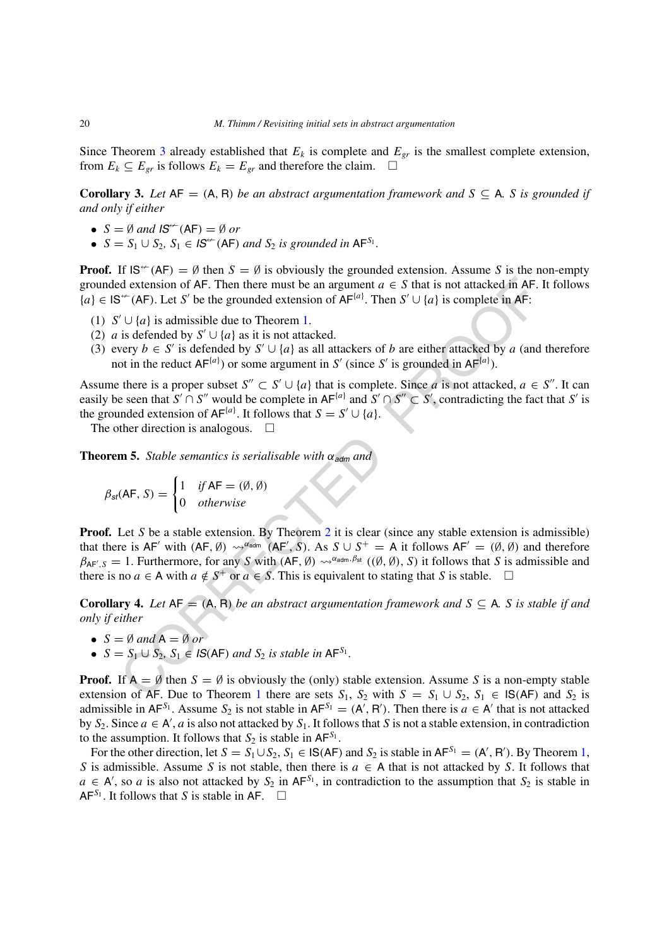Since Theorem [3](#page-8-2) already established that  $E_k$  is complete and  $E_{gr}$  is the smallest complete extension, from  $E_k \subseteq E_{gr}$  is follows  $E_k = E_{gr}$  and therefore the claim.  $\square$ 

**Corollary 3.** Let  $AF = (A, R)$  be an abstract argumentation framework and  $S \subseteq A$ . *S* is grounded if *and only if either*

- $S = \emptyset$  and  $IS^{\leftarrow}(AF) = \emptyset$  or
- $S = S_1 \cup S_2$ ,  $S_1 \in \mathcal{S}^{\leftarrow}(\mathsf{AF})$  *and*  $S_2$  *is grounded in*  $\mathsf{AF}^{S_1}$ *.*

**Proof.** If  $IS^{\leftarrow}(AF) = \emptyset$  then  $S = \emptyset$  is obviously the grounded extension. Assume *S* is the non-empty grounded extension of AF. Then there must be an argument  $a \in S$  that is not attacked in AF. It follows  ${a} \in \mathsf{IS}^\leftarrow$  (AF). Let *S'* be the grounded extension of AF<sup>{*a*}</sup>. Then *S'* ∪ {*a*} is complete in AF:

- (1)  $S' \cup \{a\}$  is admissible due to Theorem 1.
- (2) *a* is defended by  $S' \cup \{a\}$  as it is not attacked.
- (3) every  $b \in S'$  is defended by  $S' \cup \{a\}$  as all attackers of *b* are either attacked by *a* (and therefore not in the reduct  $AF^{\{a\}}$  or some argument in *S'* (since *S'* is grounded in  $AF^{\{a\}}$ ).

Assume there is a proper subset  $S'' \subset S' \cup \{a\}$  that is complete. Since *a* is not attacked,  $a \in S''$ . It can easily be seen that  $S' \cap S''$  would be complete in  $AF^{\{a\}}$  and  $S' \cap S'' \subset S'$ , contradicting the fact that  $S'$  is the grounded extension of  $AF^{\{a\}}$ . It follows that  $S = S' \cup \{a\}$ .

The other direction is analogous.  $\Box$ 

**Theorem 5.** *Stable semantics is serialisable with*  $\alpha_{\text{adm}}$  *and* 

$$
\beta_{st}(AF, S) = \begin{cases} 1 & \text{if AF} = (\emptyset, \emptyset) \\ 0 & \text{otherwise} \end{cases}
$$

of dextension of AF. [T](#page-17-0)hen there must be an argument  $a \in S$  that is not attacked in AF.<br>
"(AF). Let S' be the grounded extension of AF<sup>[io]</sup>. Then S'  $\cup \{a\}$  is complete in AF:<br>  $\cup \{a\}$  is admissible due to Theorem 1.<br> **Proof.** Let *S* be a stable extension. By Theorem 2 it is clear (since any stable extension is admissible) that there is  $AF'$  with  $(AF, \emptyset) \rightsquigarrow^{\alpha_{\text{adm}}} (AF', S)$ . As  $S \cup S^+ = A$  it follows  $AF' = (\emptyset, \emptyset)$  and therefore  $\beta_{AF',S} = 1$ . Furthermore, for any *S* with  $(AF, \emptyset) \rightsquigarrow^{\alpha_{adm},\beta_{st}} ((\emptyset, \emptyset), S)$  it follows that *S* is admissible and there is no  $a \in A$  with  $a \notin S^+$  or  $a \in S$ . This is equivalent to stating that *S* is stable.  $\square$ 

**Corollary 4.** Let  $AF = (A, R)$  be an abstract argumentation framework and  $S \subseteq A$ . S is stable if and *only if either*

- $S = \emptyset$  *and*  $A = \emptyset$  *or*
- $S = S_1 \cup S_2$ ,  $S_1 \in \text{IS(AF)}$  *and*  $S_2$  *is stable in*  $AF^{S_1}$ *.*

**Proof.** If  $A = \emptyset$  then  $S = \emptyset$  is obviously the (only) stable extension. Assume *S* is a non-empty stable extension of AF. Due to Theorem 1 there are sets  $S_1$ ,  $S_2$  with  $S = S_1 \cup S_2$ ,  $S_1 \in \mathsf{IS(AF)}$  and  $S_2$  is admissible in  $AF^{S_1}$ . Assume  $S_2$  is not stable in  $AF^{S_1} = (A', R')$ . Then there is  $a \in A'$  that is not attacked by  $S_2$ . Since  $a \in A'$ ,  $a$  is also not attacked by  $S_1$ . It follows that  $S$  is not a stable extension, in contradiction to the assumption. It follows that  $S_2$  is stable in  $AF^{S_1}$ .

For the other direction, let  $S = S_1 \cup S_2$ ,  $S_1 \in \mathsf{IS}(\mathsf{AF})$  and  $S_2$  is stable in  $\mathsf{AF}^{S_1} = (\mathsf{A}', \mathsf{R}')$ . By Theorem [1,](#page-5-2) *S* is admissible. Assume *S* is not stable, then there is  $a \in A$  that is not attacked by *S*. It follows that  $a \in A'$ , so *a* is also not attacked by  $S_2$  in AF<sup>S<sub>1</sub></sub>, in contradiction to the assumption that  $S_2$  is stable in</sup>  $AF^{S_1}$ . It follows that *S* is stable in AF.  $\Box$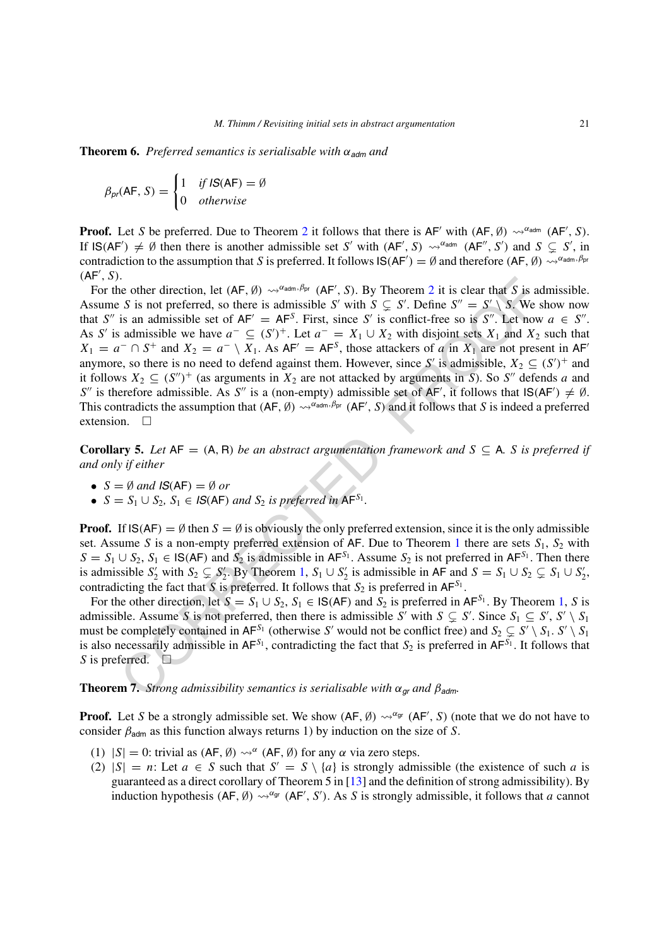<span id="page-20-0"></span>**Theorem 6.** Preferred semantics is serialisable with  $\alpha_{\text{adm}}$  and

$$
\beta_{pr}(AF, S) = \begin{cases} 1 & \text{if } IS(AF) = \emptyset \\ 0 & \text{otherwise} \end{cases}
$$

**Proof.** Let *S* be preferred. Due to Theorem [2](#page-17-0) it follows that there is  $AF'$  with  $(AF, \emptyset) \rightsquigarrow^{\alpha_{adm}} (AF', S)$ . If  $IS(AF') \neq \emptyset$  then there is another admissible set *S'* with  $(AF', S) \rightsquigarrow^{\alpha_{\text{adm}}} (AF'', S')$  and  $S \subseteq S'$ , in contradiction to the assumption that *S* is preferred. It follows  $IS(AF') = \emptyset$  and therefore  $(AF, \emptyset) \leadsto^{\alpha_{adm}, \beta_{pr}}$ *(*AF *, S)*.

is on other direction, let  $(AF, \emptyset) \sim x^{a_{\text{obs}} \cdot \beta_{\text{w}}} (AF', S)$ . By Theorem 2 it is clear that S is a<br>
c S is not preferred, so there is admissible S' with  $S \subseteq S'$ . Define  $S'' = S' \setminus S$ . We s<br>
is an admissible set of  $AF' = AF^S$ For the other direction, let  $(AF, \emptyset) \leadsto^{\alpha_{adm}, \beta_{pr}} (AF', S)$ . By Theorem 2 it is clear that *S* is admissible. Assume *S* is not preferred, so there is admissible *S'* with  $S \subsetneq S'$ . Define  $S'' = S' \setminus S$ . We show now that *S*<sup>"</sup> is an admissible set of  $AF' = AF^S$ . First, since *S*' is conflict-free so is *S*<sup>"</sup>. Let now  $a \in S''$ . As S' is admissible we have  $a^{-} \subseteq (S')^{+}$ . Let  $a^{-} = X_1 \cup X_2$  with disjoint sets  $X_1$  and  $X_2$  such that  $X_1 = a^- \cap S^+$  and  $X_2 = a^- \setminus X_1$ . As  $AF' = AF^S$ , those attackers of *a* in  $X_1$  are not present in  $AF'$ anymore, so there is no need to defend against them. However, since *S'* is admissible,  $X_2 \subseteq (S')^+$  and it follows  $X_2 \subseteq (S'')^+$  (as arguments in  $X_2$  are not attacked by arguments in *S*). So *S''* defends *a* and *S*<sup>*n*</sup> is therefore admissible. As *S<sup><i>n*</sup> is a (non-empty) admissible set of AF', it follows that  $IS(AF') \neq \emptyset$ . This contradicts the assumption that  $(AF, \emptyset) \leadsto^{\alpha_{adm}, \beta_{pr}} (AF', S)$  and it follows that *S* is indeed a preferred extension.  $\square$ 

**Corollary 5.** Let  $AF = (A, R)$  be an abstract argumentation framework and  $S \subseteq A$ . *S* is preferred if *and only if either*

- $S = \emptyset$  and  $IS(AF) = \emptyset$  or
- $S = S_1 \cup S_2$ ,  $S_1 \in \mathcal{S}(AF)$  *and*  $S_2$  *is preferred in*  $AF^{S_1}$ *.*

**Proof.** If  $IS(AF) = \emptyset$  then  $S = \emptyset$  is obviously the only preferred extension, since it is the only admissible set. Assume *S* is a non-empty preferred extension of AF. Due to Theorem 1 there are sets  $S_1$ ,  $S_2$  with *S* = *S*<sub>1</sub> ∪ *S*<sub>2</sub>, *S*<sub>1</sub> ∈ **IS**(AF) and *S*<sub>2</sub> is admissible in AF<sup>*S*<sub>1</sub></sub>. Assume *S*<sub>2</sub> is not preferred in AF<sup>*S*<sub>1</sub></sup>. Then there</sup> is admissible  $S'_2$  with  $S_2 \subsetneq S'_2$ . By Theorem 1,  $S_1 \cup S'_2$  is admissible in AF and  $S = S_1 \cup S_2 \subsetneq S_1 \cup S'_2$ , contradicting the fact that *S* is preferred. It follows that  $S_2$  is preferred in  $AF^{S_1}$ .

For the other direction, let  $S = S_1 \cup S_2$  $S = S_1 \cup S_2$  $S = S_1 \cup S_2$ ,  $S_1 \in \mathsf{IS}(AF)$  and  $S_2$  is preferred in  $AF^{S_1}$ . By Theorem 1, *S* is admissible. Assume *S* is not preferred, then there is admissible *S'* with  $S \subsetneq S'$ . Since  $S_1 \subseteq S'$ ,  $S' \setminus S_1$ must be completely contained in AF<sup>S<sub>1</sub></sup> (otherwise S' would not be conflict free) and  $S_2 \subsetneq S' \setminus S_1$ .  $S' \setminus S_1$ is also necessarily admissible in  $AF^{S_1}$ , contradicting the fact that  $S_2$  is preferred in  $AF^{S_1}$ . It follows that *S* is preferred.  $\Box$ 

**Theorem 7.** *Strong admissibility semantics is serialisable with*  $\alpha_{gr}$  *and*  $\beta_{adm}$ *.* 

**Proof.** Let *S* be a strongly admissible set. We show  $(AF, Ø) \rightsquigarrow^{α_{gt}} (AF', S)$  (note that we do not have to consider  $\beta_{\text{adm}}$  as this function always returns 1) by induction on the size of *S*.

- (1)  $|S| = 0$ : trivial as  $(AF, \emptyset) \rightsquigarrow^{\alpha} (AF, \emptyset)$  for any  $\alpha$  via zero steps.
- (2)  $|S| = n$ : Let  $a \in S$  such that  $S' = S \setminus \{a\}$  is strongly admissible (the existence of such *a* is guaranteed as a direct corollary of Theorem 5 in [\[13](#page-34-21)] and the definition of strong admissibility). By induction hypothesis  $(AF, \emptyset) \rightsquigarrow^{\alpha_{gt}} (AF', S')$ . As *S* is strongly admissible, it follows that *a* cannot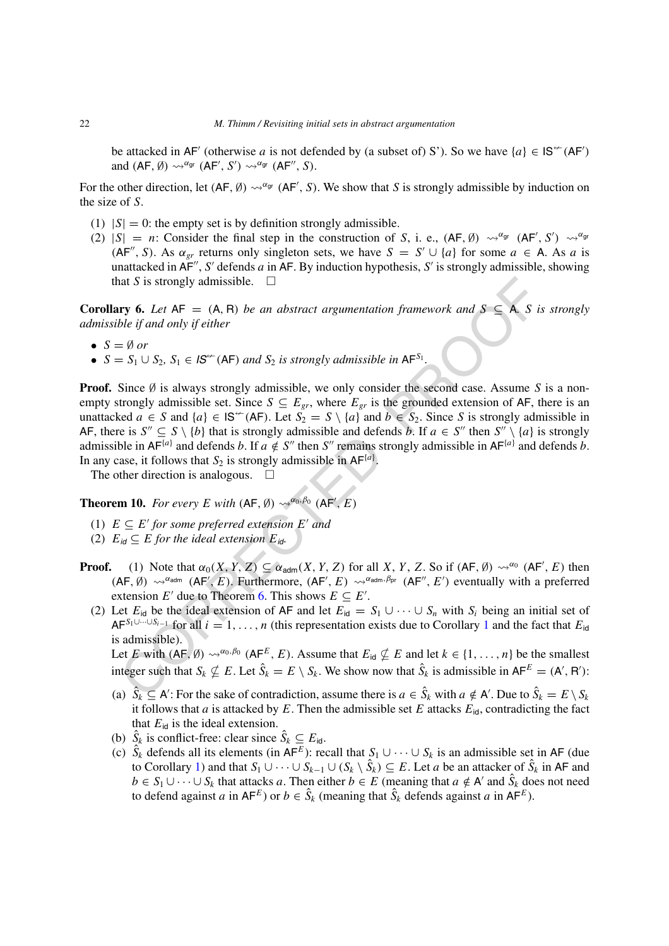be attacked in AF' (otherwise *a* is not defended by (a subset of) S'). So we have  $\{a\} \in \mathsf{IS}^{\leftarrow}(AF)$ and  $(AF, \emptyset) \rightsquigarrow^{\alpha_{gr}} (AF', S') \rightsquigarrow^{\alpha_{gr}} (AF'', S)$ .

For the other direction, let  $(AF, \emptyset) \leadsto^{\alpha_{gr}} (AF', S)$ . We show that *S* is strongly admissible by induction on the size of *S*.

- (1)  $|S| = 0$ : the empty set is by definition strongly admissible.
- (2)  $|S| = n$ : Consider the final step in the construction of *S*, i. e.,  $(AF, \emptyset) \sim^{\alpha} g$   $(AF', S') \sim^{\alpha} g$  $(AF'', S)$ . As  $\alpha_{gr}$  returns only singleton sets, we have  $S = S' \cup \{a\}$  for some  $a \in A$ . As *a* is unattacked in  $\overline{AF}$ , *S'* defends *a* in  $\overline{AF}$ . By induction hypothesis, *S'* is strongly admissible, showing that *S* is strongly admissible.  $\square$

**Corollary 6.** Let  $AF = (A, R)$  be an abstract argumentation framework and  $S \subseteq A$ . *S* is strongly *admissible if and only if either*

- $S = \emptyset$  or
- $\bullet$  *S* = *S*<sub>1</sub> ∪ *S*<sub>2</sub>*, S*<sub>1</sub> ∈ *IS*<sup> $\leftarrow$ </sup> (AF) *and S*<sub>2</sub> *is strongly admissible in* AF<sup>*S*<sub>1</sub></sup>.

Iat *S* is strongly admissible.  $\Box$ <br> **ry 6.** Let AF = (A, B) be an abstract argumentation framework and *S* ≤ A, *S* is<br>
ble if and only if either<br>  $\Box$  9 or<br>  $\Box$  S<sub>1</sub> O<sub>S</sub>, S<sub>1</sub> ∈ IS<sup>\*</sup> (AF) and *S*<sub>2</sub> is strongly adm **Proof.** Since Ø is always strongly admissible, we only consider the second case. Assume S is a nonempty strongly admissible set. Since  $S \subseteq E_{gr}$ , where  $E_{gr}$  is the grounded extension of AF, there is an unattacked  $a \in S$  and  $\{a\} \in \mathsf{IS}^{\leftarrow}(AF)$ . Let  $S_2 = S \setminus \{a\}$  and  $b \in S_2$ . Since *S* is strongly admissible in AF, there is  $S'' \subseteq S \setminus \{b\}$  that is strongly admissible and defends *b*. If  $a \in S''$  then  $S'' \setminus \{a\}$  is strongly admissible in  $AF^{\{a\}}$  and defends *b*. If  $a \notin S''$  then  $S''$  remains strongly admissible in  $AF^{\{a\}}$  and defends *b*. In any case, it follows that  $S_2$  is strongly admissible in  $AF^{\{a\}}$ .

The other direction is analogous.  $\square$ 

**Theorem 10.** *For every E with*  $(AF, \emptyset) \rightsquigarrow^{\alpha_0, \beta_0} (AF', E)$ 

- (1)  $E \subseteq E'$  *for some preferred extension*  $E'$  *and*
- (2)  $E_{id} \subseteq E$  *for the ideal extension*  $E_{id}$ .
- **Proof.** (1) Note that  $\alpha_0(X, Y, Z) \subseteq \alpha_{\text{adm}}(X, Y, Z)$  for all *X*, *Y*, *Z*. So if  $(\mathsf{AF}, \emptyset) \rightsquigarrow^{\alpha_0} (\mathsf{AF}', E)$  then  $(AF, \emptyset) \rightsquigarrow^{\alpha_{\text{adm}}} (AF', E)$ . Furthermore,  $(AF', E) \rightsquigarrow^{\alpha_{\text{adm}}, \beta_{\text{pr}}} (AF'', E')$  eventually with a preferred extension *E'* due to Theorem 6. This shows  $E \subseteq E'$ .
	- (2) Let  $E_{id}$  be the ideal extension of AF and let  $E_{id} = S_1 \cup \cdots \cup S_n$  with  $S_i$  being an initial set of AF*S*1∪···∪*Si*−<sup>1</sup> for all *i* = 1*,...,n* (this representation exists due to Corollary 1 and the fact that *E*id is admissible).

Let *E* with  $(AF, \emptyset) \rightsquigarrow^{\alpha_0, \beta_0} (AF^E, E)$ . Assume that  $E_{\text{id}} \nsubseteq E$  and let  $k \in \{1, ..., n\}$  be the smallest integer such that  $S_k \nsubseteq E$ . Let  $\hat{S}_k = E \setminus S_k$ . We show now that  $\hat{S}_k$  is admissible in  $AF^E = (A', B')$ :

- (a)  $\hat{S}_k \subseteq A'$ : For the sake of contradiction, assume there is  $a \in \hat{S}_k$  with  $a \notin A'$ . Due to  $\hat{S}_k = E \setminus S_k$ it follows that *a* is attacked by  $E$ . Then the admissible set  $E$  attacks  $E_{id}$ , contradicting the fact that  $E_{\text{id}}$  is the ideal extension.
- (b)  $\hat{S}_k$  is conflict-free: clear since  $\hat{S}_k \subseteq E_{\text{id}}$ .
- (c)  $\hat{S}_k$  defends all its elements (in  $AF^E$ ): recall that  $S_1 \cup \cdots \cup S_k$  is an admissible set in AF (due to Corollary [1\)](#page-6-1) and that  $S_1 \cup \cdots \cup S_{k-1} \cup (S_k \setminus \hat{S}_k) \subseteq E$ . Let *a* be an attacker of  $\hat{S}_k$  in AF and *b* ∈ *S*<sub>1</sub> ∪ ··· ∪ *S*<sub>*k*</sub> that attacks *a*. Then either *b* ∈ *E* (meaning that *a* ∉ A' and  $\hat{S}_k$  does not need to defend against *a* in  $AF^E$ ) or  $b \in \hat{S}_k$  (meaning that  $\hat{S}_k$  defends against *a* in  $AF^E$ ).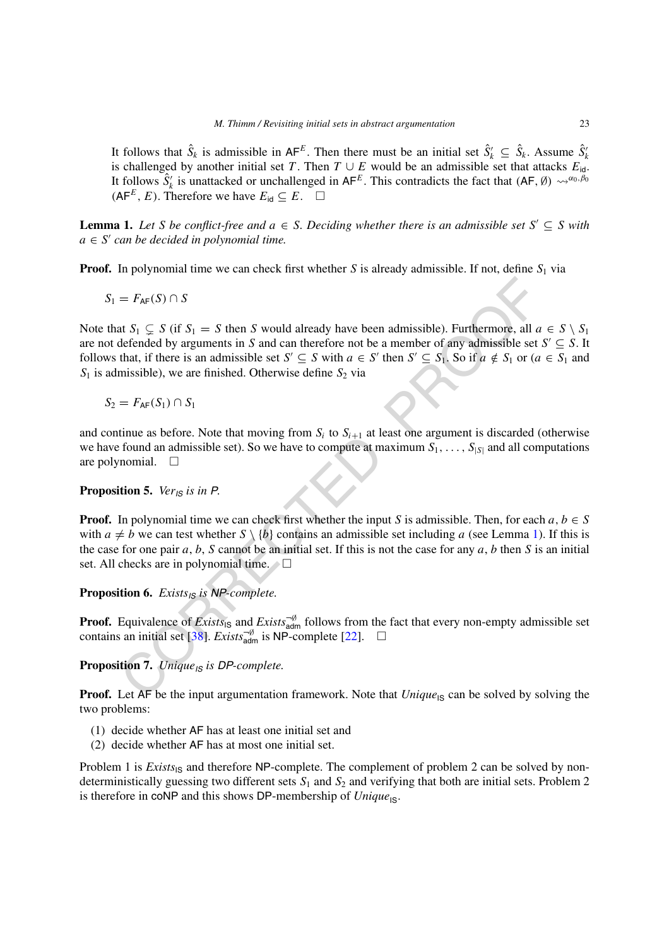It follows that  $\hat{S}_k$  is admissible in  $AF^E$ . Then there must be an initial set  $\hat{S}_k' \subseteq \hat{S}_k$ . Assume  $\hat{S}_k'$ is challenged by another initial set *T*. Then *T* ∪ *E* would be an admissible set that attacks  $E_{id}$ . It follows  $\hat{S}'_k$  is unattacked or unchallenged in AF<sup>E</sup>. This contradicts the fact that  $(AF, \emptyset) \leadsto^{\alpha_0, \beta_0}$  $(AF^E, E)$ . Therefore we have  $E_{id} ⊆ E$ . □

<span id="page-22-0"></span>**Lemma 1.** Let S be conflict-free and  $a \in S$ . Deciding whether there is an admissible set  $S' \subseteq S$  with  $a \in S'$  *can be decided in polynomial time.* 

**Proof.** In polynomial time we can check first whether *S* is already admissible. If not, define *S*<sub>1</sub> via

$$
S_1 = F_{\mathsf{AF}}(S) \cap S
$$

=  $F_{AF}(S) \cap S$ <br>
at  $S_1 \subseteq S$  (if  $S_1 = S$  then  $S$  would already have been admissible). Furthermore, all  $\alpha S_1 \subseteq S$  (if  $S_1 = S$  then  $S$  and can therefore not be a member of any admissible set<br>
that, if there is an admissibl Note that  $S_1 \subsetneq S$  (if  $S_1 = S$  then *S* would already have been admissible). Furthermore, all  $a \in S \setminus S_1$ are not defended by arguments in *S* and can therefore not be a member of any admissible set  $S' \subseteq S$ . It follows that, if there is an admissible set  $S' \subseteq S$  with  $a \in S'$  then  $S' \subseteq S_1$ . So if  $a \notin S_1$  or  $(a \in S_1$  and  $S_1$  is admissible), we are finished. Otherwise define  $S_2$  via

 $S_2 = F_{AF}(S_1) ∩ S_1$ 

and continue as before. Note that moving from  $S_i$  to  $S_{i+1}$  at least one argument is discarded (otherwise we have found an admissible set). So we have to compute at maximum  $S_1, \ldots, S_{|S|}$  and all computations are polynomial.  $\square$ 

#### <span id="page-22-1"></span>**Proposition 5.** *VerIS is in P.*

**Proof.** In polynomial time we can check first whether the input *S* is admissible. Then, for each  $a, b \in S$ with  $a \neq b$  we can test whether  $S \setminus \{b\}$  contains an admissible set including *a* (see Lemma 1). If this is the case for one pair *a*, *b*, *S* cannot be an initial set. If this is not the case for any *a*, *b* then *S* is an initial set. All checks are in polynomial time.

**Proposition 6.** *ExistsIS is NP-complete.*

**Proof.** Equivalence of *Exists*<sub>IS</sub> and *Exists*<sup> $\pi$  $\theta$ </sup> follows from the fact that every non-empty admissible set contains an initial set [38]. *Exists* $\frac{3}{6}$  is NP-complete [22].  $\Box$ 

<span id="page-22-2"></span>**Proposition 7.** *UniqueIS is DP-complete.*

**Proof.** Let AF be the input argumentation framework. Note that *Unique*<sub>IS</sub> can be solved by solving the two problems:

- (1) decide whether AF has at least one initial set and
- (2) decide whether AF has at most one initial set.

Problem 1 is *Exists*<sub>IS</sub> and therefore NP-complete. The complement of problem 2 can be solved by nondeterministically guessing two different sets  $S_1$  and  $S_2$  and verifying that both are initial sets. Problem 2 is therefore in coNP and this shows DP-membership of *Unique*<sub>IS</sub>.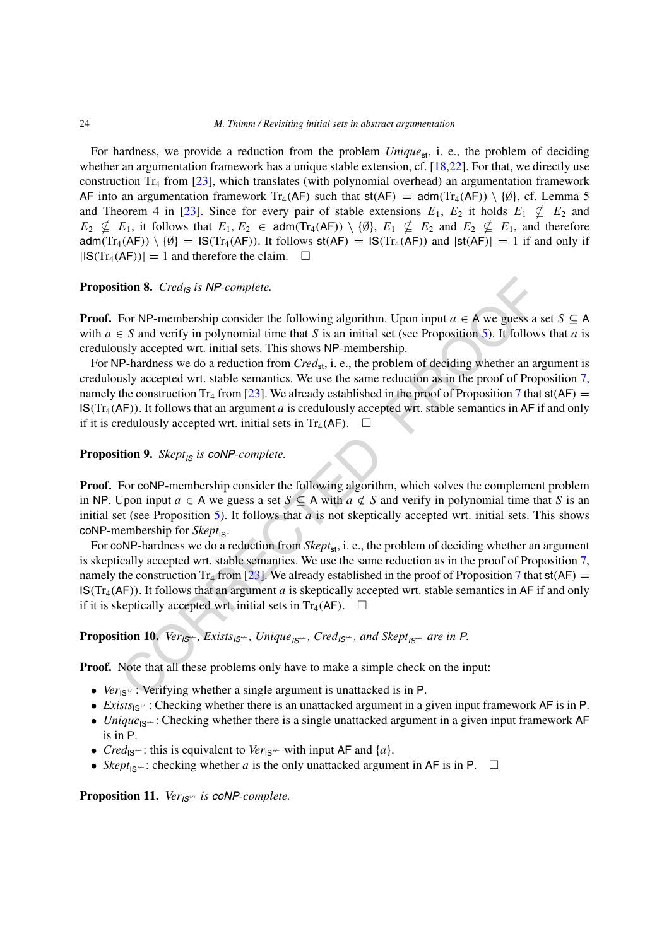For hardness, we provide a reduction from the problem *Unique*<sub>st</sub>, i. e., the problem of deciding whether an argumentation framework has a unique stable extension, cf. [\[18,](#page-34-22)[22\]](#page-34-16). For that, we directly use construction  $Tr_4$  from [\[23](#page-34-23)], which translates (with polynomial overhead) an argumentation framework AF into an argumentation framework Tr<sub>4</sub>(AF) such that  $st(AF) = adm(Tr_4(AF)) \setminus \{0\}$ , cf. Lemma 5 and Theorem 4 in [[23\]](#page-34-23). Since for every pair of stable extensions  $E_1$ ,  $E_2$  it holds  $E_1 \nsubseteq E_2$  and  $E_2 \nsubseteq E_1$ , it follows that  $E_1, E_2 \in \text{adm}(Tr_4(\text{AF})) \setminus \{\emptyset\}, E_1 \nsubseteq E_2$  and  $E_2 \nsubseteq E_1$ , and therefore adm $(Tr_4(AF)) \setminus \{0\} = \text{IS}(Tr_4(AF))$ . It follows st $(AF) = \text{IS}(Tr_4(AF))$  and  $|\text{st}(AF)| = 1$  if and only if  $|IS(Tr_4(AF))| = 1$  and therefore the claim.  $\square$ 

## **Proposition 8.** *CredIS is NP-complete.*

**Proof.** For NP-membership consider the following algorithm. Upon input  $a \in A$  we guess a set  $S \subseteq A$ with  $a \in S$  and verify in polynomial time that *S* is an initial set (see Proposition 5). It follows that *a* is credulously accepted wrt. initial sets. This shows NP-membership.

**Hion 8.** *Cred<sub>ls</sub> is NP-complete.*<br>
For NP-membership consider the following algorithm. Upon input  $a \in A$  we guess a  $\in S$  and verify in polynomial time that *S* is an initial set (see Proposition 5). It follows<br>
Ley ac For NP-hardness we do a reduction from *Cred*<sub>st</sub>, i. e., the problem of deciding whether an argument is credulously accepted wrt. stable semantics. We use the same reduction as in the proof of Proposition [7,](#page-22-2) namely the construction Tr<sub>4</sub> from [23]. We already established in the proof of Proposition 7 that  $\mathsf{st}(AF)$  = IS*(*Tr4*(*AF*))*. It follows that an argument *a* is credulously accepted wrt. stable semantics in AF if and only if it is credulously accepted wrt. initial sets in Tr<sub>4</sub>(AF).  $\Box$ 

**Proposition 9.** *SkeptIS is coNP-complete.*

**Proof.** For coNP-membership consider the following algorithm, which solves the complement problem in NP. Upon input *a* ∈ A we guess a set *S* ⊆ A with *a*  $\notin$  *S* and verify in polynomial time that *S* is an initial set (see Proposition 5). It follows that *a* is not skeptically accepted wrt. initial sets. This shows coNP-membership for  $\mathit{Sk}ept_{\mathsf{IS}}$ .

For coNP-hardness we do a reduction from *Skept*<sub>st</sub>, i. e., the problem of deciding whether an argument is skeptically accepted wrt. stable semantics. We use the same reduction as in the proof of Proposition [7,](#page-22-2) namely the construction Tr<sub>4</sub> from [23]. We already established in the proof of Proposition 7 that  $\mathsf{st}(AF)$  =  $\mathsf{IS}(Tr_4(AF))$ . It follows that an argument *a* is skeptically accepted wrt. stable semantics in AF if and only if it is skeptically accepted wrt. initial sets in Tr<sub>4</sub>(AF).  $\Box$ 

<span id="page-23-0"></span>**Proposition 10.** Ver<sub>IS<sup> $\leftarrow$ </sup>, Exists<sub>IS</sub> $\leftarrow$ , Unique<sub>IS</sub> $\leftarrow$ , Cred<sub>IS</sub> $\leftarrow$ , and Skept<sub>IS</sub> $\leftarrow$  are in P.</sub>

**Proof.** Note that all these problems only have to make a simple check on the input:

- *Ver*<sub>IS</sub>  $\div$ : Verifying whether a single argument is unattacked is in P.
- *Exists*<sub>IS</sub>  $\div$ : Checking whether there is an unattacked argument in a given input framework AF is in P.
- *Unique*<sub>IS</sub>  $\div$ : Checking whether there is a single unattacked argument in a given input framework AF is in P.
- *Cred*<sub>IS</sub> $\div$ : this is equivalent to *Ver*<sub>IS</sub> $\div$  with input AF and {*a*}.
- *Skept*<sub>IS</sub> $\leftarrow$ : checking whether *a* is the only unattacked argument in AF is in P.  $\Box$

<span id="page-23-1"></span>**Proposition 11.** *Ver<sub>IS<sup>\*\*</sup></sub> is coNP-complete.*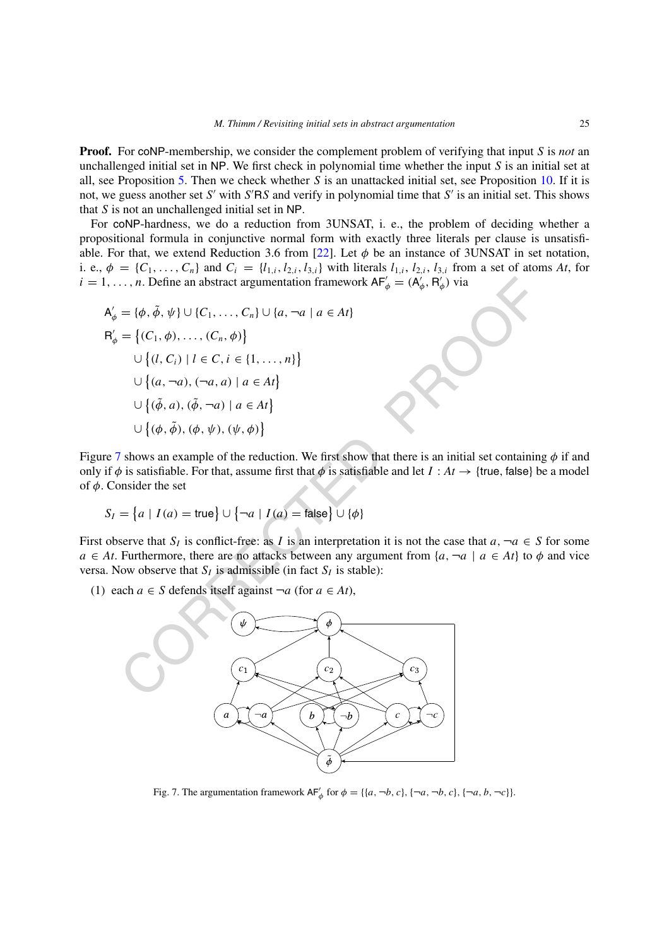**Proof.** For coNP-membership, we consider the complement problem of verifying that input *S* is *not* an unchallenged initial set in NP. We first check in polynomial time whether the input *S* is an initial set at all, see Proposition [5](#page-22-1). Then we check whether *S* is an unattacked initial set, see Proposition [10](#page-23-0). If it is not, we guess another set *S'* with *S'RS* and verify in polynomial time that *S'* is an initial set. This shows that *S* is not an unchallenged initial set in NP.

For coNP-hardness, we do a reduction from 3UNSAT, i. e., the problem of deciding whether a propositional formula in conjunctive normal form with exactly three literals per clause is unsatisfi-able. For that, we extend Reduction 3.6 from [[22\]](#page-34-16). Let  $\phi$  be an instance of 3UNSAT in set notation, i. e.,  $\phi = \{C_1, \ldots, C_n\}$  and  $C_i = \{l_{1,i}, l_{2,i}, l_{3,i}\}$  with literals  $l_{1,i}, l_{2,i}, l_{3,i}$  from a set of atoms At, for  $i = 1, \ldots, n$ . Define an abstract argumentation framework  $AF'_\phi = (A'_\phi, R'_\phi)$  via

$$
A'_{\phi} = \{\phi, \tilde{\phi}, \psi\} \cup \{C_1, \dots, C_n\} \cup \{a, \neg a \mid a \in At\}
$$
  
\n
$$
R'_{\phi} = \{(C_1, \phi), \dots, (C_n, \phi)\}
$$
  
\n
$$
\cup \{(l, C_i) \mid l \in C, i \in \{1, \dots, n\}\}
$$
  
\n
$$
\cup \{(a, \neg a), (\neg a, a) \mid a \in At\}
$$
  
\n
$$
\cup \{(\tilde{\phi}, a), (\tilde{\phi}, \neg a) \mid a \in At\}
$$
  
\n
$$
\cup \{(\phi, \tilde{\phi}), (\phi, \psi), (\psi, \phi)\}
$$

Figure [7](#page-24-0) shows an example of the reduction. We first show that there is an initial set containing *φ* if and only if  $\phi$  is satisfiable. For that, assume first that  $\phi$  is satisfiable and let  $I : At \to \{true, false\}$  be a model of *φ*. Consider the set

$$
S_I = \{a \mid I(a) = \text{true}\} \cup \{\neg a \mid I(a) = \text{false}\} \cup \{\phi\}
$$

First observe that  $S_I$  is conflict-free: as *I* is an interpretation it is not the case that  $a, \neg a \in S$  for some *a* ∈ *At*. Furthermore, there are no attacks between any argument from  $\{a, \neg a \mid a \in At\}$  to  $\phi$  and vice versa. Now observe that  $S_I$  is admissible (in fact  $S_I$  is stable):

(1) each  $a \in S$  defends itself against  $\neg a$  (for  $a \in At$ ),



<span id="page-24-0"></span>Fig. 7. The argumentation framework  $AF'_\phi$  for  $\phi = \{\{a, \neg b, c\}, \{\neg a, \neg b, c\}, \{\neg a, b, \neg c\}\}\.$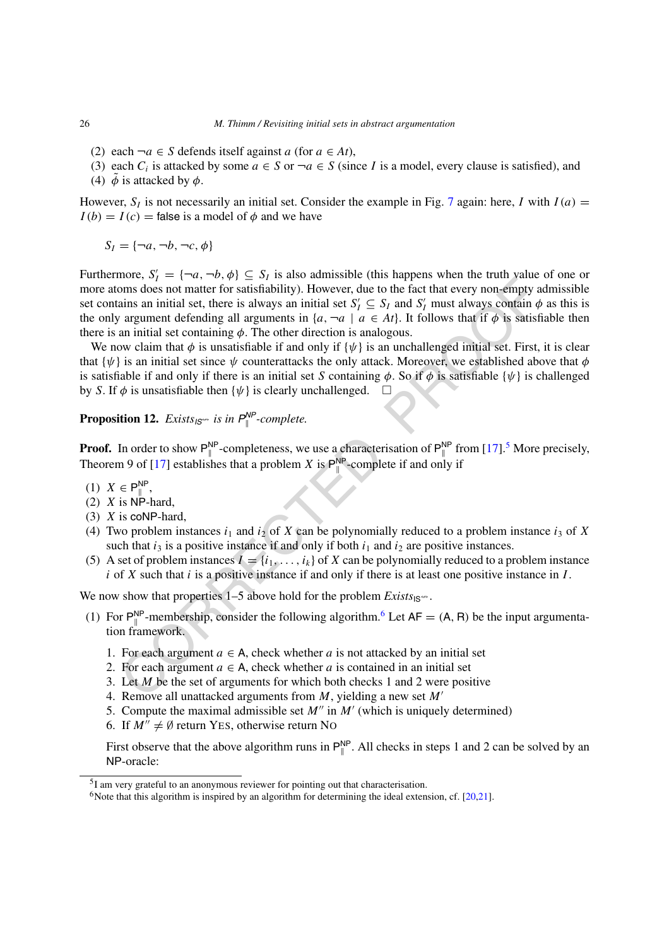- (2) each  $\neg a ∈ S$  defends itself against *a* (for *a* ∈ *At*),
- (3) each  $C_i$  is attacked by some  $a \in S$  or  $\neg a \in S$  (since *I* is a model, every clause is satisfied), and
- (4)  $\tilde{\phi}$  is attacked by  $\phi$ .

However,  $S_I$  is not necessarily an initial set. Consider the example in Fig. [7](#page-24-0) again: here, *I* with  $I(a)$  =  $I(b) = I(c)$  = false is a model of  $\phi$  and we have

 $S_I = \{\neg a, \neg b, \neg c, \phi\}$ 

note,  $y_1 = (y_1, y_1, y_2 = y_1$  and so cannot and the present want in each and the particular and initial set  $S_f \subseteq S_f$  and  $S'_f$  must always contain  $\phi$  argument deferding all arguments in  $(\alpha, -\alpha \mid \alpha \in At)$ . It follows that Furthermore,  $S'_I = \{\neg a, \neg b, \phi\} \subseteq S_I$  is also admissible (this happens when the truth value of one or more atoms does not matter for satisfiability). However, due to the fact that every non-empty admissible set contains an initial set, there is always an initial set  $S'_I \subseteq S_I$  and  $S'_I$  must always contain  $\phi$  as this is the only argument defending all arguments in  $\{a, \neg a \mid a \in At\}$ . It follows that if  $\phi$  is satisfiable then there is an initial set containing  $\phi$ . The other direction is analogous.

We now claim that  $\phi$  is unsatisfiable if and only if  $\{\psi\}$  is an unchallenged initial set. First, it is clear that  $\{\psi\}$  is an initial set since  $\psi$  counterattacks the only attack. Moreover, we established above that  $\phi$ is satisfiable if and only if there is an initial set *S* containing  $\phi$ . So if  $\phi$  is satisfiable { $\psi$ } is challenged by *S*. If  $\phi$  is unsatisfiable then  $\{\psi\}$  is clearly unchallenged.  $\Box$ 

<span id="page-25-2"></span>**Proposition 12.** *Exists*<sub>*IS*<sup> $\leftrightarrow$ </sup> *is in*  $P_{\parallel}^{NP}$ -complete.</sub>

**Proof.** In order to show  $P_{\parallel}^{NP}$ -completeness, we use a characterisation of  $P_{\parallel}^{NP}$  from [17].<sup>5</sup> More precisely, Theorem 9 of [17] establishes that a problem *X* is  $P_{\parallel}^{NP}$ -complete if and only if

- (1) *X* ∈ P<sup>NP</sup>,
- (2)  $X$  is NP-hard,
- (3) *X* is coNP-hard,
- (4) Two problem instances  $i_1$  and  $i_2$  of *X* can be polynomially reduced to a problem instance  $i_3$  of *X* such that  $i_3$  is a positive instance if and only if both  $i_1$  and  $i_2$  are positive instances.
- (5) A set of problem instances  $\bar{I} = \{i_1, \ldots, i_k\}$  of  $X$  can be polynomially reduced to a problem instance *i* of *X* such that *i* is a positive instance if and only if there is at least one positive instance in *I* .

We now show that properties  $1-5$  above hold for the problem *Exists*<sub>IS</sub><sup> $\leftrightarrow$ </sup>.

- (1) For  $P_{\parallel}^{NP}$ -membership, consider the following algorithm.<sup>6</sup> Let  $AF = (A, R)$  be the input argumentation framework.
	- 1. For each argument  $a \in A$ , check whether *a* is not attacked by an initial set
	- 2. For each argument  $a \in A$ , check whether *a* is contained in an initial set
	- 3. Let *M* be the set of arguments for which both checks 1 and 2 were positive
	- 4. Remove all unattacked arguments from *M*, yielding a new set *M*
	- 5. Compute the maximal admissible set  $M''$  in  $M'$  (which is uniquely determined)
	- 6. If  $M'' \neq \emptyset$  return YES, otherwise return No

First observe that the above algorithm runs in  $P_{\parallel}^{NP}$ . All checks in steps 1 and 2 can be solved by an NP-oracle:

<span id="page-25-0"></span><sup>5</sup>I am very grateful to an anonymous reviewer for pointing out that characterisation.

<span id="page-25-1"></span><sup>&</sup>lt;sup>6</sup>Note that this algorithm is inspired by an algorithm for determining the ideal extension, cf.  $[20,21]$  $[20,21]$  $[20,21]$ .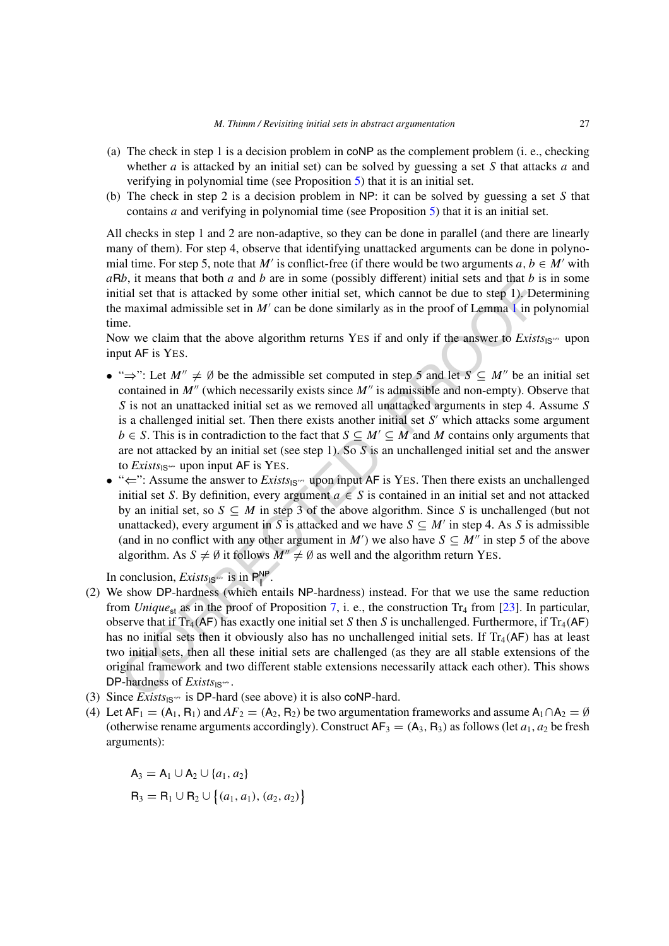- (a) The check in step 1 is a decision problem in coNP as the complement problem (i. e., checking whether *a* is attacked by an initial set) can be solved by guessing a set *S* that attacks *a* and verifying in polynomial time (see Proposition [5\)](#page-22-1) that it is an initial set.
- (b) The check in step 2 is a decision problem in NP: it can be solved by guessing a set *S* that contains *a* and verifying in polynomial time (see Proposition [5](#page-22-1)) that it is an initial set.

All checks in step 1 and 2 are non-adaptive, so they can be done in parallel (and there are linearly many of them). For step 4, observe that identifying unattacked arguments can be done in polynomial time. For step 5, note that *M'* is conflict-free (if there would be two arguments  $a, b \in M'$  with *a*R*b*, it means that both *a* and *b* are in some (possibly different) initial sets and that *b* is in some initial set that is attacked by some other initial set, which cannot be due to step 1). Determining the maximal admissible set in  $M'$  can be done similarly as in the proof of Lemma 1 in polynomial time.

Now we claim that the above algorithm returns YES if and only if the answer to  $Exists<sub>IS</sub>$  upon input AF is YES.

- 6, it means that both a and *b* are n some (possibly different) intual sets and that *b* is the content in the maximal admissible set in *M'* can be done similarly as in the proof of Lemma 1 in power ediam that the above • " $\Rightarrow$ ": Let  $M'' \neq \emptyset$  be the admissible set computed in step 5 and let  $S \subseteq M''$  be an initial set contained in *M''* (which necessarily exists since *M''* is admissible and non-empty). Observe that *S* is not an unattacked initial set as we removed all unattacked arguments in step 4. Assume *S* is a challenged initial set. Then there exists another initial set  $S'$  which attacks some argument *b* ∈ *S*. This is in contradiction to the fact that *S*  $\subseteq$  *M*'  $\subseteq$  *M* and *M* contains only arguments that are not attacked by an initial set (see step 1). So *S* is an unchallenged initial set and the answer to  $Exists_{\text{IS}} \rightarrow$  upon input AF is YES.
- " $\Leftarrow$ ": Assume the answer to *Exists*<sub>IS</sub><sup>"</sup> upon input AF is YES. Then there exists an unchallenged initial set *S*. By definition, every argument  $a \in S$  is contained in an initial set and not attacked by an initial set, so  $S \subseteq M$  in step 3 of the above algorithm. Since S is unchallenged (but not unattacked), every argument in *S* is attacked and we have  $S \subseteq M'$  in step 4. As *S* is admissible (and in no conflict with any other argument in *M*<sup> $\prime$ </sup>) we also have  $S \subseteq M^{\prime\prime}$  in step 5 of the above algorithm. As  $S \neq \emptyset$  it follows  $M'' \neq \emptyset$  as well and the algorithm return YES.

In conclusion, *Exists*<sub>18</sub><sup> $\omega$ </sup> is in  $P_{\parallel}^{NP}$ .

- (2) We show DP-hardness (which entails NP-hardness) instead. For that we use the same reduction from *Unique*<sub>st</sub> as in the proof of Proposition 7, i. e., the construction Tr<sub>4</sub> from [23]. In particular, observe that if  $Tr_4$ (AF) has exactly one initial set *S* then *S* is unchallenged. Furthermore, if  $Tr_4$ (AF) has no initial sets then it obviously also has no unchallenged initial sets. If  $Tr_4$ (AF) has at least two initial sets, then all these initial sets are challenged (as they are all stable extensions of the original framework and two different stable extensions necessarily attack each other). This shows DP-hardness of  $Exists<sub>1S</sub> \rightarrow$ .
- (3) Since  $\overline{Exists}_{\text{IS}} \rightarrow$  is DP-hard (see above) it is also coNP-hard.
- (4) Let  $AF_1 = (A_1, R_1)$  and  $AF_2 = (A_2, R_2)$  be two argumentation frameworks and assume  $A_1 \cap A_2 = \emptyset$ (otherwise rename arguments accordingly). Construct  $AF_3 = (A_3, R_3)$  as follows (let  $a_1, a_2$  be fresh arguments):

 $A_3 = A_1 \cup A_2 \cup \{a_1, a_2\}$  $R_3 = R_1 \cup R_2 \cup \{(a_1, a_1), (a_2, a_2)\}\$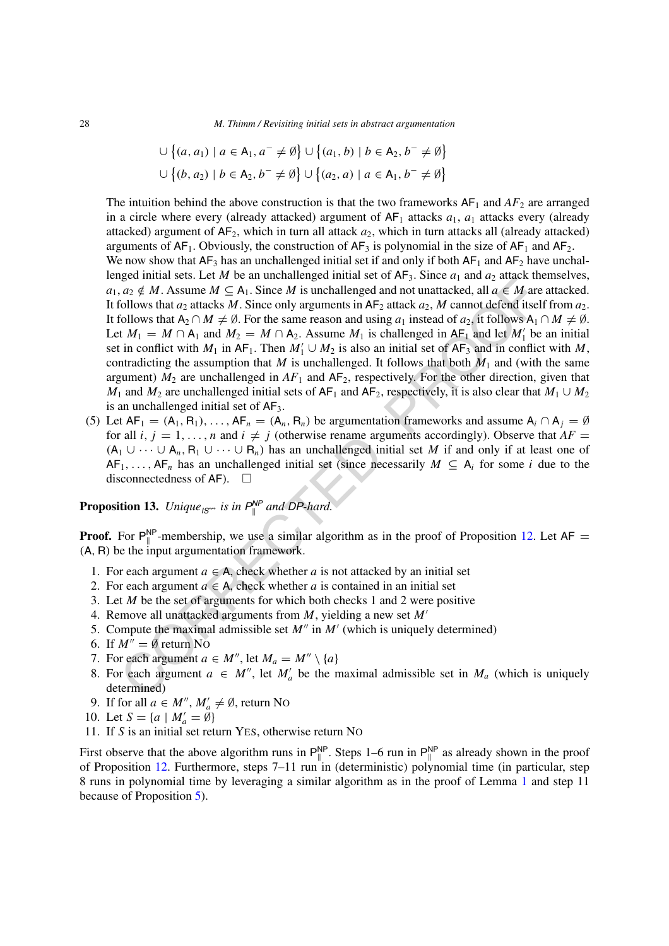28 *M. Thimm / Revisiting initial sets in abstract argumentation*

$$
\bigcup \{(a, a_1) \mid a \in A_1, a^- \neq \emptyset\} \cup \{(a_1, b) \mid b \in A_2, b^- \neq \emptyset\}
$$
  

$$
\bigcup \{(b, a_2) \mid b \in A_2, b^- \neq \emptyset\} \cup \{(a_2, a) \mid a \in A_1, b^- \neq \emptyset\}
$$

The intuition behind the above construction is that the two frameworks  $AF_1$  and  $AF_2$  are arranged in a circle where every (already attacked) argument of  $AF_1$  attacks  $a_1$ ,  $a_1$  attacks every (already attacked) argument of  $AF_2$ , which in turn all attack  $a_2$ , which in turn attacks all (already attacked) arguments of  $AF_1$ . Obviously, the construction of  $AF_3$  is polynomial in the size of  $AF_1$  and  $AF_2$ . We now show that  $AF_3$  has an unchallenged initial set if and only if both  $AF_1$  and  $AF_2$  have unchal-

given interacts. Let  $M$  be an unchanging tention as set of  $\mathbf{v}_1$  is since  $\mathbf{q}_1$  and  $\mathbf{v}_2$  and  $\mathbf{c}_2 \notin M$ . Assume  $M \subseteq A_1$ . Since  $M$  is unchallenged and not unattacked, all  $\alpha \in M$  are  $\alpha \in M$  and  $\alpha \in M$ , lenged initial sets. Let *M* be an unchallenged initial set of  $AF_3$ . Since  $a_1$  and  $a_2$  attack themselves, *a*<sub>1</sub>, *a*<sub>2</sub> ∉ *M*. Assume *M* ⊆ A<sub>1</sub>. Since *M* is unchallenged and not unattacked, all *a* ∈ *M* are attacked. It follows that  $a_2$  attacks *M*. Since only arguments in  $AF_2$  attack  $a_2$ , *M* cannot defend itself from  $a_2$ . It follows that  $A_2 \cap M \neq \emptyset$ . For the same reason and using  $a_1$  instead of  $a_2$ , it follows  $A_1 \cap M \neq \emptyset$ . Let  $M_1 = M \cap A_1$  and  $M_2 = M \cap A_2$ . Assume  $M_1$  is challenged in  $AF_1$  and let  $M'_1$  be an initial set in conflict with  $M_1$  in AF<sub>1</sub>. Then  $M'_1 \cup M_2$  is also an initial set of AF<sub>3</sub> and in conflict with M, contradicting the assumption that *M* is unchallenged. It follows that both  $M_1$  and (with the same argument)  $M_2$  are unchallenged in  $AF_1$  and  $AF_2$ , respectively. For the other direction, given that *M*<sub>1</sub> and *M*<sub>2</sub> are unchallenged initial sets of  $AF_1$  and  $AF_2$ , respectively, it is also clear that  $M_1 \cup M_2$ is an unchallenged initial set of  $AF<sub>3</sub>$ .

(5) Let  $AF_1 = (A_1, R_1), \ldots, AF_n = (A_n, R_n)$  be argumentation frameworks and assume  $A_i \cap A_j = \emptyset$ for all *i*,  $j = 1, \ldots, n$  and  $i \neq j$  (otherwise rename arguments accordingly). Observe that  $AF =$  $(A_1 \cup \cdots \cup A_n, B_1 \cup \cdots \cup B_n)$  has an unchallenged initial set *M* if and only if at least one of  $AF_1, \ldots, AF_n$  has an unchallenged initial set (since necessarily  $M \subseteq A_i$  for some *i* due to the disconnectedness of AF).  $\Box$ 

**Proposition 13.** *Unique*<sub>*IS*<sup>\*\*</sup></sub> *is in*  $P_{\parallel}^{NP}$  *and DP-hard.* 

**Proof.** For  $P_{\parallel}^{NP}$ -membership, we use a similar algorithm as in the proof of Proposition 12. Let  $AF =$ *(*A*,* R*)* be the input argumentation framework.

- 1. For each argument  $a \in A$ , check whether *a* is not attacked by an initial set
- 2. For each argument  $a \in A$ , check whether *a* is contained in an initial set
- 3. Let *M* be the set of arguments for which both checks 1 and 2 were positive
- 4. Remove all unattacked arguments from *M*, yielding a new set *M*
- 5. Compute the maximal admissible set  $M''$  in  $M'$  (which is uniquely determined)
- 6. If  $M'' = \emptyset$  return No
- 7. For each argument  $a \in M''$ , let  $M_a = M'' \setminus \{a\}$
- 8. For each argument  $a \in M''$ , let  $M'_a$  be the maximal admissible set in  $M_a$  (which is uniquely determined)
- 9. If for all  $a \in M''$ ,  $M'_a \neq \emptyset$ , return No
- 10. Let  $S = \{a \mid M'_a = \emptyset\}$
- 11. If *S* is an initial set return YES, otherwise return NO

First observe that the above algorithm runs in  $P_{\parallel}^{NP}$ . Steps 1–6 run in  $P_{\parallel}^{NP}$  as already shown in the proof of Proposition [12.](#page-25-2) Furthermore, steps 7–11 run in (deterministic) polynomial time (in particular, step 8 runs in polynomial time by leveraging a similar algorithm as in the proof of Lemma [1](#page-22-0) and step 11 because of Proposition [5\)](#page-22-1).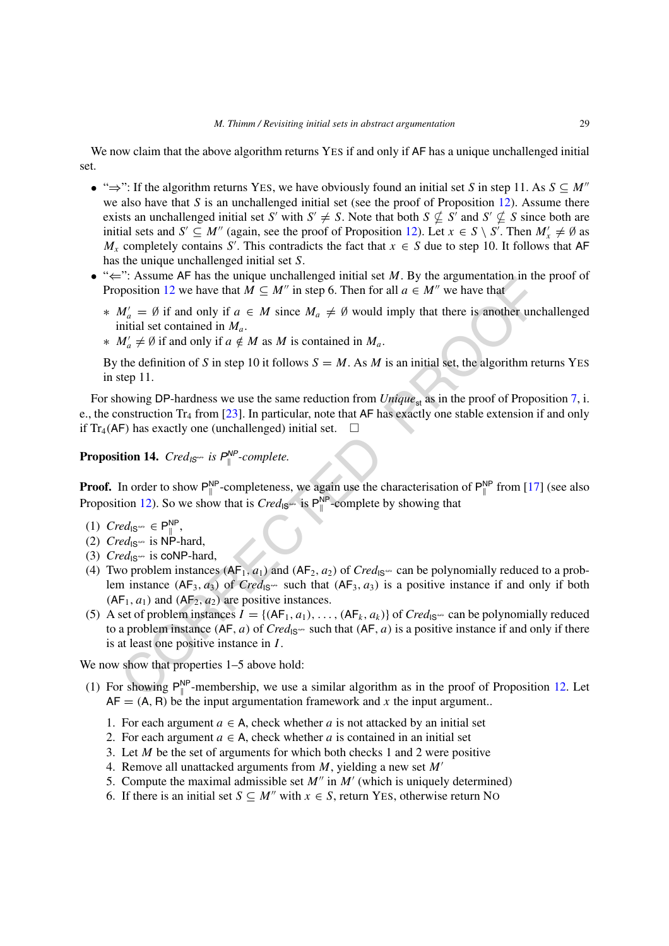We now claim that the above algorithm returns YES if and only if AF has a unique unchallenged initial set.

- " $\Rightarrow$ ": If the algorithm returns YES, we have obviously found an initial set *S* in step 11. As  $S \subseteq M''$ we also have that *S* is an unchallenged initial set (see the proof of Proposition [12](#page-25-2)). Assume there exists an unchallenged initial set *S'* with  $S' \neq S$ . Note that both  $S \not\subseteq S'$  and  $S' \not\subseteq S$  since both are initial sets and  $S' \subseteq M''$  (again, see the proof of Proposition [12](#page-25-2)). Let  $x \in S \setminus S'$ . Then  $M'_x \neq \emptyset$  as  $M_x$  completely contains *S'*. This contradicts the fact that  $x \in S$  due to step 10. It follows that AF has the unique unchallenged initial set *S*.
- "⇐": Assume AF has the unique unchallenged initial set *M*. By the argumentation in the proof of Proposition 12 we have that  $M \subseteq M''$  in step 6. Then for all  $a \in M''$  we have that
	- $*$  *M*<sup> $\prime$ </sup> = ∅ if and only if  $a \in M$  since  $M_a \neq \emptyset$  would imply that there is another unchallenged initial set contained in *Ma*.
	- $* M'_a ≠ ∅$  if and only if *a*  $\notin M$  as *M* is contained in  $M_a$ .

By the definition of *S* in step 10 it follows  $S = M$ . As *M* is an initial set, the algorithm returns YES in step 11.

For showing DP-hardness we use the same reduction from *Unique*<sub>st</sub> as in the proof of Proposition [7](#page-22-2), i. e., the construction  $Tr_4$  from [23]. In particular, note that AF has exactly one stable extension if and only if  $Tr_4$ (AF) has exactly one (unchallenged) initial set.  $\square$ 

<span id="page-28-0"></span>**Proposition 14.**  $Cred_{IS^{\leftrightarrow}}$  is  $P_{\parallel}^{NP}$ -complete.

**Proof.** In order to show  $P_{\parallel}^{NP}$ -completeness, we again use the characterisation of  $P_{\parallel}^{NP}$  from [17] (see also Proposition 12). So we show that is  $Cred_{1S} \sim$  is  $P_{\parallel}^{NP}$ -complete by showing that

- (1)  $Cred_{IS^{\omega}}$  ∈  $P_{\parallel}^{NP}$ ,
- (2)  $Cred_{1S^{**}}$  is NP-hard,
- (3)  $Cred_{1S^{4/2}}$  is coNP-hard,
- (4) Two problem instances  $(AF_1, a_1)$  and  $(AF_2, a_2)$  of  $Cred_{1S^*}$  can be polynomially reduced to a problem instance  $(AF_3, a_3)$  of  $Cred_{1S^*}$  such that  $(AF_3, a_3)$  is a positive instance if and only if both  $(AF_1, a_1)$  and  $(AF_2, a_2)$  are positive instances.
- Assure  $\mathbf{M}^n = \mathbf{M}$  and the unique unctaining<br>  $\mathbf{M}'_n = \emptyset$  if a state in a set  $m$ ,  $\mathbf{M}$  on the state in the state in  $\mathbf{M}'_n = \emptyset$  if and only if  $a \in M$  since  $M_a \neq \emptyset$  would imply that there is another unc (5) A set of problem instances  $I = \{ (AF_1, a_1), \ldots, (AF_k, a_k) \}$  of  $Cred_{\mathcal{S}^{\leftrightarrow}}$  can be polynomially reduced to a problem instance  $(AF, a)$  of  $Cred_{1S^*}$  such that  $(AF, a)$  is a positive instance if and only if there is at least one positive instance in *I* .

We now show that properties  $1-5$  above hold:

- (1) For showing  $P_{\parallel}^{NP}$ -membership, we use a similar algorithm as in the proof of Proposition [12.](#page-25-2) Let  $AF = (A, R)$  be the input argumentation framework and x the input argument..
	- 1. For each argument  $a \in A$ , check whether *a* is not attacked by an initial set
	- 2. For each argument  $a \in A$ , check whether *a* is contained in an initial set
	- 3. Let *M* be the set of arguments for which both checks 1 and 2 were positive
	- 4. Remove all unattacked arguments from *M*, yielding a new set *M*
	- 5. Compute the maximal admissible set  $M''$  in  $M'$  (which is uniquely determined)
	- 6. If there is an initial set  $S \subseteq M''$  with  $x \in S$ , return YES, otherwise return No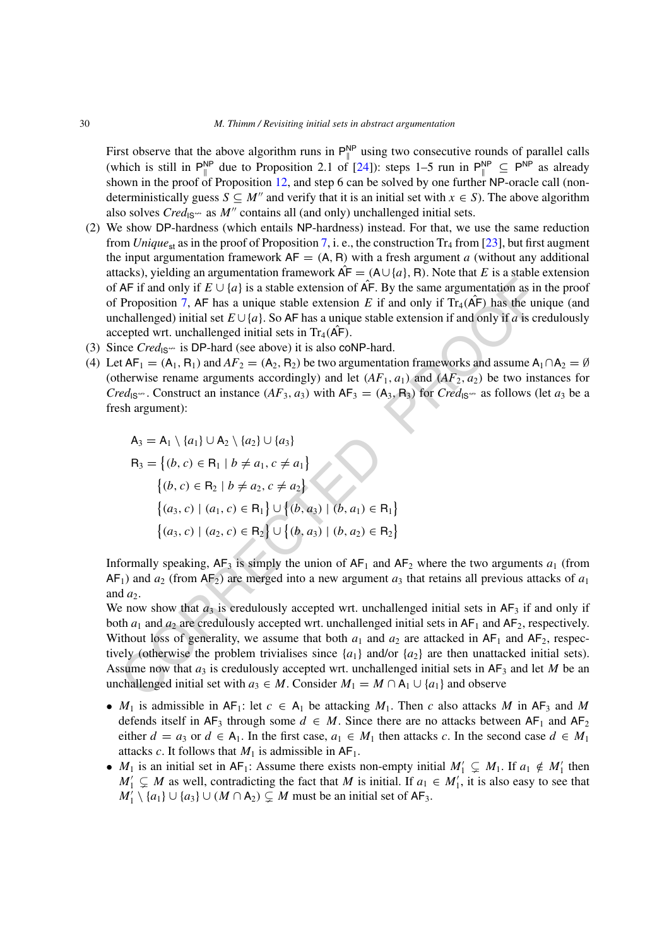First observe that the above algorithm runs in  $P_{\parallel}^{NP}$  using two consecutive rounds of parallel calls (which is still in  $P_{\parallel}^{NP}$  due to Proposition 2.1 of [\[24](#page-34-15)]): steps 1–5 run in  $P_{\parallel}^{NP} \subseteq P^{NP}$  as already shown in the proof of Proposition [12,](#page-25-2) and step 6 can be solved by one further NP-oracle call (nondeterministically guess  $S \subseteq M''$  and verify that it is an initial set with  $x \in S$ ). The above algorithm also solves *Cred*<sub>IS</sub><sup>\*\*</sup> as *M*<sup>*n*</sup> contains all (and only) unchallenged initial sets.

- (2) We show DP-hardness (which entails NP-hardness) instead. For that, we use the same reduction from *Unique*<sub>st</sub> as in the proof of Proposition [7](#page-22-2), i. e., the construction Tr<sub>4</sub> from [[23\]](#page-34-23), but first augment the input argumentation framework  $AF = (A, R)$  with a fresh argument *a* (without any additional attacks), yielding an argumentation framework  $\hat{AF} = (A \cup \{a\}, R)$ . Note that *E* is a stable extension of AF if and only if  $E \cup \{a\}$  is a stable extension of AF. By the same argumentation as in the proof of Proposition 7, AF has a unique stable extension *E* if and only if  $Tr_4(AF)$  has the unique (and unchallenged) initial set  $E \cup \{a\}$ . So AF has a unique stable extension if and only if *a* is credulously accepted wrt. unchallenged initial sets in  $Tr_4(AF)$ .
- (3) Since  $Cred_{1S} \rightarrow$  is DP-hard (see above) it is also coNP-hard.
- (4) Let  $AF_1 = (A_1, R_1)$  and  $AF_2 = (A_2, R_2)$  be two argumentation frameworks and assume  $A_1 \cap A_2 = \emptyset$ (otherwise rename arguments accordingly) and let  $(AF_1, a_1)$  and  $(AF_2, a_2)$  be two instances for *Cred*<sub>IS</sub><sup>\*\*</sup>. Construct an instance  $(AF_3, a_3)$  with  $AF_3 = (A_3, R_3)$  for  $Cred_{1S}$ <sup>\*\*</sup> as follows (let  $a_3$  be a fresh argument):

$$
A_3 = A_1 \setminus \{a_1\} \cup A_2 \setminus \{a_2\} \cup \{a_3\}
$$
  
\n
$$
R_3 = \{(b, c) \in R_1 \mid b \neq a_1, c \neq a_1\}
$$
  
\n
$$
\{(b, c) \in R_2 \mid b \neq a_2, c \neq a_2\}
$$
  
\n
$$
\{(a_3, c) \mid (a_1, c) \in R_1\} \cup \{(b, a_3) \mid (b, a_1) \in R_1\}
$$
  
\n
$$
\{(a_3, c) \mid (a_2, c) \in R_2\} \cup \{(b, a_3) \mid (b, a_2) \in R_2\}
$$

Informally speaking,  $AF_3$  is simply the union of  $AF_1$  and  $AF_2$  where the two arguments  $a_1$  (from  $AF<sub>1</sub>$ ) and  $a<sub>2</sub>$  (from  $AF<sub>2</sub>$ ) are merged into a new argument  $a<sub>3</sub>$  that retains all previous attacks of  $a<sub>1</sub>$ and  $a_2$ .

AF if and only if  $E \cup \{a\}$  is a stable extension of AF. By the same argumentation as in<br>
AF if and only if  $E \cup \{a\}$  is a stable extension of AF. By the same argumentation as in<br>
Proposition 7, AF has a unique stable c We now show that  $a_3$  is credulously accepted wrt. unchallenged initial sets in  $AF_3$  if and only if both  $a_1$  and  $a_2$  are credulously accepted wrt. unchallenged initial sets in  $AF_1$  and  $AF_2$ , respectively. Without loss of generality, we assume that both  $a_1$  and  $a_2$  are attacked in  $AF_1$  and  $AF_2$ , respectively (otherwise the problem trivialises since  $\{a_1\}$  and/or  $\{a_2\}$  are then unattacked initial sets). Assume now that  $a_3$  is credulously accepted wrt. unchallenged initial sets in  $AF_3$  and let *M* be an unchallenged initial set with  $a_3$  ∈ *M*. Consider  $M_1 = M \cap A_1 \cup \{a_1\}$  and observe

- $M_1$  is admissible in  $AF_1$ : let  $c \in A_1$  be attacking  $M_1$ . Then  $c$  also attacks  $M$  in  $AF_3$  and  $M$ defends itself in  $AF_3$  through some  $d \in M$ . Since there are no attacks between  $AF_1$  and  $AF_2$ either  $d = a_3$  or  $d \in A_1$ . In the first case,  $a_1 \in M_1$  then attacks *c*. In the second case  $d \in M_1$ attacks *c*. It follows that  $M_1$  is admissible in  $AF_1$ .
- $M_1$  is an initial set in AF<sub>1</sub>: Assume there exists non-empty initial  $M'_1 \subsetneq M_1$ . If  $a_1 \notin M'_1$  then  $M'_1 \subsetneq M$  as well, contradicting the fact that *M* is initial. If  $a_1 \in M'_1$ , it is also easy to see that  $M'_1 \setminus \{a_1\} \cup \{a_3\} \cup (M \cap A_2) \subsetneq M$  must be an initial set of AF<sub>3</sub>.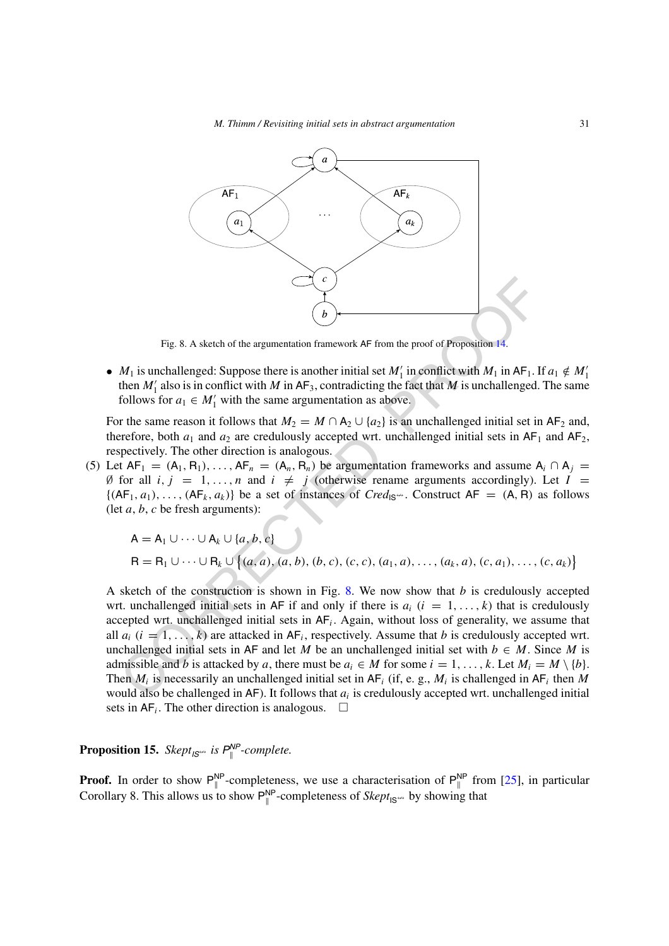

<span id="page-30-0"></span>Fig. 8. A sketch of the argumentation framework AF from the proof of Proposition 14.

• *M*<sub>1</sub> is unchallenged: Suppose there is another initial set *M*<sup>1</sup> in conflict with *M*<sub>1</sub> in AF<sub>1</sub>. If  $a_1 \notin M_1'$ then  $M'_1$  also is in conflict with M in  $AF_3$ , contradicting the fact that M is unchallenged. The same follows for  $a_1 \in M'_1$  with the same argumentation as above.

For the same reason it follows that  $M_2 = M \cap A_2 \cup \{a_2\}$  is an unchallenged initial set in AF<sub>2</sub> and, therefore, both  $a_1$  and  $a_2$  are credulously accepted wrt. unchallenged initial sets in  $AF_1$  and  $AF_2$ , respectively. The other direction is analogous.

(5) Let  $AF_1 = (A_1, R_1), \ldots, AF_n = (A_n, R_n)$  be argumentation frameworks and assume  $A_i \cap A_j =$ Ø for all  $i, j = 1, \ldots, n$  and  $i \neq j$  (otherwise rename arguments accordingly). Let  $I =$  $\{(AF_1, a_1), \ldots, (AF_k, a_k)\}\)$  be a set of instances of *Cred*<sub>IS</sub><sup>\*\*</sup>. Construct  $AF = (A, R)$  as follows (let *a*, *b*, *c* be fresh arguments):

$$
A = A_1 \cup \cdots \cup A_k \cup \{a, b, c\}
$$
  
\n
$$
R = R_1 \cup \cdots \cup R_k \cup \{(a, a), (a, b), (b, c), (c, c), (a_1, a), \ldots, (a_k, a), (c, a_1), \ldots, (c, a_k)\}
$$

Fig. 8. A sketch of the argumentation framework AF from the proof of Proposition 44.<br> *M*<sub>1</sub> is unchallenged: Suppose there is another initial set *M*<sub>1</sub> in aconflict with *M*<sub>1</sub> in AF<sub>1</sub>. If<br>
then *M*<sub>1</sub> also is in confl A sketch of the construction is shown in Fig. 8. We now show that *b* is credulously accepted wrt. unchallenged initial sets in AF if and only if there is  $a_i$  ( $i = 1, \ldots, k$ ) that is credulously accepted wrt. unchallenged initial sets in AF*i*. Again, without loss of generality, we assume that all  $a_i$  ( $i = 1, \ldots, k$ ) are attacked in  $AF_i$ , respectively. Assume that *b* is credulously accepted wrt. unchallenged initial sets in AF and let *M* be an unchallenged initial set with  $b \in M$ . Since *M* is admissible and *b* is attacked by *a*, there must be  $a_i \in M$  for some  $i = 1, \ldots, k$ . Let  $M_i = M \setminus \{b\}$ . Then  $M_i$  is necessarily an unchallenged initial set in  $AF_i$  (if, e. g.,  $M_i$  is challenged in  $AF_i$  then  $M$ would also be challenged in AF). It follows that *ai* is credulously accepted wrt. unchallenged initial sets in  $AF_i$ . The other direction is analogous.  $\Box$ 

**Proposition 15.** *Skept*<sub>*IS*<sup>\*\*</sup> *is*  $P_{\parallel}^{NP}$ -complete.</sub>

**Proof.** In order to show  $P_{\parallel}^{NP}$ -completeness, we use a characterisation of  $P_{\parallel}^{NP}$  from [[25\]](#page-34-26), in particular Corollary 8. This allows us to show  $P_{\parallel}^{NP}$ -completeness of *Skept*<sub>IS</sub><sup>\*\*</sup> by showing that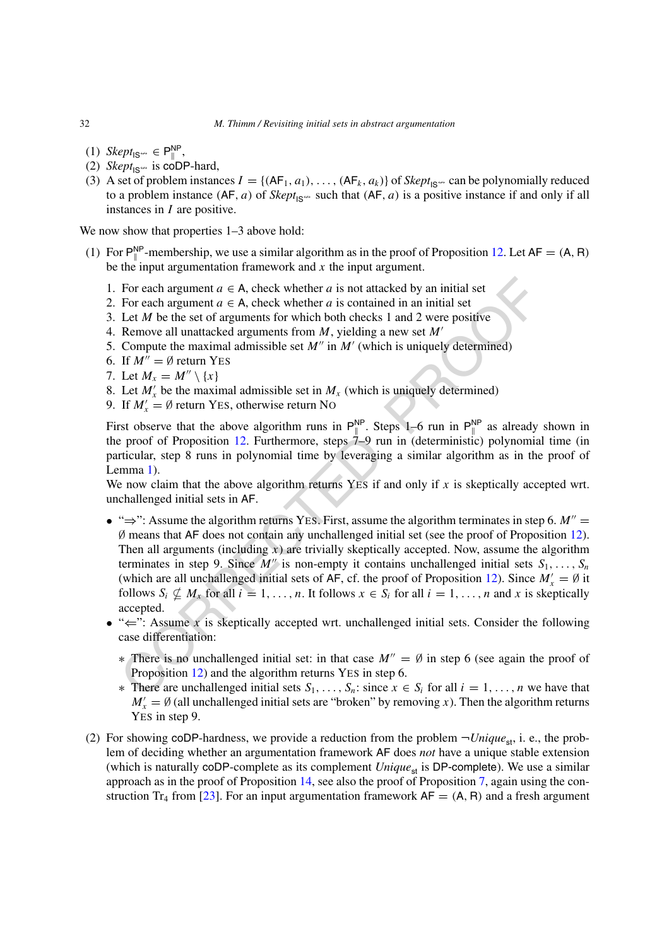- (1) *Skept*<sub>IS</sub>⇔ ∈  $P_{\parallel}^{NP}$ ,
- (2) *Skept*<sub>IS</sub><sup> $\leftrightarrow$ </sup> is coDP-hard,
- (3) A set of problem instances  $I = \{ (AF_1, a_1), \ldots, (AF_k, a_k) \}$  of  $Sk_{pt}$ <sub>IS</sub><sup>\*\*</sup> can be polynomially reduced to a problem instance  $(AF, a)$  of *Skept*<sub>IS</sub><sup> $\omega$ </sup> such that  $(AF, a)$  is a positive instance if and only if all instances in *I* are positive.

We now show that properties  $1-3$  above hold:

- (1) For  $P_{\parallel}^{NP}$ -membership, we use a similar algorithm as in the proof of Proposition [12.](#page-25-2) Let  $AF = (A, R)$ be the input argumentation framework and *x* the input argument.
	- 1. For each argument  $a \in A$ , check whether *a* is not attacked by an initial set
	- 2. For each argument  $a \in A$ , check whether *a* is contained in an initial set
	- 3. Let *M* be the set of arguments for which both checks 1 and 2 were positive
	- 4. Remove all unattacked arguments from *M*, yielding a new set *M*
	- 5. Compute the maximal admissible set  $M''$  in  $M'$  (which is uniquely determined)
	- 6. If  $M'' = \emptyset$  return YES
	- 7. Let  $M_x = M'' \setminus \{x\}$
	- 8. Let  $M'_x$  be the maximal admissible set in  $M_x$  (which is uniquely determined)
	- 9. If  $M'_x = \emptyset$  return YES, otherwise return NO

First observe that the above algorithm runs in  $P_{\parallel}^{NP}$ . Steps 1–6 run in  $P_{\parallel}^{NP}$  as already shown in the proof of Proposition 12. Furthermore, steps 7–9 run in (deterministic) polynomial time (in particular, step 8 runs in polynomial time by leveraging a similar algorithm as in the proof of Lemma 1).

We now claim that the above algorithm returns YES if and only if x is skeptically accepted wrt. unchallenged initial sets in AF.

- For each argument  $a \in A$ , check whether  $a$  is not attacked by an initial set<br>
For each argument  $a \in A$ , check whether  $a$  is contained in an initial set<br>
Let  $M$  be the set of arguments for which both checks 1 and 2 were • " $\Rightarrow$ ": Assume the algorithm returns YES. First, assume the algorithm terminates in step 6.  $M'' =$ ∅ means that AF does not contain any unchallenged initial set (see the proof of Proposition [12\)](#page-25-2). Then all arguments (including *x*) are trivially skeptically accepted. Now, assume the algorithm terminates in step 9. Since  $M''$  is non-empty it contains unchallenged initial sets  $S_1, \ldots, S_n$ (which are all unchallenged initial sets of AF, cf. the proof of Proposition 12). Since  $M'_x = \emptyset$  it follows  $S_i \nsubseteq M_x$  for all  $i = 1, ..., n$ . It follows  $x \in S_i$  for all  $i = 1, ..., n$  and x is skeptically accepted.
- "⇐": Assume *x* is skeptically accepted wrt. unchallenged initial sets. Consider the following case differentiation:
	- $*$  There is no unchallenged initial set: in that case  $M'' = \emptyset$  in step 6 (see again the proof of Proposition 12) and the algorithm returns YES in step 6.
	- ∗ There are unchallenged initial sets  $S_1, \ldots, S_n$ : since  $x \in S_i$  for all  $i = 1, \ldots, n$  we have that  $M'_x = \emptyset$  (all unchallenged initial sets are "broken" by removing *x*). Then the algorithm returns YES in step 9.
- (2) For showing coDP-hardness, we provide a reduction from the problem  $\neg Unique_{st}$ , i. e., the problem of deciding whether an argumentation framework AF does *not* have a unique stable extension (which is naturally coDP-complete as its complement  $Unique_{st}$  is DP-complete). We use a similar approach as in the proof of Proposition [14](#page-28-0), see also the proof of Proposition [7](#page-22-2), again using the con-struction Tr<sub>4</sub> from [[23\]](#page-34-23). For an input argumentation framework  $AF = (A, R)$  and a fresh argument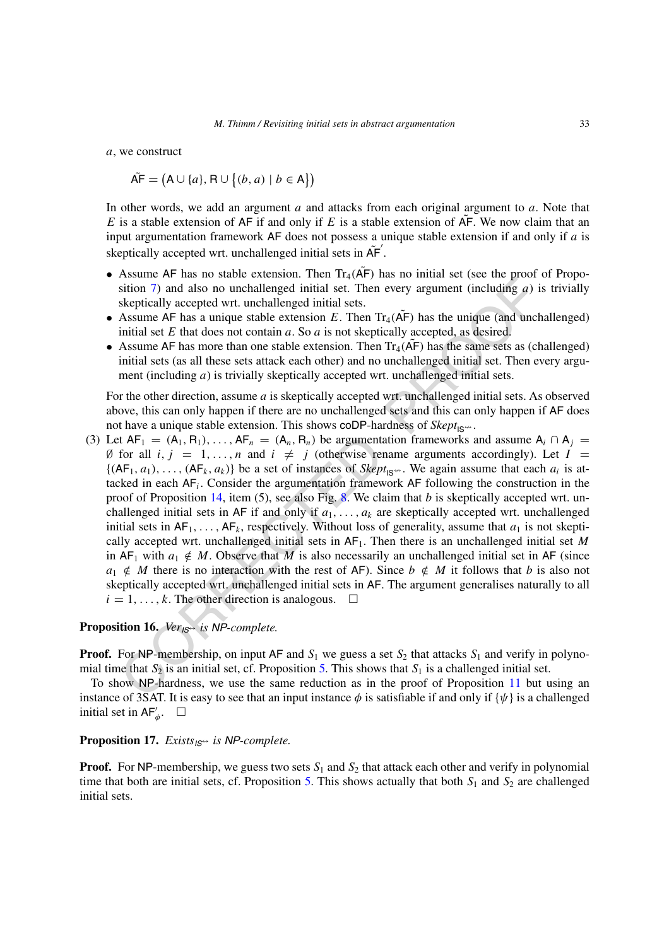*a*, we construct

$$
\tilde{\mathsf{AF}} = (\mathsf{A} \cup \{a\}, \mathsf{R} \cup \{(b, a) \mid b \in \mathsf{A}\})
$$

In other words, we add an argument *a* and attacks from each original argument to *a*. Note that *E* is a stable extension of AF if and only if *E* is a stable extension of  $\overline{AF}$ . We now claim that an input argumentation framework AF does not possess a unique stable extension if and only if *a* is skeptically accepted wrt. unchallenged initial sets in  $\tilde{AF}'$ .

- Assume AF has no stable extension. Then  $Tr_4(A\tilde{F})$  has no initial set (see the proof of Proposition 7) and also no unchallenged initial set. Then every argument (including *a*) is trivially skeptically accepted wrt. unchallenged initial sets.
- Assume AF has a unique stable extension *E*. Then  $Tr_4(AF)$  has the unique (and unchallenged) initial set *E* that does not contain *a*. So *a* is not skeptically accepted, as desired.
- Assume AF has more than one stable extension. Then  $Tr_4$  ( $\overline{AP}$ ) has the same sets as (challenged) initial sets (as all these sets attack each other) and no unchallenged initial set. Then every argument (including *a*) is trivially skeptically accepted wrt. unchallenged initial sets.

For the other direction, assume *a* is skeptically accepted wrt. unchallenged initial sets. As observed above, this can only happen if there are no unchallenged sets and this can only happen if AF does not have a unique stable extension. This shows coDP-hardness of  $Sk_{\text{opt}}_{\text{S}_{\text{max}}}$ .

[E](#page-30-0)xample 1.1 and also no unchallenged initial set. Then every argument (including a) is<br>sition 7) and also no unchallenged initial set. Then every argument (including a) is<br>skeptically accepted wrt. unchallenged initial se (3) Let  $AF_1 = (A_1, R_1), \ldots, AF_n = (A_n, R_n)$  be argumentation frameworks and assume  $A_i \cap A_j =$ Ø for all  $i, j = 1, \ldots, n$  and  $i \neq j$  (otherwise rename arguments accordingly). Let  $I =$  $\{(AF_1, a_1), \ldots, (AF_k, a_k)\}\$  be a set of instances of *Skept*<sub>IS</sub><sup> $\ldots$ </sup>. We again assume that each  $a_i$  is attacked in each AF*i*. Consider the argumentation framework AF following the construction in the proof of Proposition 14, item (5), see also Fig. 8. We claim that *b* is skeptically accepted wrt. unchallenged initial sets in AF if and only if  $a_1, \ldots, a_k$  are skeptically accepted wrt. unchallenged initial sets in  $AF_1, \ldots, AF_k$ , respectively. Without loss of generality, assume that  $a_1$  is not skeptically accepted wrt. unchallenged initial sets in  $AF<sub>1</sub>$ . Then there is an unchallenged initial set *M* in  $AF_1$  with  $a_1 \notin M$ . Observe that *M* is also necessarily an unchallenged initial set in AF (since  $a_1 \notin M$  there is no interaction with the rest of AF). Since  $b \notin M$  it follows that *b* is also not skeptically accepted wrt. unchallenged initial sets in AF. The argument generalises naturally to all  $i = 1, \ldots, k$ . The other direction is analogous.  $\Box$ 

# **Proposition 16.** *VerIS*<sup>↔</sup> *is NP-complete.*

**Proof.** For NP-membership, on input AF and  $S_1$  we guess a set  $S_2$  that attacks  $S_1$  and verify in polynomial time that  $S_2$  is an initial set, cf. Proposition 5. This shows that  $S_1$  is a challenged initial set.

To show NP-hardness, we use the same reduction as in the proof of Proposition 11 but using an instance of 3SAT. It is easy to see that an input instance  $\phi$  is satisfiable if and only if  $\{\psi\}$  is a challenged initial set in  $AF'_\phi$ .  $\Box$ 

#### **Proposition 17.** *ExistsIS*<sup>↔</sup> *is NP-complete.*

**Proof.** For NP-membership, we guess two sets  $S_1$  and  $S_2$  that attack each other and verify in polynomial time that both are initial sets, cf. Proposition [5](#page-22-1). This shows actually that both  $S_1$  and  $S_2$  are challenged initial sets.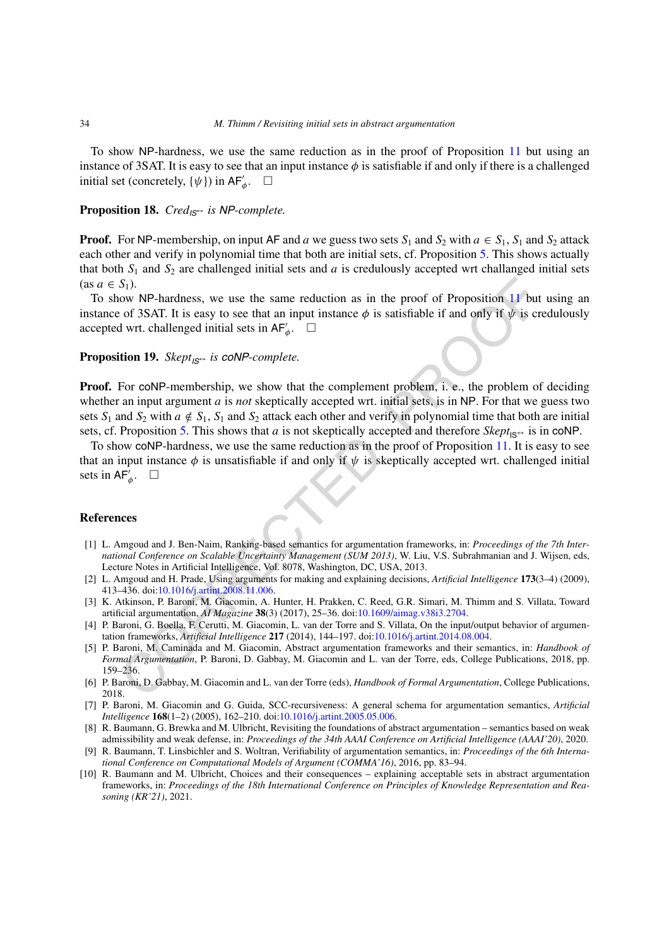To show NP-hardness, we use the same reduction as in the proof of Proposition [11](#page-23-1) but using an instance of 3SAT. It is easy to see that an input instance *φ* is satisfiable if and only if there is a challenged initial set (concretely,  $\{\psi\}$ ) in  $AF'_\phi$ .  $\Box$ 

#### **Proposition 18.** *CredIS*<sup>↔</sup> *is NP-complete.*

**Proof.** For NP-membership, on input AF and *a* we guess two sets  $S_1$  and  $S_2$  with  $a \in S_1$ ,  $S_1$  and  $S_2$  attack each other and verify in polynomial time that both are initial sets, cf. Proposition [5](#page-22-1). This shows actually that both  $S_1$  and  $S_2$  are challenged initial sets and *a* is credulously accepted wrt challanged initial sets  $(as a \in S_1).$ 

To show NP-hardness, we use the same reduction as in the proof of Proposition 11 but using an instance of 3SAT. It is easy to see that an input instance  $\phi$  is satisfiable if and only if  $\psi$  is credulously accepted wrt. challenged initial sets in  $AF'_\phi$ .  $\Box$ 

# **Proposition 19.** *SkeptIS*<sup>↔</sup> *is coNP-complete.*

S<sub>1</sub>).<br>
S<sub>1</sub>(*b* of 3SAT. It is easy to see the same reduction as in the proof of Proposition 11 but<br>
or of 3SAT. It is easy to see that an input instance  $\phi$  is satisfiable if and only if  $\psi$  is cr<br>
dv of 3SAT. It is e **Proof.** For coNP-membership, we show that the complement problem, i. e., the problem of deciding whether an input argument *a* is *not* skeptically accepted wrt. initial sets, is in NP. For that we guess two sets  $S_1$  and  $S_2$  with  $a \notin S_1$ ,  $S_1$  and  $S_2$  attack each other and verify in polynomial time that both are initial sets, cf. Proposition 5. This shows that *a* is not skeptically accepted and therefore  $Skept_{\vert S^{\leftrightarrow}}$  is in coNP.

To show coNP-hardness, we use the same reduction as in the proof of Proposition 11. It is easy to see that an input instance  $\phi$  is unsatisfiable if and only if  $\psi$  is skeptically accepted wrt. challenged initial sets in  $AF'_\phi$ .  $\Box$ 

#### **References**

- <span id="page-33-3"></span>[1] L. Amgoud and J. Ben-Naim, Ranking-based semantics for argumentation frameworks, in: *Proceedings of the 7th International Conference on Scalable Uncertainty Management (SUM 2013)*, W. Liu, V.S. Subrahmanian and J. Wijsen, eds, Lecture Notes in Artificial Intelligence, Vol. 8078, Washington, DC, USA, 2013.
- <span id="page-33-4"></span>[2] L. Amgoud and H. Prade, Using arguments for making and explaining decisions, *Artificial Intelligence* **173**(3–4) (2009), 413–436. doi:10.1016/j.artint.2008.11.006.
- <span id="page-33-0"></span>[3] K. Atkinson, P. Baroni, M. Giacomin, A. Hunter, H. Prakken, C. Reed, G.R. Simari, M. Thimm and S. Villata, Toward artificial argumentation, *AI Magazine* **38**(3) (2017), 25–36. doi:10.1609/aimag.v38i3.2704.
- <span id="page-33-7"></span>[4] P. Baroni, G. Boella, F. Cerutti, M. Giacomin, L. van der Torre and S. Villata, On the input/output behavior of argumentation frameworks, *Artificial Intelligence* **217** (2014), 144–197. doi:10.1016/j.artint.2014.08.004.
- <span id="page-33-2"></span>[5] P. Baroni, M. Caminada and M. Giacomin, Abstract argumentation frameworks and their semantics, in: *Handbook of Formal Argumentation*, P. Baroni, D. Gabbay, M. Giacomin and L. van der Torre, eds, College Publications, 2018, pp. 159–236.
- <span id="page-33-1"></span>[6] P. Baroni, D. Gabbay, M. Giacomin and L. van der Torre (eds), *Handbook of Formal Argumentation*, College Publications, 2018.
- <span id="page-33-6"></span>[7] P. Baroni, M. Giacomin and G. Guida, SCC-recursiveness: A general schema for argumentation semantics, *Artificial Intelligence* **168**(1–2) (2005), 162–210. doi[:10.1016/j.artint.2005.05.006](https://doi.org/10.1016/j.artint.2005.05.006).
- <span id="page-33-5"></span>[8] R. Baumann, G. Brewka and M. Ulbricht, Revisiting the foundations of abstract argumentation – semantics based on weak admissibility and weak defense, in: *Proceedings of the 34th AAAI Conference on Artificial Intelligence (AAAI'20)*, 2020.
- <span id="page-33-8"></span>[9] R. Baumann, T. Linsbichler and S. Woltran, Verifiability of argumentation semantics, in: *Proceedings of the 6th International Conference on Computational Models of Argument (COMMA'16)*, 2016, pp. 83–94.
- <span id="page-33-9"></span>[10] R. Baumann and M. Ulbricht, Choices and their consequences – explaining acceptable sets in abstract argumentation frameworks, in: *Proceedings of the 18th International Conference on Principles of Knowledge Representation and Reasoning (KR'21)*, 2021.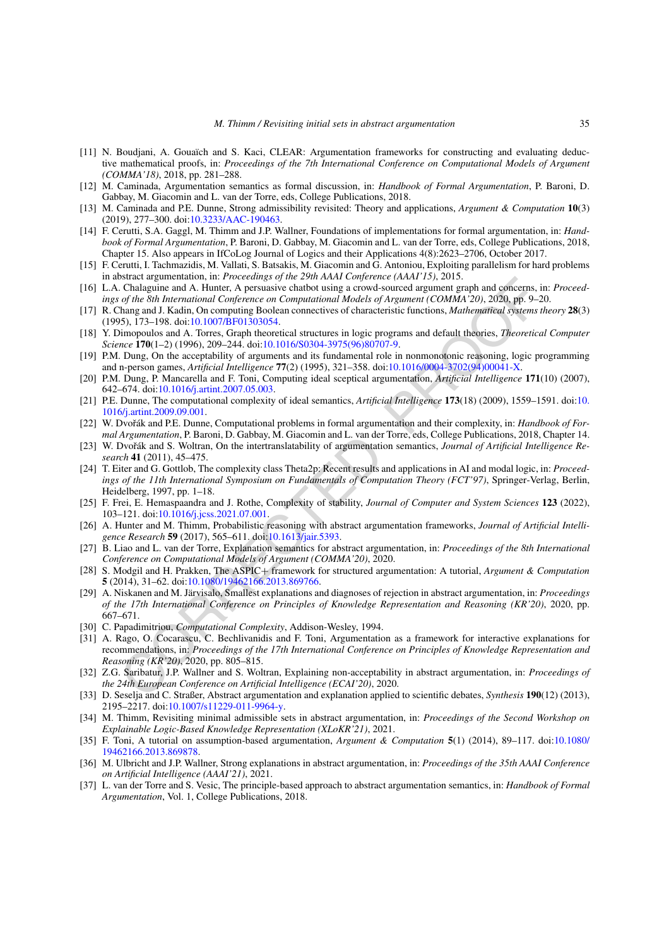- <span id="page-34-3"></span>[11] N. Boudjani, A. Gouaïch and S. Kaci, CLEAR: Argumentation frameworks for constructing and evaluating deductive mathematical proofs, in: *Proceedings of the 7th International Conference on Computational Models of Argument (COMMA'18)*, 2018, pp. 281–288.
- <span id="page-34-13"></span>[12] M. Caminada, Argumentation semantics as formal discussion, in: *Handbook of Formal Argumentation*, P. Baroni, D. Gabbay, M. Giacomin and L. van der Torre, eds, College Publications, 2018.
- <span id="page-34-21"></span>[13] M. Caminada and P.E. Dunne, Strong admissibility revisited: Theory and applications, *Argument & Computation* **10**(3) (2019), 277–300. doi[:10.3233/AAC-190463](https://doi.org/10.3233/AAC-190463).
- <span id="page-34-19"></span>[14] F. Cerutti, S.A. Gaggl, M. Thimm and J.P. Wallner, Foundations of implementations for formal argumentation, in: *Handbook of Formal Argumentation*, P. Baroni, D. Gabbay, M. Giacomin and L. van der Torre, eds, College Publications, 2018, Chapter 15. Also appears in IfCoLog Journal of Logics and their Applications 4(8):2623–2706, October 2017.
- <span id="page-34-20"></span>[15] F. Cerutti, I. Tachmazidis, M. Vallati, S. Batsakis, M. Giacomin and G. Antoniou, Exploiting parallelism for hard problems in abstract argumentation, in: *Proceedings of the 29th AAAI Conference (AAAI'15)*, 2015.
- <span id="page-34-1"></span>[16] L.A. Chalaguine and A. Hunter, A persuasive chatbot using a crowd-sourced argument graph and concerns, in: *Proceedings of the 8th International Conference on Computational Models of Argument (COMMA'20)*, 2020, pp. 9–20.
- <span id="page-34-24"></span>[17] R. Chang and J. Kadin, On computing Boolean connectives of characteristic functions, *Mathematical systems theory* **28**(3) (1995), 173–198. doi:10.1007/BF01303054.
- <span id="page-34-22"></span>[18] Y. Dimopoulos and A. Torres, Graph theoretical structures in logic programs and default theories, *Theoretical Computer Science* **170**(1–2) (1996), 209–244. doi:10.1016/S0304-3975(96)80707-9.
- <span id="page-34-0"></span>[19] P.M. Dung, On the acceptability of arguments and its fundamental role in nonmonotonic reasoning, logic programming and n-person games, *Artificial Intelligence* **77**(2) (1995), 321–358. doi:10.1016/0004-3702(94)00041-X.
- <span id="page-34-25"></span>[20] P.M. Dung, P. Mancarella and F. Toni, Computing ideal sceptical argumentation, *Artificial Intelligence* **171**(10) (2007), 642–674. doi:10.1016/j.artint.2007.05.003.
- <span id="page-34-17"></span>[21] P.E. Dunne, The computational complexity of ideal semantics, *Artificial Intelligence* **173**(18) (2009), 1559–1591. doi[:10.](https://doi.org/10.1016/j.artint.2009.09.001) [1016/j.artint.2009.09.001](https://doi.org/10.1016/j.artint.2009.09.001).
- <span id="page-34-16"></span>[22] W. Dvoˇrák and P.E. Dunne, Computational problems in formal argumentation and their complexity, in: *Handbook of Formal Argumentation*, P. Baroni, D. Gabbay, M. Giacomin and L. van der Torre, eds, College Publications, 2018, Chapter 14.
- <span id="page-34-23"></span>[23] W. Dvoˇrák and S. Woltran, On the intertranslatability of argumentation semantics, *Journal of Artificial Intelligence Research* **41** (2011), 45–475.
- <span id="page-34-15"></span>[24] T. Eiter and G. Gottlob, The complexity class Theta2p: Recent results and applications in AI and modal logic, in: *Proceedings of the 11th International Symposium on Fundamentals of Computation Theory (FCT'97)*, Springer-Verlag, Berlin, Heidelberg, 1997, pp. 1–18.
- <span id="page-34-26"></span>[25] F. Frei, E. Hemaspaandra and J. Rothe, Complexity of stability, *Journal of Computer and System Sciences* **123** (2022), 103–121. doi:10.1016/j.jcss.2021.07.001.
- <span id="page-34-6"></span>[26] A. Hunter and M. Thimm, Probabilistic reasoning with abstract argumentation frameworks, *Journal of Artificial Intelligence Research* **59** (2017), 565–611. doi:10.1613/jair.5393.
- <span id="page-34-7"></span>[27] B. Liao and L. van der Torre, Explanation semantics for abstract argumentation, in: *Proceedings of the 8th International Conference on Computational Models of Argument (COMMA'20)*, 2020.
- <span id="page-34-8"></span><span id="page-34-4"></span>[28] S. Modgil and H. Prakken, The ASPIC+ framework for structured argumentation: A tutorial, *Argument & Computation* **5** (2014), 31–62. doi:10.1080/19462166.2013.869766.
- bistat againetational in *Froceculargy of ne 2011 Article (Marti Congrette/ Hazar Lib), 2013.*<br>
Coralization and A. Hunter, A persuasive challot using a crowd-sourced argument graph and concerns, is and the bistanical conf [29] A. Niskanen and M. Järvisalo, Smallest explanations and diagnoses of rejection in abstract argumentation, in: *Proceedings of the 17th International Conference on Principles of Knowledge Representation and Reasoning (KR'20)*, 2020, pp. 667–671.
- <span id="page-34-14"></span>[30] C. Papadimitriou, *Computational Complexity*, Addison-Wesley, 1994.
- <span id="page-34-2"></span>[31] A. Rago, O. Cocarascu, C. Bechlivanidis and F. Toni, Argumentation as a framework for interactive explanations for recommendations, in: *Proceedings of the 17th International Conference on Principles of Knowledge Representation and Reasoning (KR'20)*, 2020, pp. 805–815.
- <span id="page-34-11"></span>[32] Z.G. Saribatur, J.P. Wallner and S. Woltran, Explaining non-acceptability in abstract argumentation, in: *Proceedings of the 24th European Conference on Artificial Intelligence (ECAI'20)*, 2020.
- <span id="page-34-9"></span>[33] D. Seselja and C. Straßer, Abstract argumentation and explanation applied to scientific debates, *Synthesis* **190**(12) (2013), 2195–2217. doi[:10.1007/s11229-011-9964-y.](https://doi.org/10.1007/s11229-011-9964-y)
- <span id="page-34-12"></span>[34] M. Thimm, Revisiting minimal admissible sets in abstract argumentation, in: *Proceedings of the Second Workshop on Explainable Logic-Based Knowledge Representation (XLoKR'21)*, 2021.
- <span id="page-34-5"></span>[35] F. Toni, A tutorial on assumption-based argumentation, *Argument & Computation* **5**(1) (2014), 89–117. doi:[10.1080/](https://doi.org/10.1080/19462166.2013.869878) [19462166.2013.869878](https://doi.org/10.1080/19462166.2013.869878).
- <span id="page-34-10"></span>[36] M. Ulbricht and J.P. Wallner, Strong explanations in abstract argumentation, in: *Proceedings of the 35th AAAI Conference on Artificial Intelligence (AAAI'21)*, 2021.
- <span id="page-34-18"></span>[37] L. van der Torre and S. Vesic, The principle-based approach to abstract argumentation semantics, in: *Handbook of Formal Argumentation*, Vol. 1, College Publications, 2018.